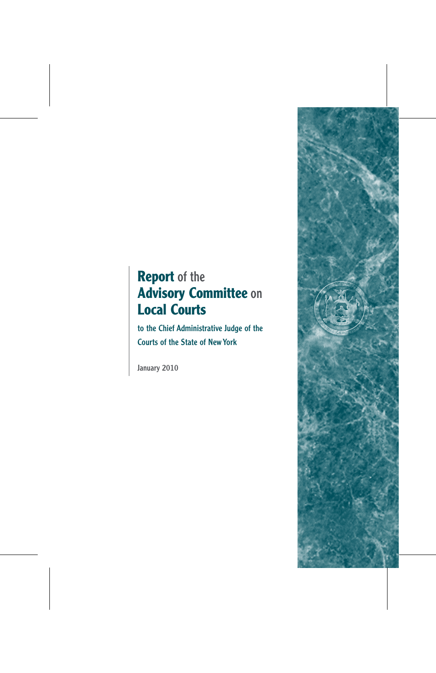# **Report** of the **Advisory Committee** on **Local Courts**

to the Chief Administrative Judge of the Courts of the State of NewYork

January 2010

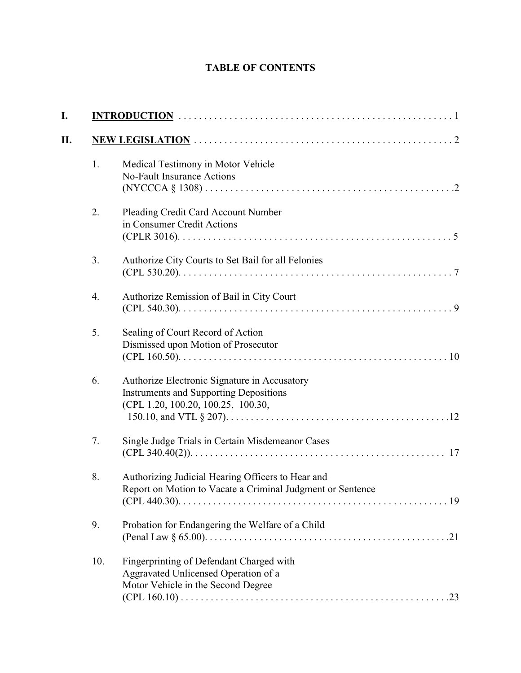## **TABLE OF CONTENTS**

| I. |     |                                                                                                                                     |
|----|-----|-------------------------------------------------------------------------------------------------------------------------------------|
| П. |     |                                                                                                                                     |
|    | 1.  | Medical Testimony in Motor Vehicle<br><b>No-Fault Insurance Actions</b>                                                             |
|    | 2.  | Pleading Credit Card Account Number<br>in Consumer Credit Actions                                                                   |
|    | 3.  | Authorize City Courts to Set Bail for all Felonies                                                                                  |
|    | 4.  | Authorize Remission of Bail in City Court                                                                                           |
|    | 5.  | Sealing of Court Record of Action<br>Dismissed upon Motion of Prosecutor                                                            |
|    | 6.  | Authorize Electronic Signature in Accusatory<br><b>Instruments and Supporting Depositions</b><br>(CPL 1.20, 100.20, 100.25, 100.30, |
|    | 7.  | Single Judge Trials in Certain Misdemeanor Cases                                                                                    |
|    | 8.  | Authorizing Judicial Hearing Officers to Hear and<br>Report on Motion to Vacate a Criminal Judgment or Sentence                     |
|    | 9.  | Probation for Endangering the Welfare of a Child                                                                                    |
|    | 10. | Fingerprinting of Defendant Charged with<br>Aggravated Unlicensed Operation of a<br>Motor Vehicle in the Second Degree              |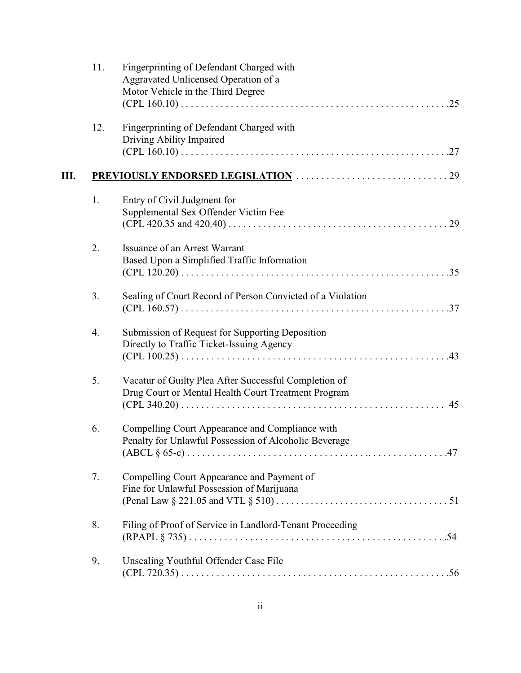|    | 11. | Fingerprinting of Defendant Charged with<br>Aggravated Unlicensed Operation of a<br>Motor Vehicle in the Third Degree |
|----|-----|-----------------------------------------------------------------------------------------------------------------------|
|    | 12. | Fingerprinting of Defendant Charged with<br>Driving Ability Impaired                                                  |
| Ш. |     |                                                                                                                       |
|    | 1.  | Entry of Civil Judgment for<br>Supplemental Sex Offender Victim Fee                                                   |
|    | 2.  | Issuance of an Arrest Warrant<br>Based Upon a Simplified Traffic Information                                          |
|    | 3.  | Sealing of Court Record of Person Convicted of a Violation                                                            |
|    | 4.  | Submission of Request for Supporting Deposition<br>Directly to Traffic Ticket-Issuing Agency                          |
|    | 5.  | Vacatur of Guilty Plea After Successful Completion of<br>Drug Court or Mental Health Court Treatment Program          |
|    | 6.  | Compelling Court Appearance and Compliance with<br>Penalty for Unlawful Possession of Alcoholic Beverage              |
|    | 7.  | Compelling Court Appearance and Payment of<br>Fine for Unlawful Possession of Marijuana                               |
|    | 8.  | Filing of Proof of Service in Landlord-Tenant Proceeding                                                              |
|    | 9.  | Unsealing Youthful Offender Case File                                                                                 |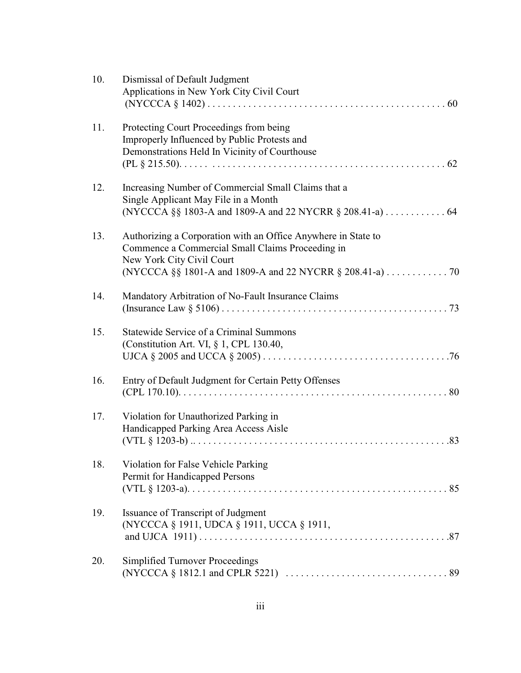| 10. | Dismissal of Default Judgment<br>Applications in New York City Civil Court                                                                                                                                 |
|-----|------------------------------------------------------------------------------------------------------------------------------------------------------------------------------------------------------------|
| 11. | Protecting Court Proceedings from being<br>Improperly Influenced by Public Protests and<br>Demonstrations Held In Vicinity of Courthouse                                                                   |
| 12. | Increasing Number of Commercial Small Claims that a<br>Single Applicant May File in a Month<br>(NYCCCA §§ 1803-A and 1809-A and 22 NYCRR § 208.41-a) 64                                                    |
| 13. | Authorizing a Corporation with an Office Anywhere in State to<br>Commence a Commercial Small Claims Proceeding in<br>New York City Civil Court<br>(NYCCCA §§ 1801-A and 1809-A and 22 NYCRR § 208.41-a) 70 |
| 14. | Mandatory Arbitration of No-Fault Insurance Claims                                                                                                                                                         |
| 15. | <b>Statewide Service of a Criminal Summons</b><br>(Constitution Art. VI, § 1, CPL 130.40,                                                                                                                  |
| 16. | Entry of Default Judgment for Certain Petty Offenses                                                                                                                                                       |
| 17. | Violation for Unauthorized Parking in<br>Handicapped Parking Area Access Aisle                                                                                                                             |
| 18. | Violation for False Vehicle Parking<br>Permit for Handicapped Persons                                                                                                                                      |
| 19. | Issuance of Transcript of Judgment<br>(NYCCCA § 1911, UDCA § 1911, UCCA § 1911,                                                                                                                            |
| 20. | Simplified Turnover Proceedings                                                                                                                                                                            |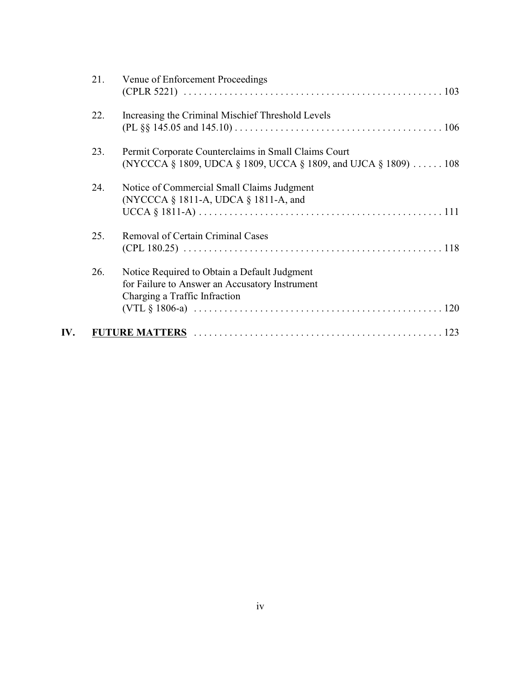|     | 21. | Venue of Enforcement Proceedings                                                                                                |
|-----|-----|---------------------------------------------------------------------------------------------------------------------------------|
|     | 22. | Increasing the Criminal Mischief Threshold Levels                                                                               |
|     | 23. | Permit Corporate Counterclaims in Small Claims Court<br>(NYCCCA § 1809, UDCA § 1809, UCCA § 1809, and UJCA § 1809) 108          |
|     | 24. | Notice of Commercial Small Claims Judgment<br>(NYCCCA § 1811-A, UDCA § 1811-A, and                                              |
|     | 25. | Removal of Certain Criminal Cases                                                                                               |
|     | 26. | Notice Required to Obtain a Default Judgment<br>for Failure to Answer an Accusatory Instrument<br>Charging a Traffic Infraction |
| IV. |     |                                                                                                                                 |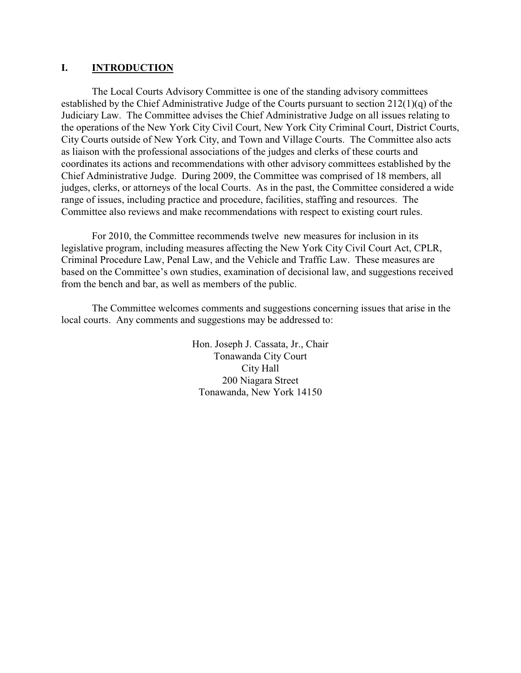## **I. INTRODUCTION**

The Local Courts Advisory Committee is one of the standing advisory committees established by the Chief Administrative Judge of the Courts pursuant to section 212(1)(q) of the Judiciary Law. The Committee advises the Chief Administrative Judge on all issues relating to the operations of the New York City Civil Court, New York City Criminal Court, District Courts, City Courts outside of New York City, and Town and Village Courts. The Committee also acts as liaison with the professional associations of the judges and clerks of these courts and coordinates its actions and recommendations with other advisory committees established by the Chief Administrative Judge. During 2009, the Committee was comprised of 18 members, all judges, clerks, or attorneys of the local Courts. As in the past, the Committee considered a wide range of issues, including practice and procedure, facilities, staffing and resources. The Committee also reviews and make recommendations with respect to existing court rules.

For 2010, the Committee recommends twelve new measures for inclusion in its legislative program, including measures affecting the New York City Civil Court Act, CPLR, Criminal Procedure Law, Penal Law, and the Vehicle and Traffic Law. These measures are based on the Committee's own studies, examination of decisional law, and suggestions received from the bench and bar, as well as members of the public.

The Committee welcomes comments and suggestions concerning issues that arise in the local courts. Any comments and suggestions may be addressed to:

> Hon. Joseph J. Cassata, Jr., Chair Tonawanda City Court City Hall 200 Niagara Street Tonawanda, New York 14150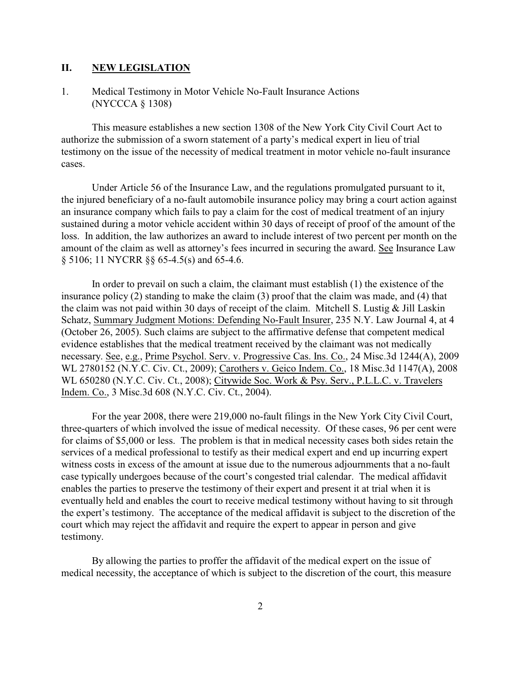## **II. NEW LEGISLATION**

## 1. Medical Testimony in Motor Vehicle No-Fault Insurance Actions (NYCCCA § 1308)

This measure establishes a new section 1308 of the New York City Civil Court Act to authorize the submission of a sworn statement of a party's medical expert in lieu of trial testimony on the issue of the necessity of medical treatment in motor vehicle no-fault insurance cases.

Under Article 56 of the Insurance Law, and the regulations promulgated pursuant to it, the injured beneficiary of a no-fault automobile insurance policy may bring a court action against an insurance company which fails to pay a claim for the cost of medical treatment of an injury sustained during a motor vehicle accident within 30 days of receipt of proof of the amount of the loss. In addition, the law authorizes an award to include interest of two percent per month on the amount of the claim as well as attorney's fees incurred in securing the award. See Insurance Law § 5106; 11 NYCRR §§ 65-4.5(s) and 65-4.6.

In order to prevail on such a claim, the claimant must establish (1) the existence of the insurance policy (2) standing to make the claim (3) proof that the claim was made, and (4) that the claim was not paid within 30 days of receipt of the claim. Mitchell S. Lustig & Jill Laskin Schatz, Summary Judgment Motions: Defending No-Fault Insurer, 235 N.Y. Law Journal 4, at 4 (October 26, 2005). Such claims are subject to the affirmative defense that competent medical evidence establishes that the medical treatment received by the claimant was not medically necessary. See, e.g., Prime Psychol. Serv. v. Progressive Cas. Ins. Co., 24 Misc.3d 1244(A), 2009 WL 2780152 (N.Y.C. Civ. Ct., 2009); Carothers v. Geico Indem. Co., 18 Misc.3d 1147(A), 2008 WL 650280 (N.Y.C. Civ. Ct., 2008); Citywide Soc. Work & Psy. Serv., P.L.L.C. v. Travelers Indem. Co., 3 Misc.3d 608 (N.Y.C. Civ. Ct., 2004).

For the year 2008, there were 219,000 no-fault filings in the New York City Civil Court, three-quarters of which involved the issue of medical necessity. Of these cases, 96 per cent were for claims of \$5,000 or less. The problem is that in medical necessity cases both sides retain the services of a medical professional to testify as their medical expert and end up incurring expert witness costs in excess of the amount at issue due to the numerous adjournments that a no-fault case typically undergoes because of the court's congested trial calendar. The medical affidavit enables the parties to preserve the testimony of their expert and present it at trial when it is eventually held and enables the court to receive medical testimony without having to sit through the expert's testimony. The acceptance of the medical affidavit is subject to the discretion of the court which may reject the affidavit and require the expert to appear in person and give testimony.

By allowing the parties to proffer the affidavit of the medical expert on the issue of medical necessity, the acceptance of which is subject to the discretion of the court, this measure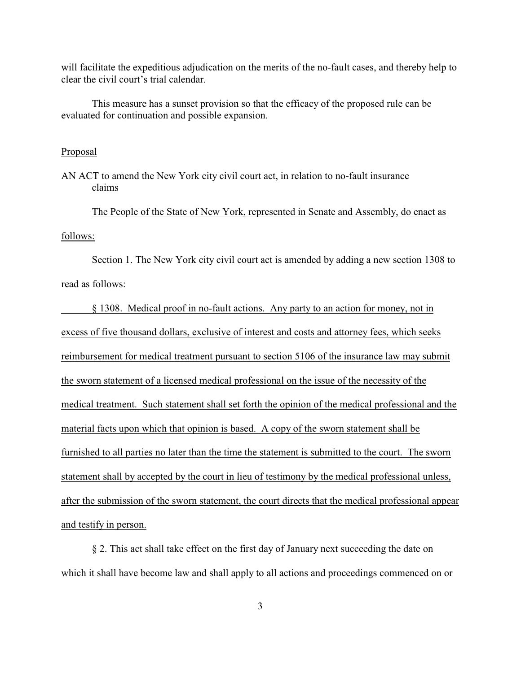will facilitate the expeditious adjudication on the merits of the no-fault cases, and thereby help to clear the civil court's trial calendar.

This measure has a sunset provision so that the efficacy of the proposed rule can be evaluated for continuation and possible expansion.

#### Proposal

AN ACT to amend the New York city civil court act, in relation to no-fault insurance claims

The People of the State of New York, represented in Senate and Assembly, do enact as follows:

Section 1. The New York city civil court act is amended by adding a new section 1308 to read as follows:

§ 1308. Medical proof in no-fault actions. Any party to an action for money, not in excess of five thousand dollars, exclusive of interest and costs and attorney fees, which seeks reimbursement for medical treatment pursuant to section 5106 of the insurance law may submit the sworn statement of a licensed medical professional on the issue of the necessity of the medical treatment. Such statement shall set forth the opinion of the medical professional and the material facts upon which that opinion is based. A copy of the sworn statement shall be furnished to all parties no later than the time the statement is submitted to the court. The sworn statement shall by accepted by the court in lieu of testimony by the medical professional unless, after the submission of the sworn statement, the court directs that the medical professional appear and testify in person.

§ 2. This act shall take effect on the first day of January next succeeding the date on which it shall have become law and shall apply to all actions and proceedings commenced on or

3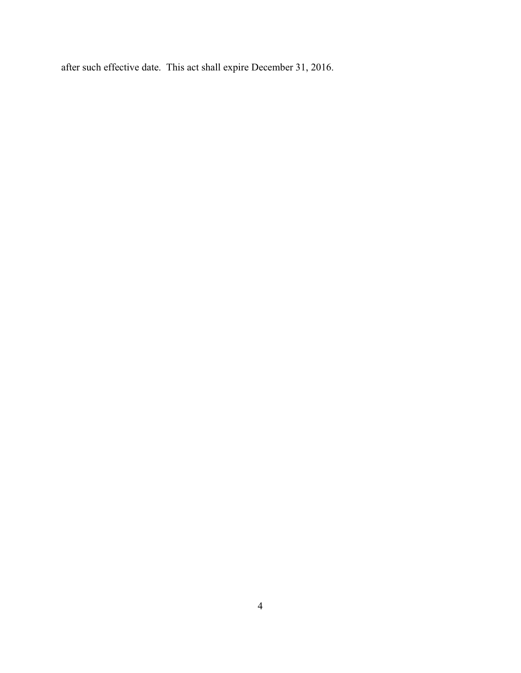after such effective date. This act shall expire December 31, 2016.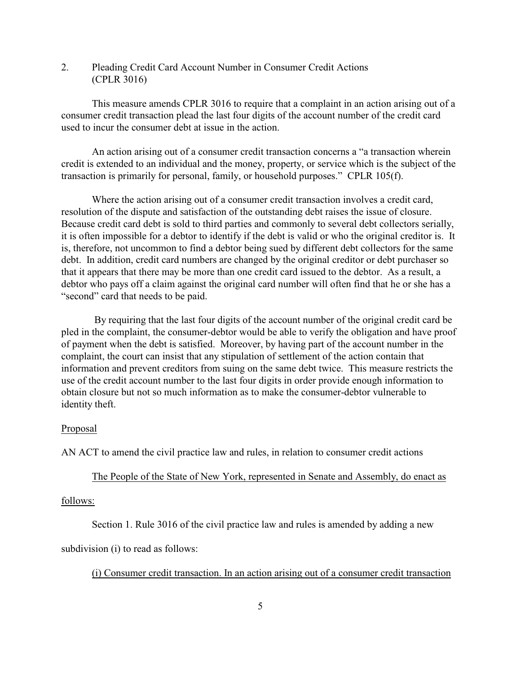2. Pleading Credit Card Account Number in Consumer Credit Actions (CPLR 3016)

This measure amends CPLR 3016 to require that a complaint in an action arising out of a consumer credit transaction plead the last four digits of the account number of the credit card used to incur the consumer debt at issue in the action.

An action arising out of a consumer credit transaction concerns a "a transaction wherein credit is extended to an individual and the money, property, or service which is the subject of the transaction is primarily for personal, family, or household purposes." CPLR 105(f).

Where the action arising out of a consumer credit transaction involves a credit card, resolution of the dispute and satisfaction of the outstanding debt raises the issue of closure. Because credit card debt is sold to third parties and commonly to several debt collectors serially, it is often impossible for a debtor to identify if the debt is valid or who the original creditor is. It is, therefore, not uncommon to find a debtor being sued by different debt collectors for the same debt. In addition, credit card numbers are changed by the original creditor or debt purchaser so that it appears that there may be more than one credit card issued to the debtor. As a result, a debtor who pays off a claim against the original card number will often find that he or she has a "second" card that needs to be paid.

 By requiring that the last four digits of the account number of the original credit card be pled in the complaint, the consumer-debtor would be able to verify the obligation and have proof of payment when the debt is satisfied. Moreover, by having part of the account number in the complaint, the court can insist that any stipulation of settlement of the action contain that information and prevent creditors from suing on the same debt twice. This measure restricts the use of the credit account number to the last four digits in order provide enough information to obtain closure but not so much information as to make the consumer-debtor vulnerable to identity theft.

#### Proposal

AN ACT to amend the civil practice law and rules, in relation to consumer credit actions

## The People of the State of New York, represented in Senate and Assembly, do enact as

#### follows:

Section 1. Rule 3016 of the civil practice law and rules is amended by adding a new

## subdivision (i) to read as follows:

(i) Consumer credit transaction. In an action arising out of a consumer credit transaction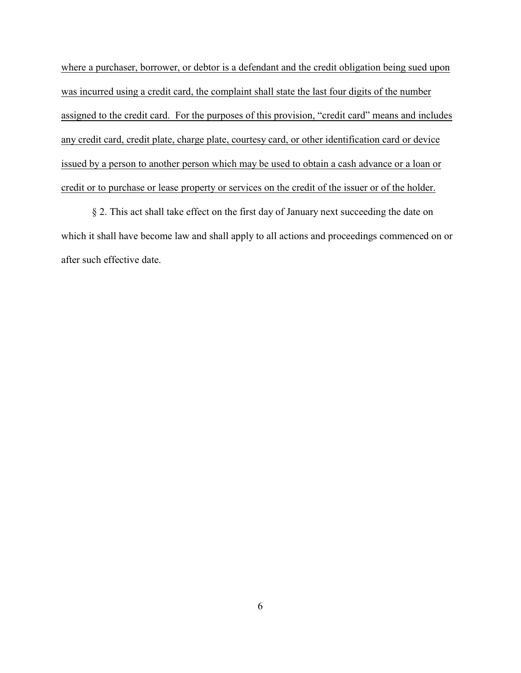where a purchaser, borrower, or debtor is a defendant and the credit obligation being sued upon was incurred using a credit card, the complaint shall state the last four digits of the number assigned to the credit card. For the purposes of this provision, "credit card" means and includes any credit card, credit plate, charge plate, courtesy card, or other identification card or device issued by a person to another person which may be used to obtain a cash advance or a loan or credit or to purchase or lease property or services on the credit of the issuer or of the holder.

§ 2. This act shall take effect on the first day of January next succeeding the date on which it shall have become law and shall apply to all actions and proceedings commenced on or after such effective date.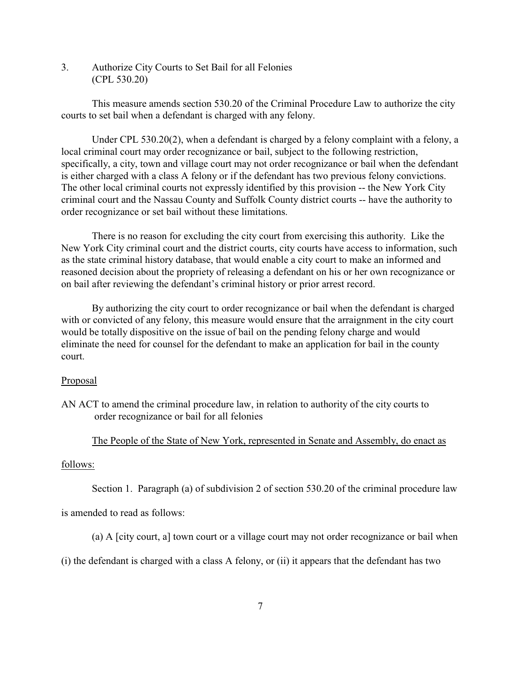3. Authorize City Courts to Set Bail for all Felonies (CPL 530.20)

This measure amends section 530.20 of the Criminal Procedure Law to authorize the city courts to set bail when a defendant is charged with any felony.

Under CPL 530.20(2), when a defendant is charged by a felony complaint with a felony, a local criminal court may order recognizance or bail, subject to the following restriction, specifically, a city, town and village court may not order recognizance or bail when the defendant is either charged with a class A felony or if the defendant has two previous felony convictions. The other local criminal courts not expressly identified by this provision -- the New York City criminal court and the Nassau County and Suffolk County district courts -- have the authority to order recognizance or set bail without these limitations.

There is no reason for excluding the city court from exercising this authority. Like the New York City criminal court and the district courts, city courts have access to information, such as the state criminal history database, that would enable a city court to make an informed and reasoned decision about the propriety of releasing a defendant on his or her own recognizance or on bail after reviewing the defendant's criminal history or prior arrest record.

By authorizing the city court to order recognizance or bail when the defendant is charged with or convicted of any felony, this measure would ensure that the arraignment in the city court would be totally dispositive on the issue of bail on the pending felony charge and would eliminate the need for counsel for the defendant to make an application for bail in the county court.

## Proposal

AN ACT to amend the criminal procedure law, in relation to authority of the city courts to order recognizance or bail for all felonies

#### The People of the State of New York, represented in Senate and Assembly, do enact as

#### follows:

Section 1. Paragraph (a) of subdivision 2 of section 530.20 of the criminal procedure law

is amended to read as follows:

(a) A [city court, a] town court or a village court may not order recognizance or bail when

(i) the defendant is charged with a class A felony, or (ii) it appears that the defendant has two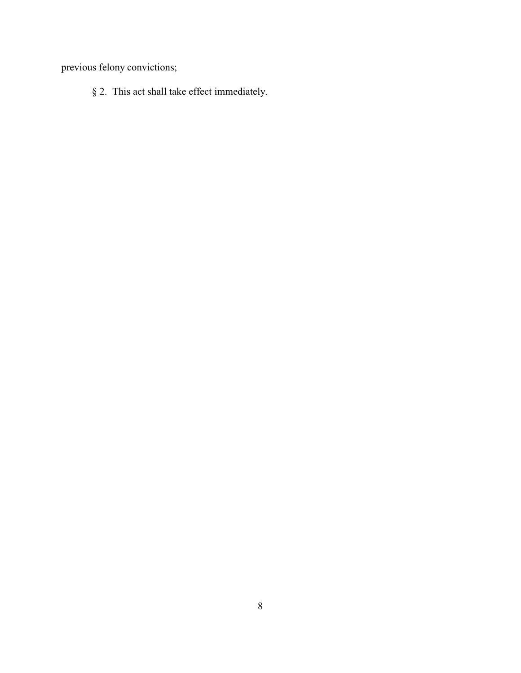previous felony convictions;

§ 2. This act shall take effect immediately.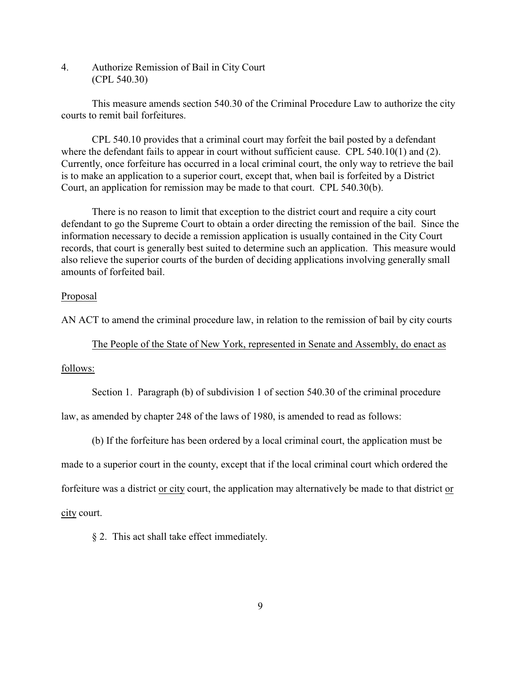4. Authorize Remission of Bail in City Court (CPL 540.30)

This measure amends section 540.30 of the Criminal Procedure Law to authorize the city courts to remit bail forfeitures.

CPL 540.10 provides that a criminal court may forfeit the bail posted by a defendant where the defendant fails to appear in court without sufficient cause. CPL 540.10(1) and (2). Currently, once forfeiture has occurred in a local criminal court, the only way to retrieve the bail is to make an application to a superior court, except that, when bail is forfeited by a District Court, an application for remission may be made to that court. CPL 540.30(b).

There is no reason to limit that exception to the district court and require a city court defendant to go the Supreme Court to obtain a order directing the remission of the bail. Since the information necessary to decide a remission application is usually contained in the City Court records, that court is generally best suited to determine such an application. This measure would also relieve the superior courts of the burden of deciding applications involving generally small amounts of forfeited bail.

#### Proposal

AN ACT to amend the criminal procedure law, in relation to the remission of bail by city courts

The People of the State of New York, represented in Senate and Assembly, do enact as

#### follows:

Section 1. Paragraph (b) of subdivision 1 of section 540.30 of the criminal procedure

law, as amended by chapter 248 of the laws of 1980, is amended to read as follows:

(b) If the forfeiture has been ordered by a local criminal court, the application must be

made to a superior court in the county, except that if the local criminal court which ordered the

forfeiture was a district or city court, the application may alternatively be made to that district or

city court.

§ 2. This act shall take effect immediately.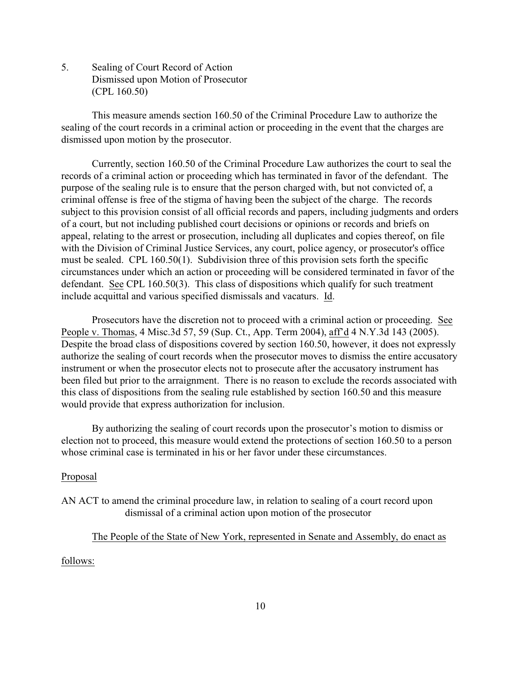5. Sealing of Court Record of Action Dismissed upon Motion of Prosecutor (CPL 160.50)

This measure amends section 160.50 of the Criminal Procedure Law to authorize the sealing of the court records in a criminal action or proceeding in the event that the charges are dismissed upon motion by the prosecutor.

Currently, section 160.50 of the Criminal Procedure Law authorizes the court to seal the records of a criminal action or proceeding which has terminated in favor of the defendant. The purpose of the sealing rule is to ensure that the person charged with, but not convicted of, a criminal offense is free of the stigma of having been the subject of the charge. The records subject to this provision consist of all official records and papers, including judgments and orders of a court, but not including published court decisions or opinions or records and briefs on appeal, relating to the arrest or prosecution, including all duplicates and copies thereof, on file with the Division of Criminal Justice Services, any court, police agency, or prosecutor's office must be sealed. CPL 160.50(1). Subdivision three of this provision sets forth the specific circumstances under which an action or proceeding will be considered terminated in favor of the defendant. See CPL 160.50(3). This class of dispositions which qualify for such treatment include acquittal and various specified dismissals and vacaturs. Id.

Prosecutors have the discretion not to proceed with a criminal action or proceeding. See People v. Thomas, 4 Misc.3d 57, 59 (Sup. Ct., App. Term 2004), aff'd 4 N.Y.3d 143 (2005). Despite the broad class of dispositions covered by section 160.50, however, it does not expressly authorize the sealing of court records when the prosecutor moves to dismiss the entire accusatory instrument or when the prosecutor elects not to prosecute after the accusatory instrument has been filed but prior to the arraignment. There is no reason to exclude the records associated with this class of dispositions from the sealing rule established by section 160.50 and this measure would provide that express authorization for inclusion.

By authorizing the sealing of court records upon the prosecutor's motion to dismiss or election not to proceed, this measure would extend the protections of section 160.50 to a person whose criminal case is terminated in his or her favor under these circumstances.

## Proposal

AN ACT to amend the criminal procedure law, in relation to sealing of a court record upon dismissal of a criminal action upon motion of the prosecutor

## The People of the State of New York, represented in Senate and Assembly, do enact as

#### follows: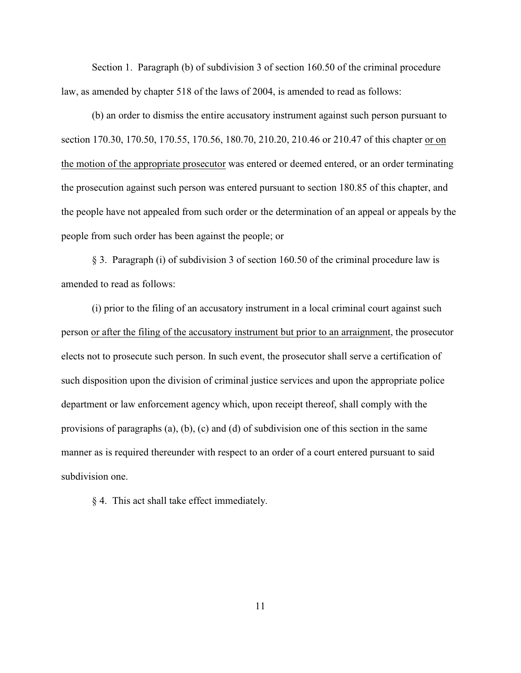Section 1. Paragraph (b) of subdivision 3 of section 160.50 of the criminal procedure law, as amended by chapter 518 of the laws of 2004, is amended to read as follows:

(b) an order to dismiss the entire accusatory instrument against such person pursuant to section 170.30, 170.50, 170.55, 170.56, 180.70, 210.20, 210.46 or 210.47 of this chapter or on the motion of the appropriate prosecutor was entered or deemed entered, or an order terminating the prosecution against such person was entered pursuant to section 180.85 of this chapter, and the people have not appealed from such order or the determination of an appeal or appeals by the people from such order has been against the people; or

§ 3. Paragraph (i) of subdivision 3 of section 160.50 of the criminal procedure law is amended to read as follows:

(i) prior to the filing of an accusatory instrument in a local criminal court against such person or after the filing of the accusatory instrument but prior to an arraignment, the prosecutor elects not to prosecute such person. In such event, the prosecutor shall serve a certification of such disposition upon the division of criminal justice services and upon the appropriate police department or law enforcement agency which, upon receipt thereof, shall comply with the provisions of paragraphs (a), (b), (c) and (d) of subdivision one of this section in the same manner as is required thereunder with respect to an order of a court entered pursuant to said subdivision one.

§ 4. This act shall take effect immediately.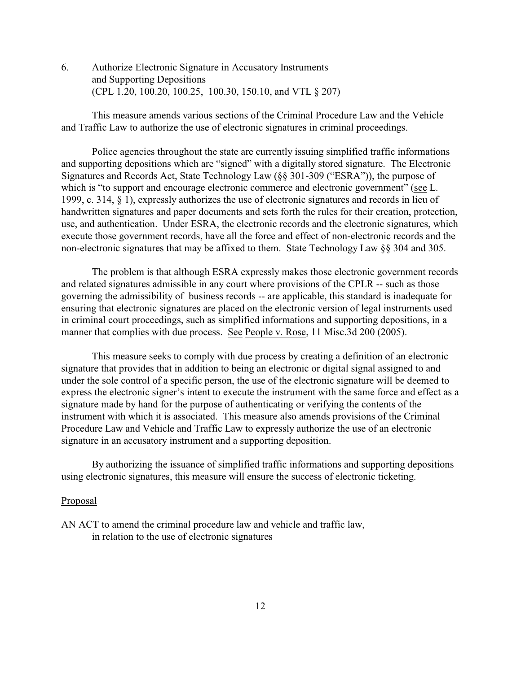6. Authorize Electronic Signature in Accusatory Instruments and Supporting Depositions (CPL 1.20, 100.20, 100.25, 100.30, 150.10, and VTL § 207)

This measure amends various sections of the Criminal Procedure Law and the Vehicle and Traffic Law to authorize the use of electronic signatures in criminal proceedings.

Police agencies throughout the state are currently issuing simplified traffic informations and supporting depositions which are "signed" with a digitally stored signature. The Electronic Signatures and Records Act, State Technology Law (§§ 301-309 ("ESRA")), the purpose of which is "to support and encourage electronic commerce and electronic government" (see L. 1999, c. 314, § 1), expressly authorizes the use of electronic signatures and records in lieu of handwritten signatures and paper documents and sets forth the rules for their creation, protection, use, and authentication. Under ESRA, the electronic records and the electronic signatures, which execute those government records, have all the force and effect of non-electronic records and the non-electronic signatures that may be affixed to them. State Technology Law §§ 304 and 305.

The problem is that although ESRA expressly makes those electronic government records and related signatures admissible in any court where provisions of the CPLR -- such as those governing the admissibility of business records -- are applicable, this standard is inadequate for ensuring that electronic signatures are placed on the electronic version of legal instruments used in criminal court proceedings, such as simplified informations and supporting depositions, in a manner that complies with due process. See People v. Rose, 11 Misc.3d 200 (2005).

This measure seeks to comply with due process by creating a definition of an electronic signature that provides that in addition to being an electronic or digital signal assigned to and under the sole control of a specific person, the use of the electronic signature will be deemed to express the electronic signer's intent to execute the instrument with the same force and effect as a signature made by hand for the purpose of authenticating or verifying the contents of the instrument with which it is associated. This measure also amends provisions of the Criminal Procedure Law and Vehicle and Traffic Law to expressly authorize the use of an electronic signature in an accusatory instrument and a supporting deposition.

By authorizing the issuance of simplified traffic informations and supporting depositions using electronic signatures, this measure will ensure the success of electronic ticketing.

#### Proposal

AN ACT to amend the criminal procedure law and vehicle and traffic law, in relation to the use of electronic signatures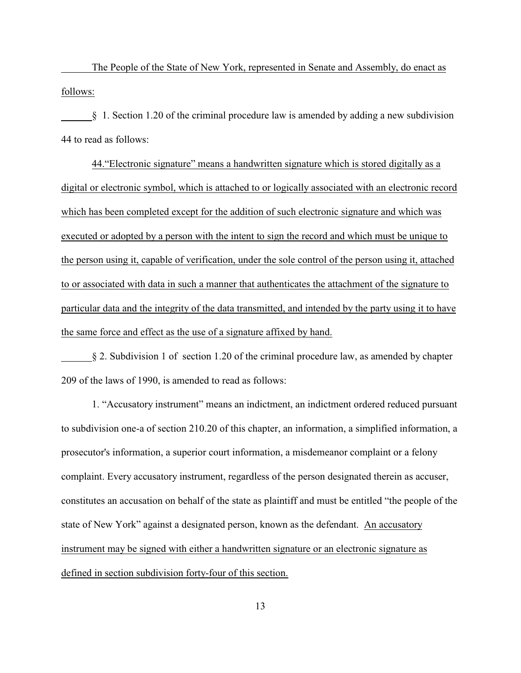The People of the State of New York, represented in Senate and Assembly, do enact as follows:

 $\frac{1}{8}$  1. Section 1.20 of the criminal procedure law is amended by adding a new subdivision 44 to read as follows:

44."Electronic signature" means a handwritten signature which is stored digitally as a digital or electronic symbol, which is attached to or logically associated with an electronic record which has been completed except for the addition of such electronic signature and which was executed or adopted by a person with the intent to sign the record and which must be unique to the person using it, capable of verification, under the sole control of the person using it, attached to or associated with data in such a manner that authenticates the attachment of the signature to particular data and the integrity of the data transmitted, and intended by the party using it to have the same force and effect as the use of a signature affixed by hand.

§ 2. Subdivision 1 of section 1.20 of the criminal procedure law, as amended by chapter 209 of the laws of 1990, is amended to read as follows:

1. "Accusatory instrument" means an indictment, an indictment ordered reduced pursuant to subdivision one-a of section 210.20 of this chapter, an information, a simplified information, a prosecutor's information, a superior court information, a misdemeanor complaint or a felony complaint. Every accusatory instrument, regardless of the person designated therein as accuser, constitutes an accusation on behalf of the state as plaintiff and must be entitled "the people of the state of New York" against a designated person, known as the defendant. An accusatory instrument may be signed with either a handwritten signature or an electronic signature as defined in section subdivision forty-four of this section.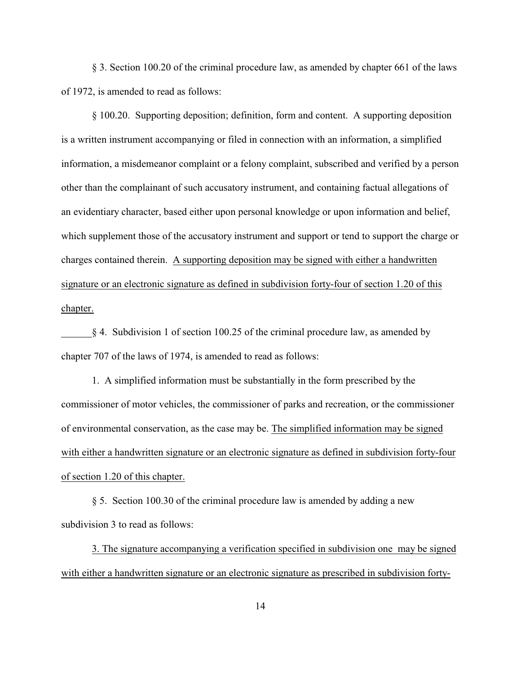§ 3. Section 100.20 of the criminal procedure law, as amended by chapter 661 of the laws of 1972, is amended to read as follows:

§ 100.20. Supporting deposition; definition, form and content. A supporting deposition is a written instrument accompanying or filed in connection with an information, a simplified information, a misdemeanor complaint or a felony complaint, subscribed and verified by a person other than the complainant of such accusatory instrument, and containing factual allegations of an evidentiary character, based either upon personal knowledge or upon information and belief, which supplement those of the accusatory instrument and support or tend to support the charge or charges contained therein. A supporting deposition may be signed with either a handwritten signature or an electronic signature as defined in subdivision forty-four of section 1.20 of this chapter.

§ 4. Subdivision 1 of section 100.25 of the criminal procedure law, as amended by chapter 707 of the laws of 1974, is amended to read as follows:

1. A simplified information must be substantially in the form prescribed by the commissioner of motor vehicles, the commissioner of parks and recreation, or the commissioner of environmental conservation, as the case may be. The simplified information may be signed with either a handwritten signature or an electronic signature as defined in subdivision forty-four of section 1.20 of this chapter.

§ 5. Section 100.30 of the criminal procedure law is amended by adding a new subdivision 3 to read as follows:

3. The signature accompanying a verification specified in subdivision one may be signed with either a handwritten signature or an electronic signature as prescribed in subdivision forty-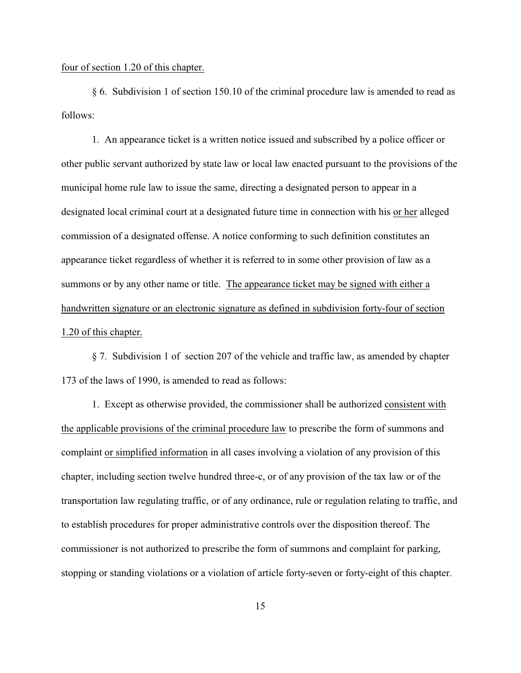#### four of section 1.20 of this chapter.

§ 6. Subdivision 1 of section 150.10 of the criminal procedure law is amended to read as follows:

1. An appearance ticket is a written notice issued and subscribed by a police officer or other public servant authorized by state law or local law enacted pursuant to the provisions of the municipal home rule law to issue the same, directing a designated person to appear in a designated local criminal court at a designated future time in connection with his or her alleged commission of a designated offense. A notice conforming to such definition constitutes an appearance ticket regardless of whether it is referred to in some other provision of law as a summons or by any other name or title. The appearance ticket may be signed with either a handwritten signature or an electronic signature as defined in subdivision forty-four of section 1.20 of this chapter.

§ 7. Subdivision 1 of section 207 of the vehicle and traffic law, as amended by chapter 173 of the laws of 1990, is amended to read as follows:

1. Except as otherwise provided, the commissioner shall be authorized consistent with the applicable provisions of the criminal procedure law to prescribe the form of summons and complaint or simplified information in all cases involving a violation of any provision of this chapter, including section twelve hundred three-c, or of any provision of the tax law or of the transportation law regulating traffic, or of any ordinance, rule or regulation relating to traffic, and to establish procedures for proper administrative controls over the disposition thereof. The commissioner is not authorized to prescribe the form of summons and complaint for parking, stopping or standing violations or a violation of article forty-seven or forty-eight of this chapter.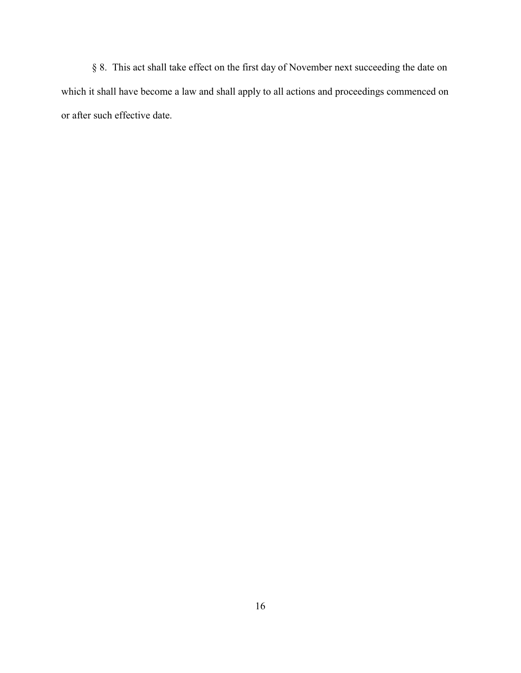§ 8. This act shall take effect on the first day of November next succeeding the date on which it shall have become a law and shall apply to all actions and proceedings commenced on or after such effective date.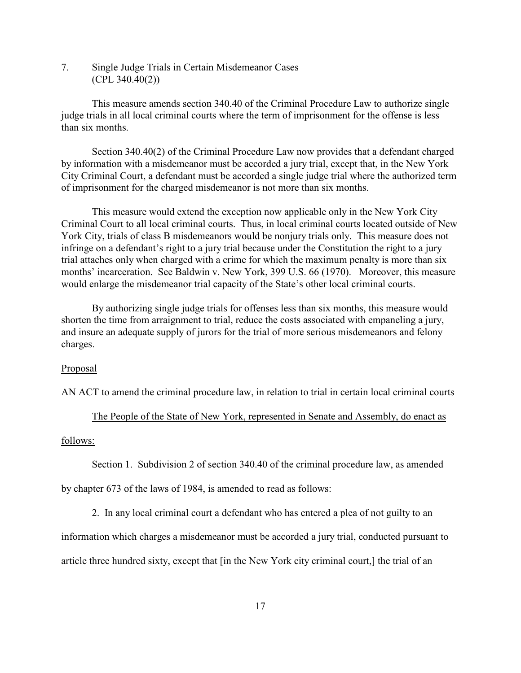7. Single Judge Trials in Certain Misdemeanor Cases (CPL 340.40(2))

This measure amends section 340.40 of the Criminal Procedure Law to authorize single judge trials in all local criminal courts where the term of imprisonment for the offense is less than six months.

Section 340.40(2) of the Criminal Procedure Law now provides that a defendant charged by information with a misdemeanor must be accorded a jury trial, except that, in the New York City Criminal Court, a defendant must be accorded a single judge trial where the authorized term of imprisonment for the charged misdemeanor is not more than six months.

This measure would extend the exception now applicable only in the New York City Criminal Court to all local criminal courts. Thus, in local criminal courts located outside of New York City, trials of class B misdemeanors would be nonjury trials only. This measure does not infringe on a defendant's right to a jury trial because under the Constitution the right to a jury trial attaches only when charged with a crime for which the maximum penalty is more than six months' incarceration. See Baldwin v. New York, 399 U.S. 66 (1970). Moreover, this measure would enlarge the misdemeanor trial capacity of the State's other local criminal courts.

By authorizing single judge trials for offenses less than six months, this measure would shorten the time from arraignment to trial, reduce the costs associated with empaneling a jury, and insure an adequate supply of jurors for the trial of more serious misdemeanors and felony charges.

#### Proposal

AN ACT to amend the criminal procedure law, in relation to trial in certain local criminal courts

#### The People of the State of New York, represented in Senate and Assembly, do enact as

#### follows:

Section 1. Subdivision 2 of section 340.40 of the criminal procedure law, as amended

by chapter 673 of the laws of 1984, is amended to read as follows:

2. In any local criminal court a defendant who has entered a plea of not guilty to an

information which charges a misdemeanor must be accorded a jury trial, conducted pursuant to

article three hundred sixty, except that [in the New York city criminal court,] the trial of an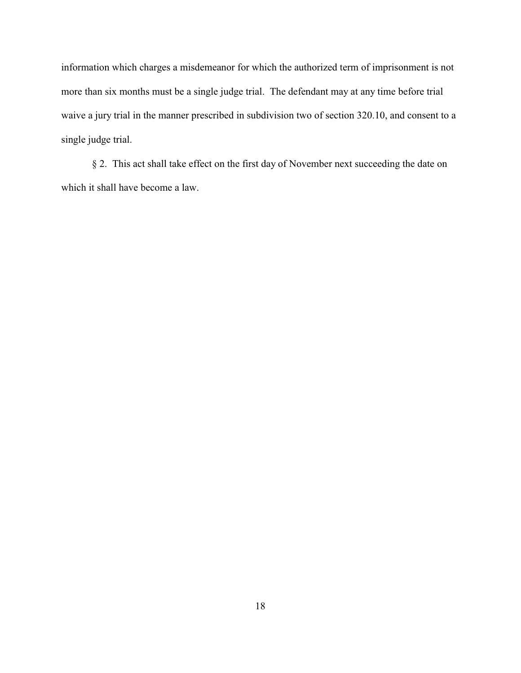information which charges a misdemeanor for which the authorized term of imprisonment is not more than six months must be a single judge trial. The defendant may at any time before trial waive a jury trial in the manner prescribed in subdivision two of section 320.10, and consent to a single judge trial.

§ 2. This act shall take effect on the first day of November next succeeding the date on which it shall have become a law.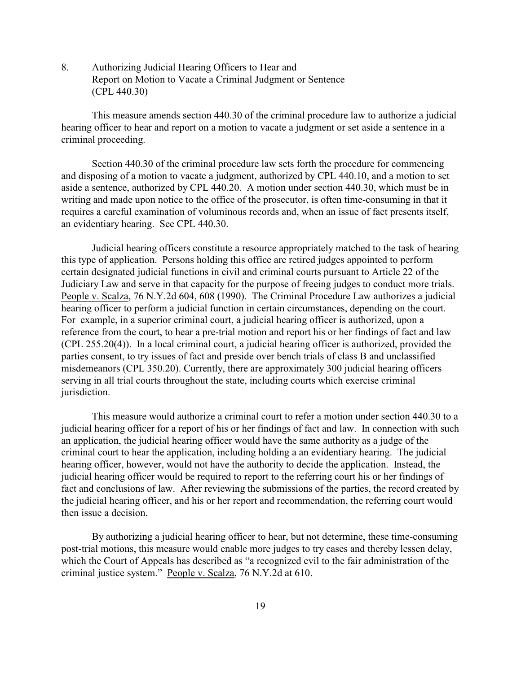8. Authorizing Judicial Hearing Officers to Hear and Report on Motion to Vacate a Criminal Judgment or Sentence (CPL 440.30)

This measure amends section 440.30 of the criminal procedure law to authorize a judicial hearing officer to hear and report on a motion to vacate a judgment or set aside a sentence in a criminal proceeding.

Section 440.30 of the criminal procedure law sets forth the procedure for commencing and disposing of a motion to vacate a judgment, authorized by CPL 440.10, and a motion to set aside a sentence, authorized by CPL 440.20. A motion under section 440.30, which must be in writing and made upon notice to the office of the prosecutor, is often time-consuming in that it requires a careful examination of voluminous records and, when an issue of fact presents itself, an evidentiary hearing. See CPL 440.30.

Judicial hearing officers constitute a resource appropriately matched to the task of hearing this type of application. Persons holding this office are retired judges appointed to perform certain designated judicial functions in civil and criminal courts pursuant to Article 22 of the Judiciary Law and serve in that capacity for the purpose of freeing judges to conduct more trials. People v. Scalza, 76 N.Y.2d 604, 608 (1990). The Criminal Procedure Law authorizes a judicial hearing officer to perform a judicial function in certain circumstances, depending on the court. For example, in a superior criminal court, a judicial hearing officer is authorized, upon a reference from the court, to hear a pre-trial motion and report his or her findings of fact and law (CPL 255.20(4)). In a local criminal court, a judicial hearing officer is authorized, provided the parties consent, to try issues of fact and preside over bench trials of class B and unclassified misdemeanors (CPL 350.20). Currently, there are approximately 300 judicial hearing officers serving in all trial courts throughout the state, including courts which exercise criminal jurisdiction.

This measure would authorize a criminal court to refer a motion under section 440.30 to a judicial hearing officer for a report of his or her findings of fact and law. In connection with such an application, the judicial hearing officer would have the same authority as a judge of the criminal court to hear the application, including holding a an evidentiary hearing. The judicial hearing officer, however, would not have the authority to decide the application. Instead, the judicial hearing officer would be required to report to the referring court his or her findings of fact and conclusions of law. After reviewing the submissions of the parties, the record created by the judicial hearing officer, and his or her report and recommendation, the referring court would then issue a decision.

By authorizing a judicial hearing officer to hear, but not determine, these time-consuming post-trial motions, this measure would enable more judges to try cases and thereby lessen delay, which the Court of Appeals has described as "a recognized evil to the fair administration of the criminal justice system." People v. Scalza, 76 N.Y.2d at 610.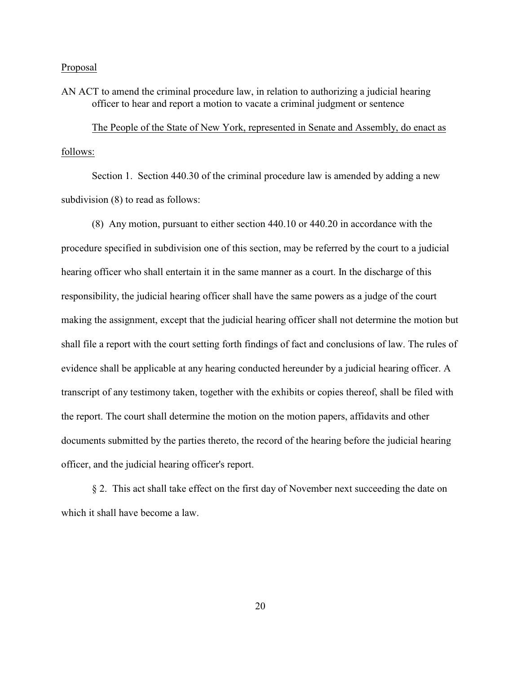#### Proposal

AN ACT to amend the criminal procedure law, in relation to authorizing a judicial hearing officer to hear and report a motion to vacate a criminal judgment or sentence

The People of the State of New York, represented in Senate and Assembly, do enact as follows:

Section 1. Section 440.30 of the criminal procedure law is amended by adding a new subdivision (8) to read as follows:

(8) Any motion, pursuant to either section 440.10 or 440.20 in accordance with the procedure specified in subdivision one of this section, may be referred by the court to a judicial hearing officer who shall entertain it in the same manner as a court. In the discharge of this responsibility, the judicial hearing officer shall have the same powers as a judge of the court making the assignment, except that the judicial hearing officer shall not determine the motion but shall file a report with the court setting forth findings of fact and conclusions of law. The rules of evidence shall be applicable at any hearing conducted hereunder by a judicial hearing officer. A transcript of any testimony taken, together with the exhibits or copies thereof, shall be filed with the report. The court shall determine the motion on the motion papers, affidavits and other documents submitted by the parties thereto, the record of the hearing before the judicial hearing officer, and the judicial hearing officer's report.

§ 2. This act shall take effect on the first day of November next succeeding the date on which it shall have become a law.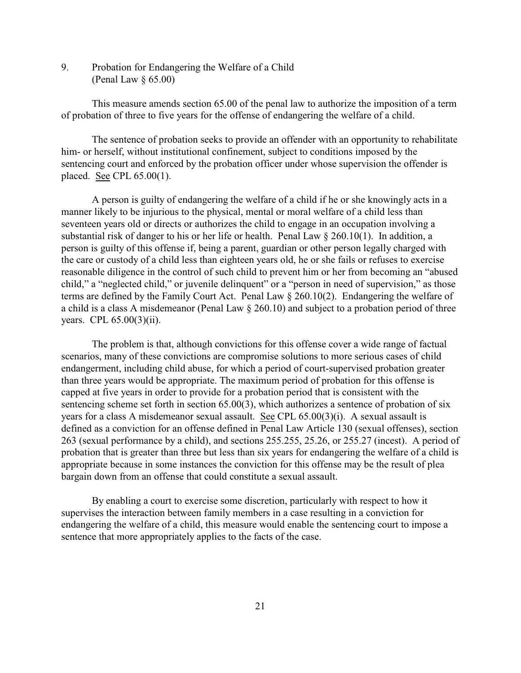9. Probation for Endangering the Welfare of a Child (Penal Law § 65.00)

This measure amends section 65.00 of the penal law to authorize the imposition of a term of probation of three to five years for the offense of endangering the welfare of a child.

The sentence of probation seeks to provide an offender with an opportunity to rehabilitate him- or herself, without institutional confinement, subject to conditions imposed by the sentencing court and enforced by the probation officer under whose supervision the offender is placed. See CPL 65.00(1).

A person is guilty of endangering the welfare of a child if he or she knowingly acts in a manner likely to be injurious to the physical, mental or moral welfare of a child less than seventeen years old or directs or authorizes the child to engage in an occupation involving a substantial risk of danger to his or her life or health. Penal Law § 260.10(1). In addition, a person is guilty of this offense if, being a parent, guardian or other person legally charged with the care or custody of a child less than eighteen years old, he or she fails or refuses to exercise reasonable diligence in the control of such child to prevent him or her from becoming an "abused child," a "neglected child," or juvenile delinquent" or a "person in need of supervision," as those terms are defined by the Family Court Act. Penal Law § 260.10(2). Endangering the welfare of a child is a class A misdemeanor (Penal Law § 260.10) and subject to a probation period of three years. CPL 65.00(3)(ii).

The problem is that, although convictions for this offense cover a wide range of factual scenarios, many of these convictions are compromise solutions to more serious cases of child endangerment, including child abuse, for which a period of court-supervised probation greater than three years would be appropriate. The maximum period of probation for this offense is capped at five years in order to provide for a probation period that is consistent with the sentencing scheme set forth in section 65.00(3), which authorizes a sentence of probation of six years for a class A misdemeanor sexual assault. See CPL 65.00(3)(i). A sexual assault is defined as a conviction for an offense defined in Penal Law Article 130 (sexual offenses), section 263 (sexual performance by a child), and sections 255.255, 25.26, or 255.27 (incest). A period of probation that is greater than three but less than six years for endangering the welfare of a child is appropriate because in some instances the conviction for this offense may be the result of plea bargain down from an offense that could constitute a sexual assault.

By enabling a court to exercise some discretion, particularly with respect to how it supervises the interaction between family members in a case resulting in a conviction for endangering the welfare of a child, this measure would enable the sentencing court to impose a sentence that more appropriately applies to the facts of the case.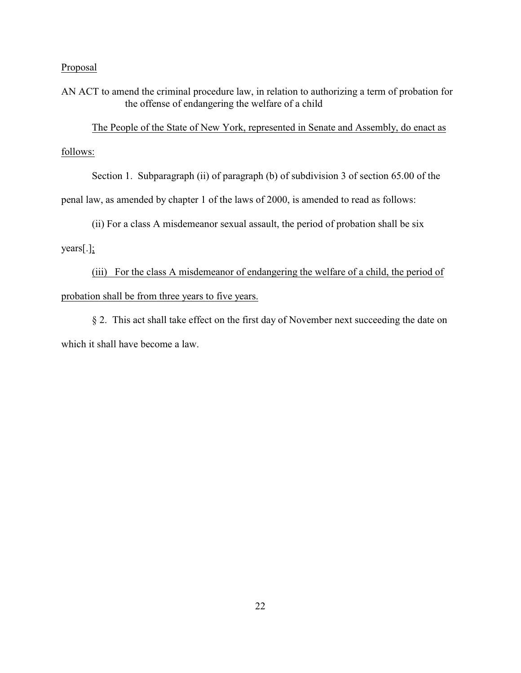#### Proposal

AN ACT to amend the criminal procedure law, in relation to authorizing a term of probation for the offense of endangering the welfare of a child

The People of the State of New York, represented in Senate and Assembly, do enact as follows:

Section 1. Subparagraph (ii) of paragraph (b) of subdivision 3 of section 65.00 of the

penal law, as amended by chapter 1 of the laws of 2000, is amended to read as follows:

(ii) For a class A misdemeanor sexual assault, the period of probation shall be six

## years[.];

(iii) For the class A misdemeanor of endangering the welfare of a child, the period of probation shall be from three years to five years.

§ 2. This act shall take effect on the first day of November next succeeding the date on which it shall have become a law.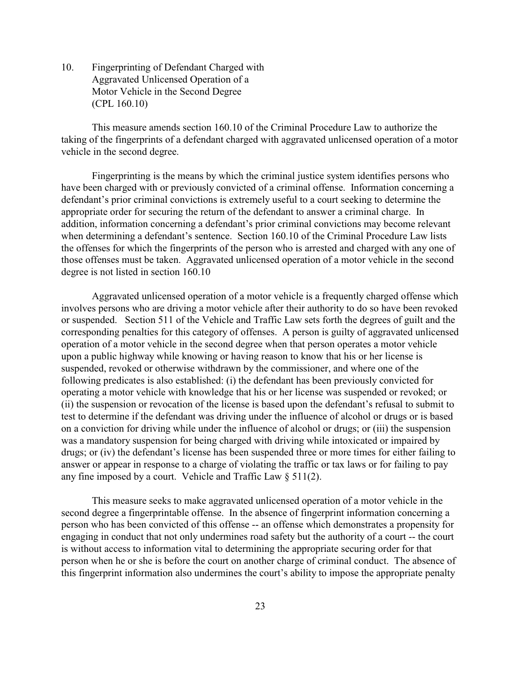10. Fingerprinting of Defendant Charged with Aggravated Unlicensed Operation of a Motor Vehicle in the Second Degree (CPL 160.10)

This measure amends section 160.10 of the Criminal Procedure Law to authorize the taking of the fingerprints of a defendant charged with aggravated unlicensed operation of a motor vehicle in the second degree.

Fingerprinting is the means by which the criminal justice system identifies persons who have been charged with or previously convicted of a criminal offense. Information concerning a defendant's prior criminal convictions is extremely useful to a court seeking to determine the appropriate order for securing the return of the defendant to answer a criminal charge. In addition, information concerning a defendant's prior criminal convictions may become relevant when determining a defendant's sentence. Section 160.10 of the Criminal Procedure Law lists the offenses for which the fingerprints of the person who is arrested and charged with any one of those offenses must be taken. Aggravated unlicensed operation of a motor vehicle in the second degree is not listed in section 160.10

Aggravated unlicensed operation of a motor vehicle is a frequently charged offense which involves persons who are driving a motor vehicle after their authority to do so have been revoked or suspended. Section 511 of the Vehicle and Traffic Law sets forth the degrees of guilt and the corresponding penalties for this category of offenses. A person is guilty of aggravated unlicensed operation of a motor vehicle in the second degree when that person operates a motor vehicle upon a public highway while knowing or having reason to know that his or her license is suspended, revoked or otherwise withdrawn by the commissioner, and where one of the following predicates is also established: (i) the defendant has been previously convicted for operating a motor vehicle with knowledge that his or her license was suspended or revoked; or (ii) the suspension or revocation of the license is based upon the defendant's refusal to submit to test to determine if the defendant was driving under the influence of alcohol or drugs or is based on a conviction for driving while under the influence of alcohol or drugs; or (iii) the suspension was a mandatory suspension for being charged with driving while intoxicated or impaired by drugs; or (iv) the defendant's license has been suspended three or more times for either failing to answer or appear in response to a charge of violating the traffic or tax laws or for failing to pay any fine imposed by a court. Vehicle and Traffic Law § 511(2).

This measure seeks to make aggravated unlicensed operation of a motor vehicle in the second degree a fingerprintable offense. In the absence of fingerprint information concerning a person who has been convicted of this offense -- an offense which demonstrates a propensity for engaging in conduct that not only undermines road safety but the authority of a court -- the court is without access to information vital to determining the appropriate securing order for that person when he or she is before the court on another charge of criminal conduct. The absence of this fingerprint information also undermines the court's ability to impose the appropriate penalty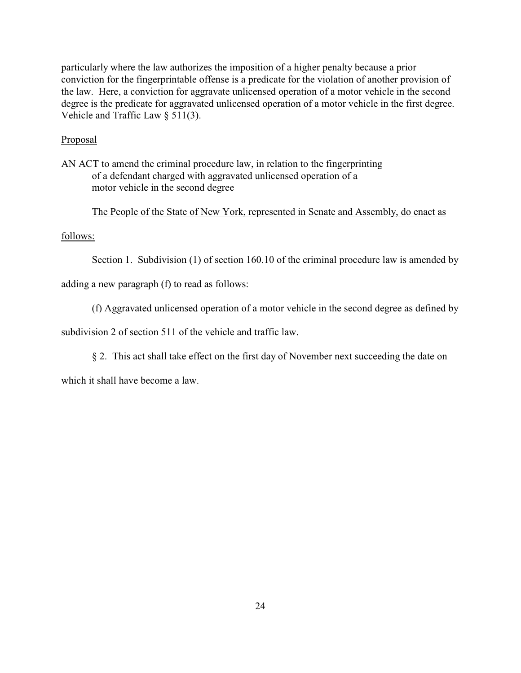particularly where the law authorizes the imposition of a higher penalty because a prior conviction for the fingerprintable offense is a predicate for the violation of another provision of the law. Here, a conviction for aggravate unlicensed operation of a motor vehicle in the second degree is the predicate for aggravated unlicensed operation of a motor vehicle in the first degree. Vehicle and Traffic Law § 511(3).

## Proposal

AN ACT to amend the criminal procedure law, in relation to the fingerprinting of a defendant charged with aggravated unlicensed operation of a motor vehicle in the second degree

The People of the State of New York, represented in Senate and Assembly, do enact as

## follows:

Section 1. Subdivision (1) of section 160.10 of the criminal procedure law is amended by

adding a new paragraph (f) to read as follows:

(f) Aggravated unlicensed operation of a motor vehicle in the second degree as defined by

subdivision 2 of section 511 of the vehicle and traffic law.

§ 2. This act shall take effect on the first day of November next succeeding the date on

which it shall have become a law.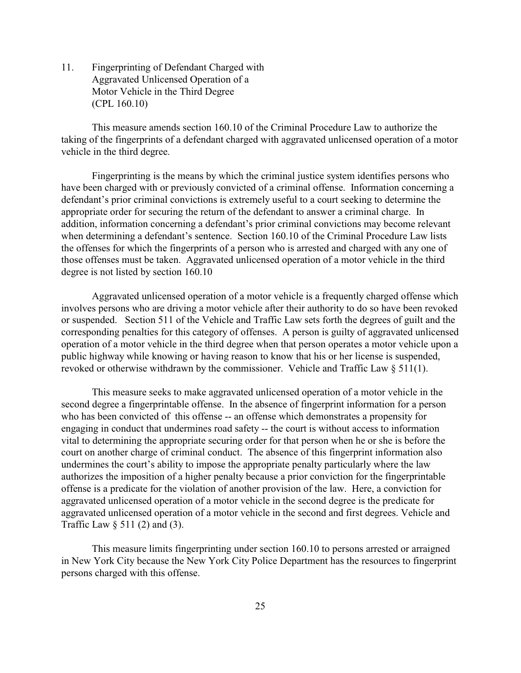11. Fingerprinting of Defendant Charged with Aggravated Unlicensed Operation of a Motor Vehicle in the Third Degree (CPL 160.10)

This measure amends section 160.10 of the Criminal Procedure Law to authorize the taking of the fingerprints of a defendant charged with aggravated unlicensed operation of a motor vehicle in the third degree.

Fingerprinting is the means by which the criminal justice system identifies persons who have been charged with or previously convicted of a criminal offense. Information concerning a defendant's prior criminal convictions is extremely useful to a court seeking to determine the appropriate order for securing the return of the defendant to answer a criminal charge. In addition, information concerning a defendant's prior criminal convictions may become relevant when determining a defendant's sentence. Section 160.10 of the Criminal Procedure Law lists the offenses for which the fingerprints of a person who is arrested and charged with any one of those offenses must be taken. Aggravated unlicensed operation of a motor vehicle in the third degree is not listed by section 160.10

Aggravated unlicensed operation of a motor vehicle is a frequently charged offense which involves persons who are driving a motor vehicle after their authority to do so have been revoked or suspended. Section 511 of the Vehicle and Traffic Law sets forth the degrees of guilt and the corresponding penalties for this category of offenses. A person is guilty of aggravated unlicensed operation of a motor vehicle in the third degree when that person operates a motor vehicle upon a public highway while knowing or having reason to know that his or her license is suspended, revoked or otherwise withdrawn by the commissioner. Vehicle and Traffic Law § 511(1).

This measure seeks to make aggravated unlicensed operation of a motor vehicle in the second degree a fingerprintable offense. In the absence of fingerprint information for a person who has been convicted of this offense -- an offense which demonstrates a propensity for engaging in conduct that undermines road safety -- the court is without access to information vital to determining the appropriate securing order for that person when he or she is before the court on another charge of criminal conduct. The absence of this fingerprint information also undermines the court's ability to impose the appropriate penalty particularly where the law authorizes the imposition of a higher penalty because a prior conviction for the fingerprintable offense is a predicate for the violation of another provision of the law. Here, a conviction for aggravated unlicensed operation of a motor vehicle in the second degree is the predicate for aggravated unlicensed operation of a motor vehicle in the second and first degrees. Vehicle and Traffic Law  $\S$  511 (2) and (3).

This measure limits fingerprinting under section 160.10 to persons arrested or arraigned in New York City because the New York City Police Department has the resources to fingerprint persons charged with this offense.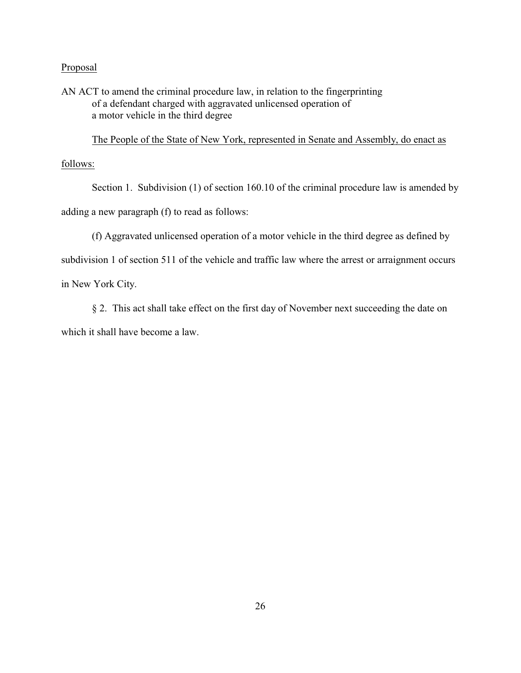## Proposal

AN ACT to amend the criminal procedure law, in relation to the fingerprinting of a defendant charged with aggravated unlicensed operation of a motor vehicle in the third degree

The People of the State of New York, represented in Senate and Assembly, do enact as

follows:

Section 1. Subdivision (1) of section 160.10 of the criminal procedure law is amended by adding a new paragraph (f) to read as follows:

(f) Aggravated unlicensed operation of a motor vehicle in the third degree as defined by

subdivision 1 of section 511 of the vehicle and traffic law where the arrest or arraignment occurs

in New York City.

§ 2. This act shall take effect on the first day of November next succeeding the date on which it shall have become a law.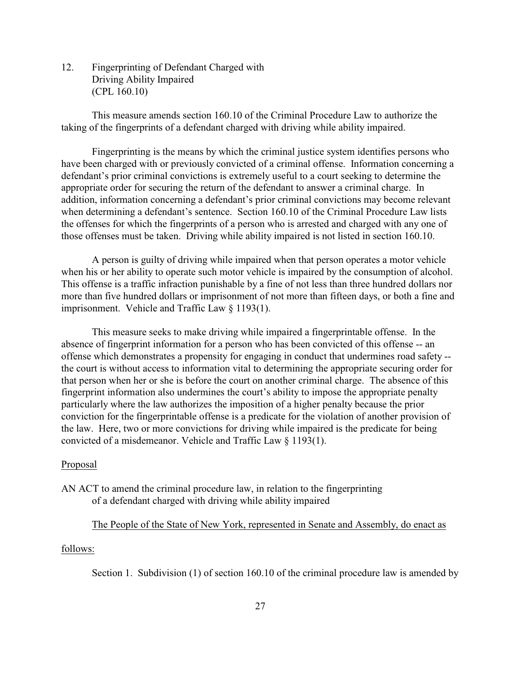12. Fingerprinting of Defendant Charged with Driving Ability Impaired (CPL 160.10)

This measure amends section 160.10 of the Criminal Procedure Law to authorize the taking of the fingerprints of a defendant charged with driving while ability impaired.

Fingerprinting is the means by which the criminal justice system identifies persons who have been charged with or previously convicted of a criminal offense. Information concerning a defendant's prior criminal convictions is extremely useful to a court seeking to determine the appropriate order for securing the return of the defendant to answer a criminal charge. In addition, information concerning a defendant's prior criminal convictions may become relevant when determining a defendant's sentence. Section 160.10 of the Criminal Procedure Law lists the offenses for which the fingerprints of a person who is arrested and charged with any one of those offenses must be taken. Driving while ability impaired is not listed in section 160.10.

A person is guilty of driving while impaired when that person operates a motor vehicle when his or her ability to operate such motor vehicle is impaired by the consumption of alcohol. This offense is a traffic infraction punishable by a fine of not less than three hundred dollars nor more than five hundred dollars or imprisonment of not more than fifteen days, or both a fine and imprisonment. Vehicle and Traffic Law § 1193(1).

This measure seeks to make driving while impaired a fingerprintable offense. In the absence of fingerprint information for a person who has been convicted of this offense -- an offense which demonstrates a propensity for engaging in conduct that undermines road safety - the court is without access to information vital to determining the appropriate securing order for that person when her or she is before the court on another criminal charge. The absence of this fingerprint information also undermines the court's ability to impose the appropriate penalty particularly where the law authorizes the imposition of a higher penalty because the prior conviction for the fingerprintable offense is a predicate for the violation of another provision of the law. Here, two or more convictions for driving while impaired is the predicate for being convicted of a misdemeanor. Vehicle and Traffic Law § 1193(1).

#### Proposal

AN ACT to amend the criminal procedure law, in relation to the fingerprinting of a defendant charged with driving while ability impaired

#### The People of the State of New York, represented in Senate and Assembly, do enact as

#### follows:

Section 1. Subdivision (1) of section 160.10 of the criminal procedure law is amended by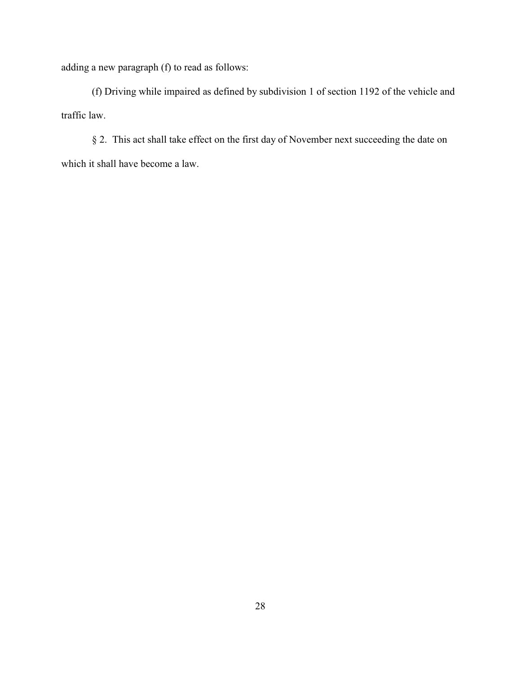adding a new paragraph (f) to read as follows:

(f) Driving while impaired as defined by subdivision 1 of section 1192 of the vehicle and traffic law.

§ 2. This act shall take effect on the first day of November next succeeding the date on which it shall have become a law.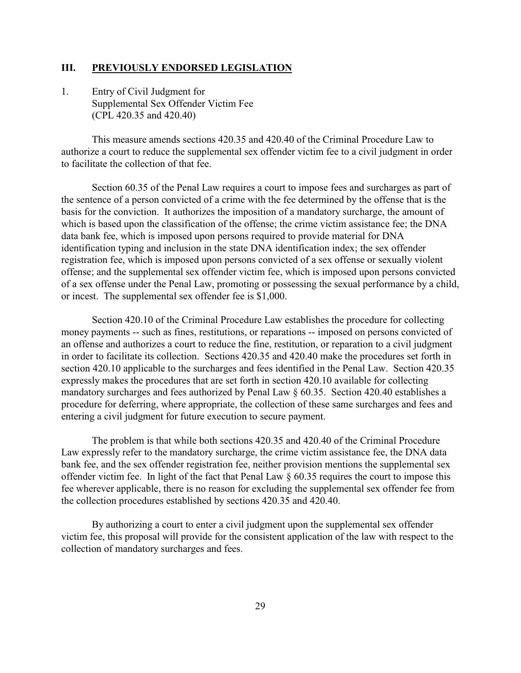#### **III. PREVIOUSLY ENDORSED LEGISLATION**

1. Entry of Civil Judgment for Supplemental Sex Offender Victim Fee (CPL 420.35 and 420.40)

This measure amends sections 420.35 and 420.40 of the Criminal Procedure Law to authorize a court to reduce the supplemental sex offender victim fee to a civil judgment in order to facilitate the collection of that fee.

Section 60.35 of the Penal Law requires a court to impose fees and surcharges as part of the sentence of a person convicted of a crime with the fee determined by the offense that is the basis for the conviction. It authorizes the imposition of a mandatory surcharge, the amount of which is based upon the classification of the offense; the crime victim assistance fee; the DNA data bank fee, which is imposed upon persons required to provide material for DNA identification typing and inclusion in the state DNA identification index; the sex offender registration fee, which is imposed upon persons convicted of a sex offense or sexually violent offense; and the supplemental sex offender victim fee, which is imposed upon persons convicted of a sex offense under the Penal Law, promoting or possessing the sexual performance by a child, or incest. The supplemental sex offender fee is \$1,000.

Section 420.10 of the Criminal Procedure Law establishes the procedure for collecting money payments -- such as fines, restitutions, or reparations -- imposed on persons convicted of an offense and authorizes a court to reduce the fine, restitution, or reparation to a civil judgment in order to facilitate its collection. Sections 420.35 and 420.40 make the procedures set forth in section 420.10 applicable to the surcharges and fees identified in the Penal Law. Section 420.35 expressly makes the procedures that are set forth in section 420.10 available for collecting mandatory surcharges and fees authorized by Penal Law § 60.35. Section 420.40 establishes a procedure for deferring, where appropriate, the collection of these same surcharges and fees and entering a civil judgment for future execution to secure payment.

The problem is that while both sections 420.35 and 420.40 of the Criminal Procedure Law expressly refer to the mandatory surcharge, the crime victim assistance fee, the DNA data bank fee, and the sex offender registration fee, neither provision mentions the supplemental sex offender victim fee. In light of the fact that Penal Law § 60.35 requires the court to impose this fee wherever applicable, there is no reason for excluding the supplemental sex offender fee from the collection procedures established by sections 420.35 and 420.40.

By authorizing a court to enter a civil judgment upon the supplemental sex offender victim fee, this proposal will provide for the consistent application of the law with respect to the collection of mandatory surcharges and fees.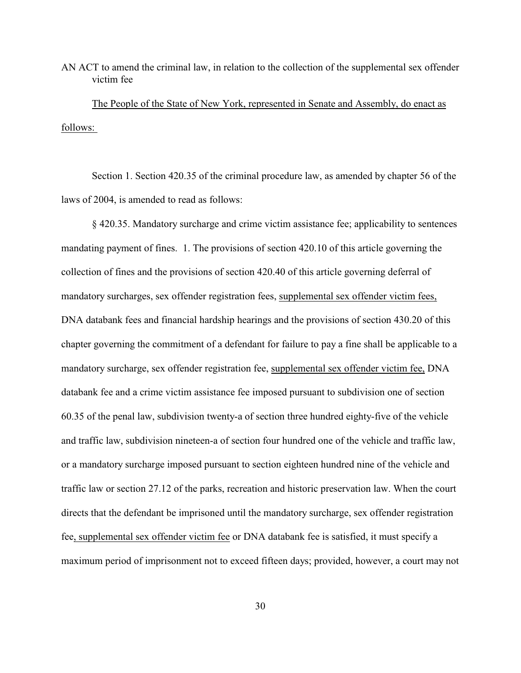AN ACT to amend the criminal law, in relation to the collection of the supplemental sex offender victim fee

The People of the State of New York, represented in Senate and Assembly, do enact as follows:

Section 1. Section 420.35 of the criminal procedure law, as amended by chapter 56 of the laws of 2004, is amended to read as follows:

§ 420.35. Mandatory surcharge and crime victim assistance fee; applicability to sentences mandating payment of fines. 1. The provisions of section 420.10 of this article governing the collection of fines and the provisions of section 420.40 of this article governing deferral of mandatory surcharges, sex offender registration fees, supplemental sex offender victim fees, DNA databank fees and financial hardship hearings and the provisions of section 430.20 of this chapter governing the commitment of a defendant for failure to pay a fine shall be applicable to a mandatory surcharge, sex offender registration fee, supplemental sex offender victim fee, DNA databank fee and a crime victim assistance fee imposed pursuant to subdivision one of section 60.35 of the penal law, subdivision twenty-a of section three hundred eighty-five of the vehicle and traffic law, subdivision nineteen-a of section four hundred one of the vehicle and traffic law, or a mandatory surcharge imposed pursuant to section eighteen hundred nine of the vehicle and traffic law or section 27.12 of the parks, recreation and historic preservation law. When the court directs that the defendant be imprisoned until the mandatory surcharge, sex offender registration fee, supplemental sex offender victim fee or DNA databank fee is satisfied, it must specify a maximum period of imprisonment not to exceed fifteen days; provided, however, a court may not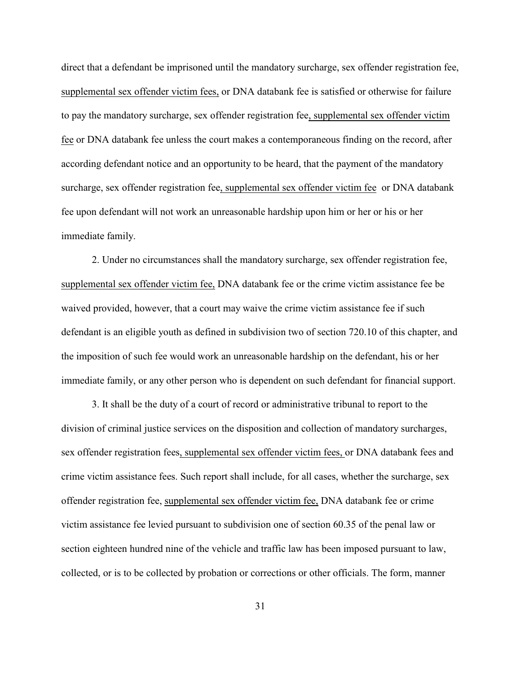direct that a defendant be imprisoned until the mandatory surcharge, sex offender registration fee, supplemental sex offender victim fees, or DNA databank fee is satisfied or otherwise for failure to pay the mandatory surcharge, sex offender registration fee, supplemental sex offender victim fee or DNA databank fee unless the court makes a contemporaneous finding on the record, after according defendant notice and an opportunity to be heard, that the payment of the mandatory surcharge, sex offender registration fee, supplemental sex offender victim fee or DNA databank fee upon defendant will not work an unreasonable hardship upon him or her or his or her immediate family.

2. Under no circumstances shall the mandatory surcharge, sex offender registration fee, supplemental sex offender victim fee, DNA databank fee or the crime victim assistance fee be waived provided, however, that a court may waive the crime victim assistance fee if such defendant is an eligible youth as defined in subdivision two of section 720.10 of this chapter, and the imposition of such fee would work an unreasonable hardship on the defendant, his or her immediate family, or any other person who is dependent on such defendant for financial support.

3. It shall be the duty of a court of record or administrative tribunal to report to the division of criminal justice services on the disposition and collection of mandatory surcharges, sex offender registration fees, supplemental sex offender victim fees, or DNA databank fees and crime victim assistance fees. Such report shall include, for all cases, whether the surcharge, sex offender registration fee, supplemental sex offender victim fee, DNA databank fee or crime victim assistance fee levied pursuant to subdivision one of section 60.35 of the penal law or section eighteen hundred nine of the vehicle and traffic law has been imposed pursuant to law, collected, or is to be collected by probation or corrections or other officials. The form, manner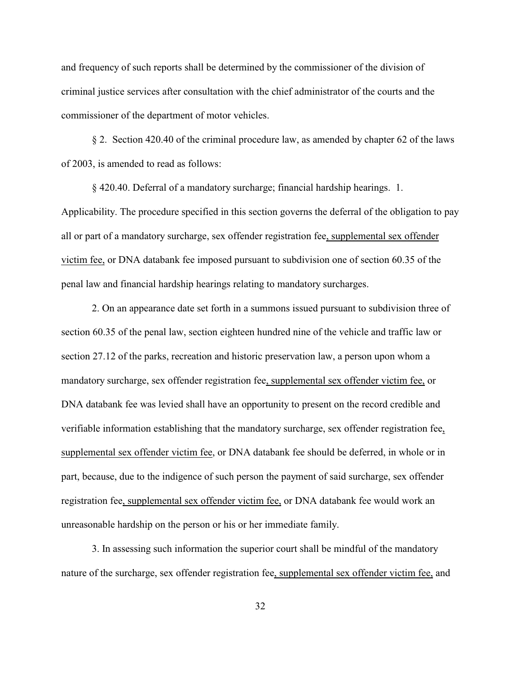and frequency of such reports shall be determined by the commissioner of the division of criminal justice services after consultation with the chief administrator of the courts and the commissioner of the department of motor vehicles.

§ 2. Section 420.40 of the criminal procedure law, as amended by chapter 62 of the laws of 2003, is amended to read as follows:

§ 420.40. Deferral of a mandatory surcharge; financial hardship hearings. 1. Applicability. The procedure specified in this section governs the deferral of the obligation to pay all or part of a mandatory surcharge, sex offender registration fee, supplemental sex offender victim fee, or DNA databank fee imposed pursuant to subdivision one of section 60.35 of the penal law and financial hardship hearings relating to mandatory surcharges.

2. On an appearance date set forth in a summons issued pursuant to subdivision three of section 60.35 of the penal law, section eighteen hundred nine of the vehicle and traffic law or section 27.12 of the parks, recreation and historic preservation law, a person upon whom a mandatory surcharge, sex offender registration fee, supplemental sex offender victim fee, or DNA databank fee was levied shall have an opportunity to present on the record credible and verifiable information establishing that the mandatory surcharge, sex offender registration fee, supplemental sex offender victim fee, or DNA databank fee should be deferred, in whole or in part, because, due to the indigence of such person the payment of said surcharge, sex offender registration fee, supplemental sex offender victim fee, or DNA databank fee would work an unreasonable hardship on the person or his or her immediate family.

3. In assessing such information the superior court shall be mindful of the mandatory nature of the surcharge, sex offender registration fee, supplemental sex offender victim fee, and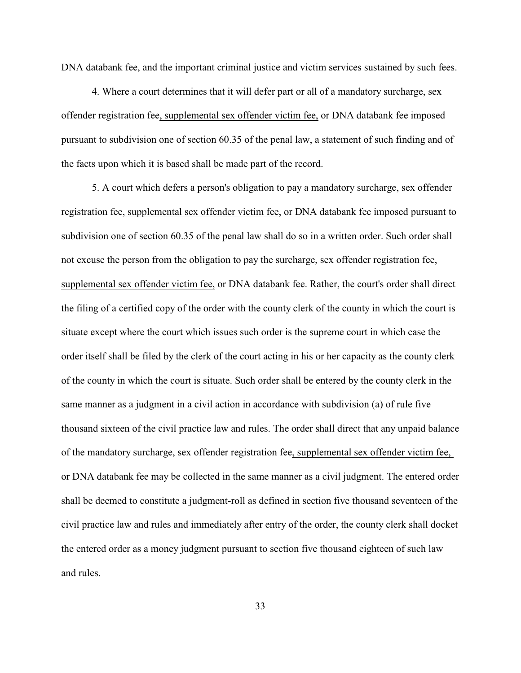DNA databank fee, and the important criminal justice and victim services sustained by such fees.

4. Where a court determines that it will defer part or all of a mandatory surcharge, sex offender registration fee, supplemental sex offender victim fee, or DNA databank fee imposed pursuant to subdivision one of section 60.35 of the penal law, a statement of such finding and of the facts upon which it is based shall be made part of the record.

5. A court which defers a person's obligation to pay a mandatory surcharge, sex offender registration fee, supplemental sex offender victim fee, or DNA databank fee imposed pursuant to subdivision one of section 60.35 of the penal law shall do so in a written order. Such order shall not excuse the person from the obligation to pay the surcharge, sex offender registration fee, supplemental sex offender victim fee, or DNA databank fee. Rather, the court's order shall direct the filing of a certified copy of the order with the county clerk of the county in which the court is situate except where the court which issues such order is the supreme court in which case the order itself shall be filed by the clerk of the court acting in his or her capacity as the county clerk of the county in which the court is situate. Such order shall be entered by the county clerk in the same manner as a judgment in a civil action in accordance with subdivision (a) of rule five thousand sixteen of the civil practice law and rules. The order shall direct that any unpaid balance of the mandatory surcharge, sex offender registration fee, supplemental sex offender victim fee, or DNA databank fee may be collected in the same manner as a civil judgment. The entered order shall be deemed to constitute a judgment-roll as defined in section five thousand seventeen of the civil practice law and rules and immediately after entry of the order, the county clerk shall docket the entered order as a money judgment pursuant to section five thousand eighteen of such law and rules.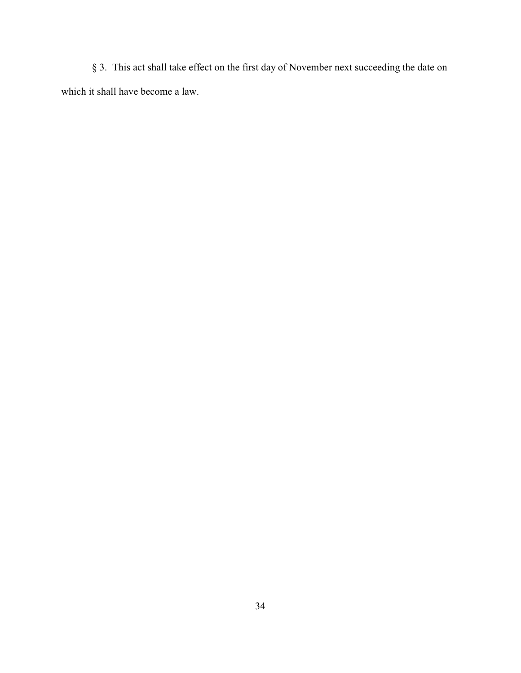§ 3. This act shall take effect on the first day of November next succeeding the date on which it shall have become a law.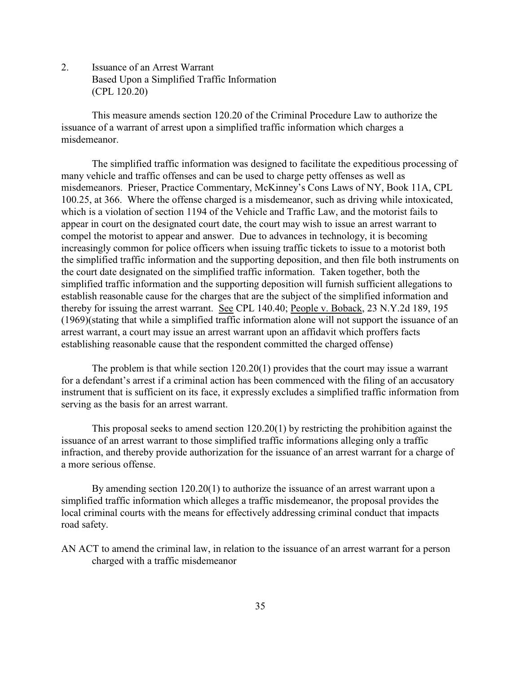2. Issuance of an Arrest Warrant Based Upon a Simplified Traffic Information (CPL 120.20)

This measure amends section 120.20 of the Criminal Procedure Law to authorize the issuance of a warrant of arrest upon a simplified traffic information which charges a misdemeanor.

The simplified traffic information was designed to facilitate the expeditious processing of many vehicle and traffic offenses and can be used to charge petty offenses as well as misdemeanors. Prieser, Practice Commentary, McKinney's Cons Laws of NY, Book 11A, CPL 100.25, at 366. Where the offense charged is a misdemeanor, such as driving while intoxicated, which is a violation of section 1194 of the Vehicle and Traffic Law, and the motorist fails to appear in court on the designated court date, the court may wish to issue an arrest warrant to compel the motorist to appear and answer. Due to advances in technology, it is becoming increasingly common for police officers when issuing traffic tickets to issue to a motorist both the simplified traffic information and the supporting deposition, and then file both instruments on the court date designated on the simplified traffic information. Taken together, both the simplified traffic information and the supporting deposition will furnish sufficient allegations to establish reasonable cause for the charges that are the subject of the simplified information and thereby for issuing the arrest warrant. See CPL 140.40; People v. Boback, 23 N.Y.2d 189, 195 (1969)(stating that while a simplified traffic information alone will not support the issuance of an arrest warrant, a court may issue an arrest warrant upon an affidavit which proffers facts establishing reasonable cause that the respondent committed the charged offense)

The problem is that while section  $120.20(1)$  provides that the court may issue a warrant for a defendant's arrest if a criminal action has been commenced with the filing of an accusatory instrument that is sufficient on its face, it expressly excludes a simplified traffic information from serving as the basis for an arrest warrant.

This proposal seeks to amend section 120.20(1) by restricting the prohibition against the issuance of an arrest warrant to those simplified traffic informations alleging only a traffic infraction, and thereby provide authorization for the issuance of an arrest warrant for a charge of a more serious offense.

By amending section 120.20(1) to authorize the issuance of an arrest warrant upon a simplified traffic information which alleges a traffic misdemeanor, the proposal provides the local criminal courts with the means for effectively addressing criminal conduct that impacts road safety.

AN ACT to amend the criminal law, in relation to the issuance of an arrest warrant for a person charged with a traffic misdemeanor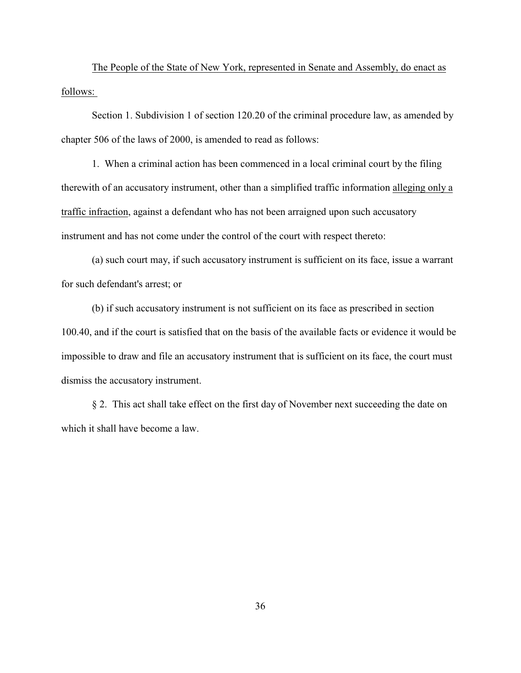The People of the State of New York, represented in Senate and Assembly, do enact as follows:

Section 1. Subdivision 1 of section 120.20 of the criminal procedure law, as amended by chapter 506 of the laws of 2000, is amended to read as follows:

1. When a criminal action has been commenced in a local criminal court by the filing therewith of an accusatory instrument, other than a simplified traffic information alleging only a traffic infraction, against a defendant who has not been arraigned upon such accusatory instrument and has not come under the control of the court with respect thereto:

(a) such court may, if such accusatory instrument is sufficient on its face, issue a warrant for such defendant's arrest; or

(b) if such accusatory instrument is not sufficient on its face as prescribed in section 100.40, and if the court is satisfied that on the basis of the available facts or evidence it would be impossible to draw and file an accusatory instrument that is sufficient on its face, the court must dismiss the accusatory instrument.

§ 2. This act shall take effect on the first day of November next succeeding the date on which it shall have become a law.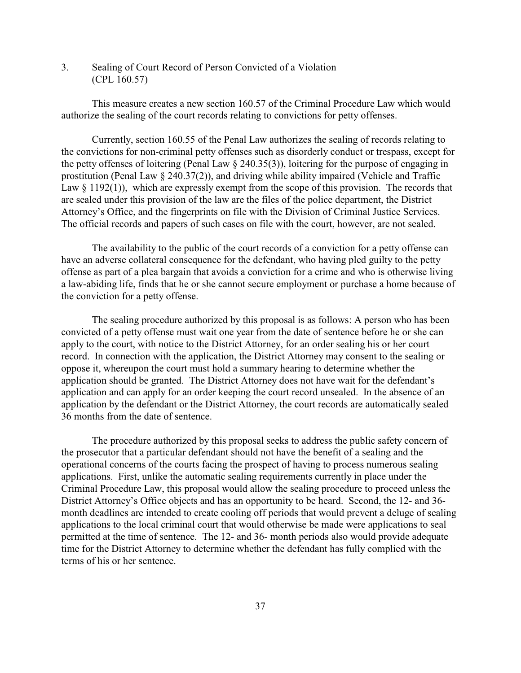3. Sealing of Court Record of Person Convicted of a Violation (CPL 160.57)

This measure creates a new section 160.57 of the Criminal Procedure Law which would authorize the sealing of the court records relating to convictions for petty offenses.

Currently, section 160.55 of the Penal Law authorizes the sealing of records relating to the convictions for non-criminal petty offenses such as disorderly conduct or trespass, except for the petty offenses of loitering (Penal Law § 240.35(3)), loitering for the purpose of engaging in prostitution (Penal Law § 240.37(2)), and driving while ability impaired (Vehicle and Traffic Law  $\S$  1192(1)), which are expressly exempt from the scope of this provision. The records that are sealed under this provision of the law are the files of the police department, the District Attorney's Office, and the fingerprints on file with the Division of Criminal Justice Services. The official records and papers of such cases on file with the court, however, are not sealed.

The availability to the public of the court records of a conviction for a petty offense can have an adverse collateral consequence for the defendant, who having pled guilty to the petty offense as part of a plea bargain that avoids a conviction for a crime and who is otherwise living a law-abiding life, finds that he or she cannot secure employment or purchase a home because of the conviction for a petty offense.

The sealing procedure authorized by this proposal is as follows: A person who has been convicted of a petty offense must wait one year from the date of sentence before he or she can apply to the court, with notice to the District Attorney, for an order sealing his or her court record. In connection with the application, the District Attorney may consent to the sealing or oppose it, whereupon the court must hold a summary hearing to determine whether the application should be granted. The District Attorney does not have wait for the defendant's application and can apply for an order keeping the court record unsealed. In the absence of an application by the defendant or the District Attorney, the court records are automatically sealed 36 months from the date of sentence.

The procedure authorized by this proposal seeks to address the public safety concern of the prosecutor that a particular defendant should not have the benefit of a sealing and the operational concerns of the courts facing the prospect of having to process numerous sealing applications. First, unlike the automatic sealing requirements currently in place under the Criminal Procedure Law, this proposal would allow the sealing procedure to proceed unless the District Attorney's Office objects and has an opportunity to be heard. Second, the 12- and 36 month deadlines are intended to create cooling off periods that would prevent a deluge of sealing applications to the local criminal court that would otherwise be made were applications to seal permitted at the time of sentence. The 12- and 36- month periods also would provide adequate time for the District Attorney to determine whether the defendant has fully complied with the terms of his or her sentence.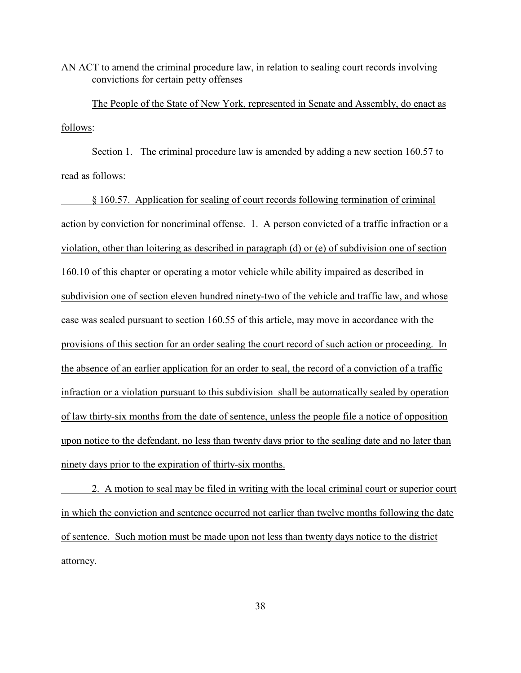AN ACT to amend the criminal procedure law, in relation to sealing court records involving convictions for certain petty offenses

The People of the State of New York, represented in Senate and Assembly, do enact as follows:

Section 1. The criminal procedure law is amended by adding a new section 160.57 to read as follows:

§ 160.57. Application for sealing of court records following termination of criminal action by conviction for noncriminal offense. 1. A person convicted of a traffic infraction or a violation, other than loitering as described in paragraph (d) or (e) of subdivision one of section 160.10 of this chapter or operating a motor vehicle while ability impaired as described in subdivision one of section eleven hundred ninety-two of the vehicle and traffic law, and whose case was sealed pursuant to section 160.55 of this article, may move in accordance with the provisions of this section for an order sealing the court record of such action or proceeding. In the absence of an earlier application for an order to seal, the record of a conviction of a traffic infraction or a violation pursuant to this subdivision shall be automatically sealed by operation of law thirty-six months from the date of sentence, unless the people file a notice of opposition upon notice to the defendant, no less than twenty days prior to the sealing date and no later than ninety days prior to the expiration of thirty-six months.

2. A motion to seal may be filed in writing with the local criminal court or superior court in which the conviction and sentence occurred not earlier than twelve months following the date of sentence. Such motion must be made upon not less than twenty days notice to the district attorney.

38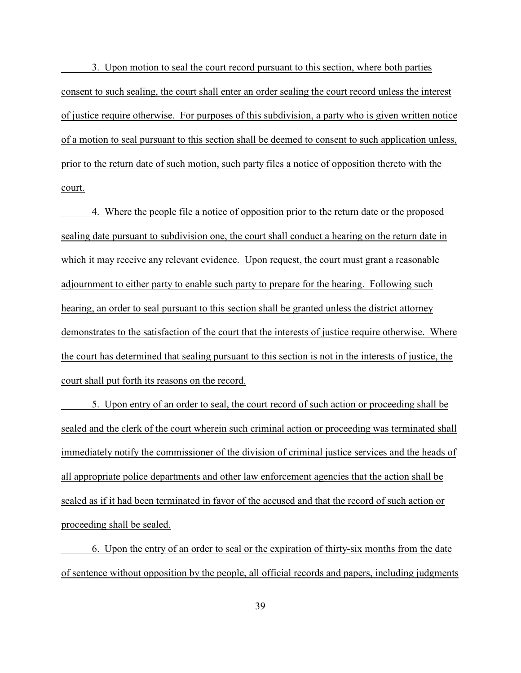3. Upon motion to seal the court record pursuant to this section, where both parties consent to such sealing, the court shall enter an order sealing the court record unless the interest of justice require otherwise. For purposes of this subdivision, a party who is given written notice of a motion to seal pursuant to this section shall be deemed to consent to such application unless, prior to the return date of such motion, such party files a notice of opposition thereto with the court.

4. Where the people file a notice of opposition prior to the return date or the proposed sealing date pursuant to subdivision one, the court shall conduct a hearing on the return date in which it may receive any relevant evidence. Upon request, the court must grant a reasonable adjournment to either party to enable such party to prepare for the hearing. Following such hearing, an order to seal pursuant to this section shall be granted unless the district attorney demonstrates to the satisfaction of the court that the interests of justice require otherwise. Where the court has determined that sealing pursuant to this section is not in the interests of justice, the court shall put forth its reasons on the record.

5. Upon entry of an order to seal, the court record of such action or proceeding shall be sealed and the clerk of the court wherein such criminal action or proceeding was terminated shall immediately notify the commissioner of the division of criminal justice services and the heads of all appropriate police departments and other law enforcement agencies that the action shall be sealed as if it had been terminated in favor of the accused and that the record of such action or proceeding shall be sealed.

6. Upon the entry of an order to seal or the expiration of thirty-six months from the date of sentence without opposition by the people, all official records and papers, including judgments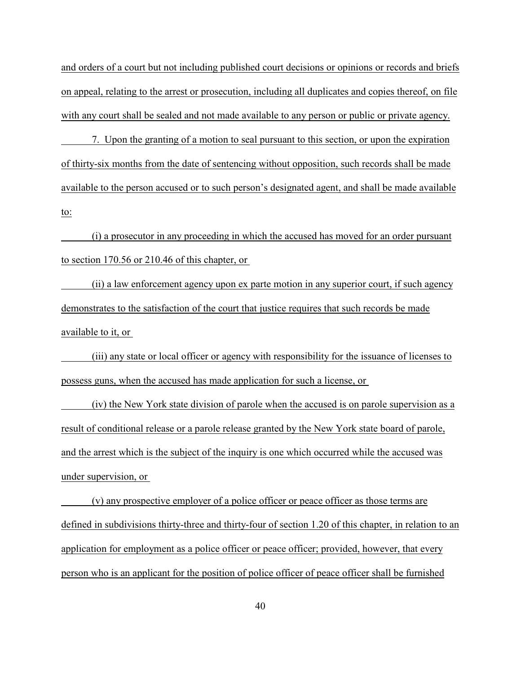and orders of a court but not including published court decisions or opinions or records and briefs on appeal, relating to the arrest or prosecution, including all duplicates and copies thereof, on file with any court shall be sealed and not made available to any person or public or private agency.

7. Upon the granting of a motion to seal pursuant to this section, or upon the expiration of thirty-six months from the date of sentencing without opposition, such records shall be made available to the person accused or to such person's designated agent, and shall be made available to:

(i) a prosecutor in any proceeding in which the accused has moved for an order pursuant to section 170.56 or 210.46 of this chapter, or

(ii) a law enforcement agency upon ex parte motion in any superior court, if such agency demonstrates to the satisfaction of the court that justice requires that such records be made available to it, or

(iii) any state or local officer or agency with responsibility for the issuance of licenses to possess guns, when the accused has made application for such a license, or

(iv) the New York state division of parole when the accused is on parole supervision as a result of conditional release or a parole release granted by the New York state board of parole, and the arrest which is the subject of the inquiry is one which occurred while the accused was under supervision, or

(v) any prospective employer of a police officer or peace officer as those terms are defined in subdivisions thirty-three and thirty-four of section 1.20 of this chapter, in relation to an application for employment as a police officer or peace officer; provided, however, that every person who is an applicant for the position of police officer of peace officer shall be furnished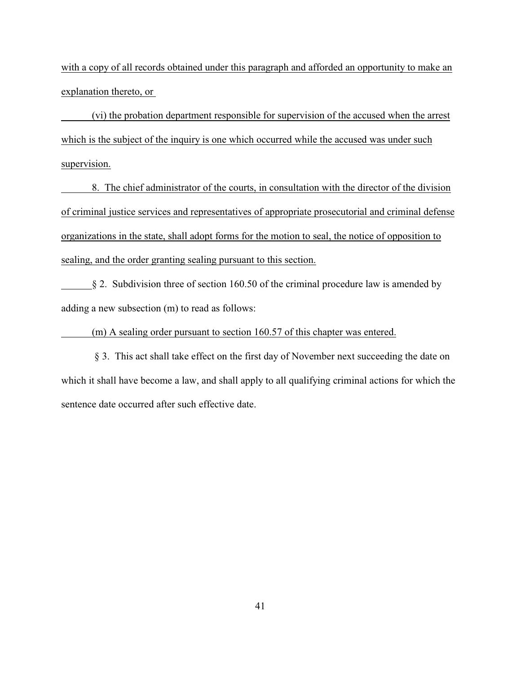with a copy of all records obtained under this paragraph and afforded an opportunity to make an explanation thereto, or

(vi) the probation department responsible for supervision of the accused when the arrest which is the subject of the inquiry is one which occurred while the accused was under such supervision.

8. The chief administrator of the courts, in consultation with the director of the division of criminal justice services and representatives of appropriate prosecutorial and criminal defense organizations in the state, shall adopt forms for the motion to seal, the notice of opposition to sealing, and the order granting sealing pursuant to this section.

 $\frac{\S}{}$  \$ 2. Subdivision three of section 160.50 of the criminal procedure law is amended by adding a new subsection (m) to read as follows:

(m) A sealing order pursuant to section 160.57 of this chapter was entered.

 § 3. This act shall take effect on the first day of November next succeeding the date on which it shall have become a law, and shall apply to all qualifying criminal actions for which the sentence date occurred after such effective date.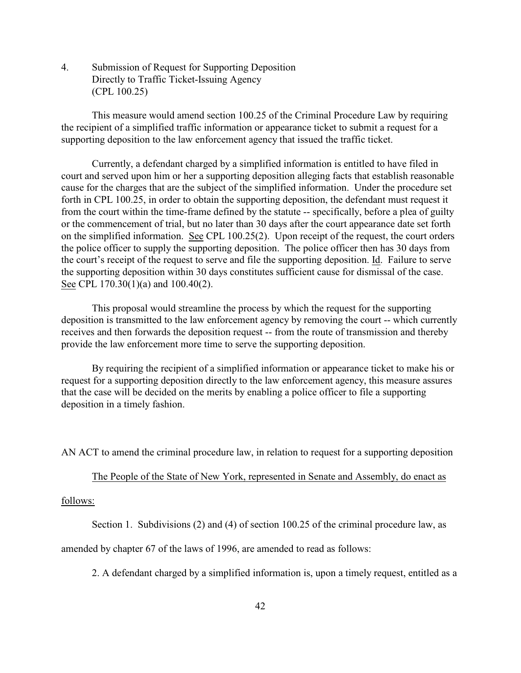4. Submission of Request for Supporting Deposition Directly to Traffic Ticket-Issuing Agency (CPL 100.25)

This measure would amend section 100.25 of the Criminal Procedure Law by requiring the recipient of a simplified traffic information or appearance ticket to submit a request for a supporting deposition to the law enforcement agency that issued the traffic ticket.

Currently, a defendant charged by a simplified information is entitled to have filed in court and served upon him or her a supporting deposition alleging facts that establish reasonable cause for the charges that are the subject of the simplified information. Under the procedure set forth in CPL 100.25, in order to obtain the supporting deposition, the defendant must request it from the court within the time-frame defined by the statute -- specifically, before a plea of guilty or the commencement of trial, but no later than 30 days after the court appearance date set forth on the simplified information. See CPL 100.25(2). Upon receipt of the request, the court orders the police officer to supply the supporting deposition. The police officer then has 30 days from the court's receipt of the request to serve and file the supporting deposition. Id. Failure to serve the supporting deposition within 30 days constitutes sufficient cause for dismissal of the case. See CPL 170.30(1)(a) and 100.40(2).

This proposal would streamline the process by which the request for the supporting deposition is transmitted to the law enforcement agency by removing the court -- which currently receives and then forwards the deposition request -- from the route of transmission and thereby provide the law enforcement more time to serve the supporting deposition.

By requiring the recipient of a simplified information or appearance ticket to make his or request for a supporting deposition directly to the law enforcement agency, this measure assures that the case will be decided on the merits by enabling a police officer to file a supporting deposition in a timely fashion.

AN ACT to amend the criminal procedure law, in relation to request for a supporting deposition

# The People of the State of New York, represented in Senate and Assembly, do enact as

# follows:

Section 1. Subdivisions (2) and (4) of section 100.25 of the criminal procedure law, as

amended by chapter 67 of the laws of 1996, are amended to read as follows:

2. A defendant charged by a simplified information is, upon a timely request, entitled as a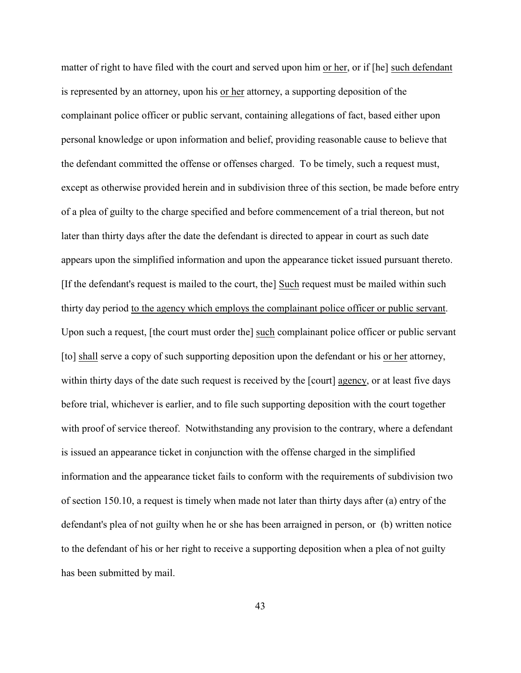matter of right to have filed with the court and served upon him or her, or if [he] such defendant is represented by an attorney, upon his or her attorney, a supporting deposition of the complainant police officer or public servant, containing allegations of fact, based either upon personal knowledge or upon information and belief, providing reasonable cause to believe that the defendant committed the offense or offenses charged. To be timely, such a request must, except as otherwise provided herein and in subdivision three of this section, be made before entry of a plea of guilty to the charge specified and before commencement of a trial thereon, but not later than thirty days after the date the defendant is directed to appear in court as such date appears upon the simplified information and upon the appearance ticket issued pursuant thereto. [If the defendant's request is mailed to the court, the] Such request must be mailed within such thirty day period to the agency which employs the complainant police officer or public servant. Upon such a request, [the court must order the] such complainant police officer or public servant [to] shall serve a copy of such supporting deposition upon the defendant or his or her attorney, within thirty days of the date such request is received by the [court] agency, or at least five days before trial, whichever is earlier, and to file such supporting deposition with the court together with proof of service thereof. Notwithstanding any provision to the contrary, where a defendant is issued an appearance ticket in conjunction with the offense charged in the simplified information and the appearance ticket fails to conform with the requirements of subdivision two of section 150.10, a request is timely when made not later than thirty days after (a) entry of the defendant's plea of not guilty when he or she has been arraigned in person, or (b) written notice to the defendant of his or her right to receive a supporting deposition when a plea of not guilty has been submitted by mail.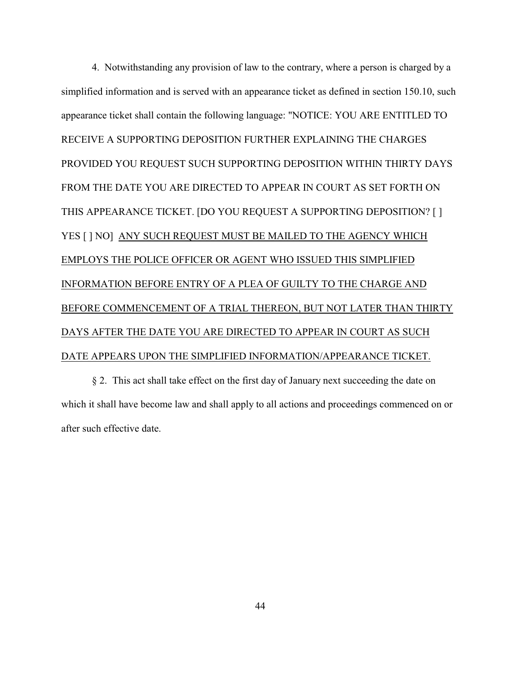4. Notwithstanding any provision of law to the contrary, where a person is charged by a simplified information and is served with an appearance ticket as defined in section 150.10, such appearance ticket shall contain the following language: "NOTICE: YOU ARE ENTITLED TO RECEIVE A SUPPORTING DEPOSITION FURTHER EXPLAINING THE CHARGES PROVIDED YOU REQUEST SUCH SUPPORTING DEPOSITION WITHIN THIRTY DAYS FROM THE DATE YOU ARE DIRECTED TO APPEAR IN COURT AS SET FORTH ON THIS APPEARANCE TICKET. [DO YOU REQUEST A SUPPORTING DEPOSITION? [ ] YES [ ] NO] ANY SUCH REQUEST MUST BE MAILED TO THE AGENCY WHICH EMPLOYS THE POLICE OFFICER OR AGENT WHO ISSUED THIS SIMPLIFIED INFORMATION BEFORE ENTRY OF A PLEA OF GUILTY TO THE CHARGE AND BEFORE COMMENCEMENT OF A TRIAL THEREON, BUT NOT LATER THAN THIRTY DAYS AFTER THE DATE YOU ARE DIRECTED TO APPEAR IN COURT AS SUCH DATE APPEARS UPON THE SIMPLIFIED INFORMATION/APPEARANCE TICKET.

§ 2. This act shall take effect on the first day of January next succeeding the date on which it shall have become law and shall apply to all actions and proceedings commenced on or after such effective date.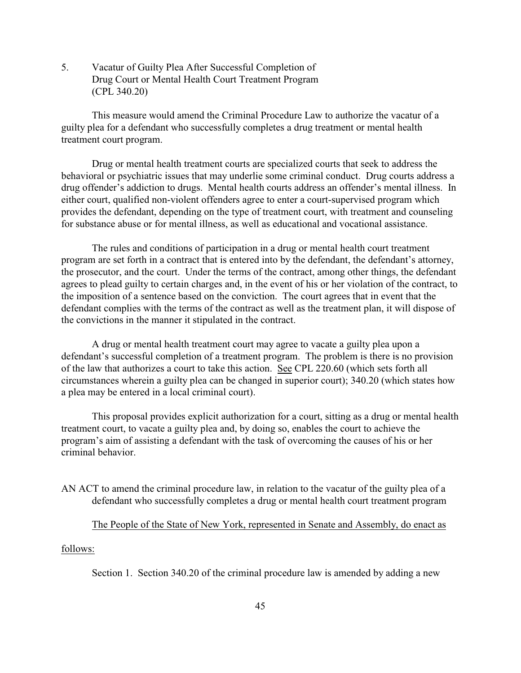5. Vacatur of Guilty Plea After Successful Completion of Drug Court or Mental Health Court Treatment Program (CPL 340.20)

This measure would amend the Criminal Procedure Law to authorize the vacatur of a guilty plea for a defendant who successfully completes a drug treatment or mental health treatment court program.

Drug or mental health treatment courts are specialized courts that seek to address the behavioral or psychiatric issues that may underlie some criminal conduct. Drug courts address a drug offender's addiction to drugs. Mental health courts address an offender's mental illness. In either court, qualified non-violent offenders agree to enter a court-supervised program which provides the defendant, depending on the type of treatment court, with treatment and counseling for substance abuse or for mental illness, as well as educational and vocational assistance.

The rules and conditions of participation in a drug or mental health court treatment program are set forth in a contract that is entered into by the defendant, the defendant's attorney, the prosecutor, and the court. Under the terms of the contract, among other things, the defendant agrees to plead guilty to certain charges and, in the event of his or her violation of the contract, to the imposition of a sentence based on the conviction. The court agrees that in event that the defendant complies with the terms of the contract as well as the treatment plan, it will dispose of the convictions in the manner it stipulated in the contract.

A drug or mental health treatment court may agree to vacate a guilty plea upon a defendant's successful completion of a treatment program. The problem is there is no provision of the law that authorizes a court to take this action. See CPL 220.60 (which sets forth all circumstances wherein a guilty plea can be changed in superior court); 340.20 (which states how a plea may be entered in a local criminal court).

This proposal provides explicit authorization for a court, sitting as a drug or mental health treatment court, to vacate a guilty plea and, by doing so, enables the court to achieve the program's aim of assisting a defendant with the task of overcoming the causes of his or her criminal behavior.

AN ACT to amend the criminal procedure law, in relation to the vacatur of the guilty plea of a defendant who successfully completes a drug or mental health court treatment program

## The People of the State of New York, represented in Senate and Assembly, do enact as

### follows:

Section 1. Section 340.20 of the criminal procedure law is amended by adding a new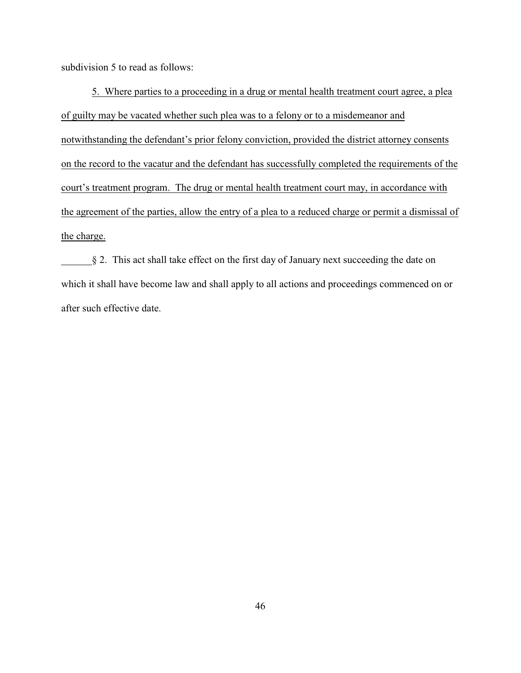subdivision 5 to read as follows:

5. Where parties to a proceeding in a drug or mental health treatment court agree, a plea of guilty may be vacated whether such plea was to a felony or to a misdemeanor and notwithstanding the defendant's prior felony conviction, provided the district attorney consents on the record to the vacatur and the defendant has successfully completed the requirements of the court's treatment program. The drug or mental health treatment court may, in accordance with the agreement of the parties, allow the entry of a plea to a reduced charge or permit a dismissal of the charge.

§ 2. This act shall take effect on the first day of January next succeeding the date on which it shall have become law and shall apply to all actions and proceedings commenced on or after such effective date.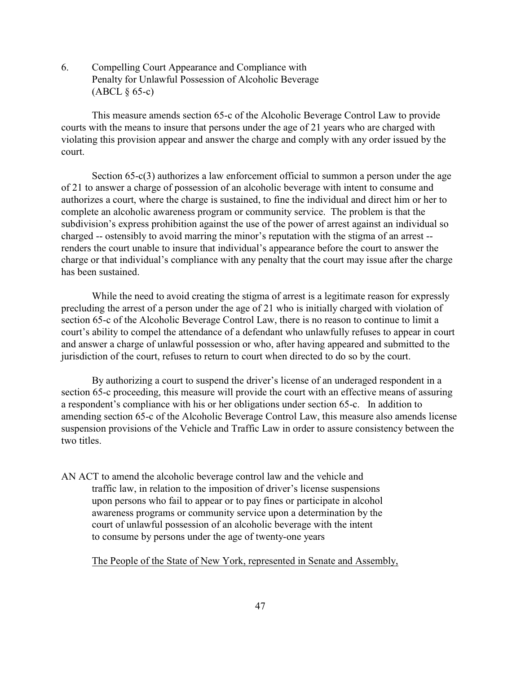6. Compelling Court Appearance and Compliance with Penalty for Unlawful Possession of Alcoholic Beverage (ABCL § 65-c)

This measure amends section 65-c of the Alcoholic Beverage Control Law to provide courts with the means to insure that persons under the age of 21 years who are charged with violating this provision appear and answer the charge and comply with any order issued by the court.

Section 65-c(3) authorizes a law enforcement official to summon a person under the age of 21 to answer a charge of possession of an alcoholic beverage with intent to consume and authorizes a court, where the charge is sustained, to fine the individual and direct him or her to complete an alcoholic awareness program or community service. The problem is that the subdivision's express prohibition against the use of the power of arrest against an individual so charged -- ostensibly to avoid marring the minor's reputation with the stigma of an arrest - renders the court unable to insure that individual's appearance before the court to answer the charge or that individual's compliance with any penalty that the court may issue after the charge has been sustained.

While the need to avoid creating the stigma of arrest is a legitimate reason for expressly precluding the arrest of a person under the age of 21 who is initially charged with violation of section 65-c of the Alcoholic Beverage Control Law, there is no reason to continue to limit a court's ability to compel the attendance of a defendant who unlawfully refuses to appear in court and answer a charge of unlawful possession or who, after having appeared and submitted to the jurisdiction of the court, refuses to return to court when directed to do so by the court.

By authorizing a court to suspend the driver's license of an underaged respondent in a section 65-c proceeding, this measure will provide the court with an effective means of assuring a respondent's compliance with his or her obligations under section 65-c. In addition to amending section 65-c of the Alcoholic Beverage Control Law, this measure also amends license suspension provisions of the Vehicle and Traffic Law in order to assure consistency between the two titles.

AN ACT to amend the alcoholic beverage control law and the vehicle and traffic law, in relation to the imposition of driver's license suspensions upon persons who fail to appear or to pay fines or participate in alcohol awareness programs or community service upon a determination by the court of unlawful possession of an alcoholic beverage with the intent to consume by persons under the age of twenty-one years

The People of the State of New York, represented in Senate and Assembly,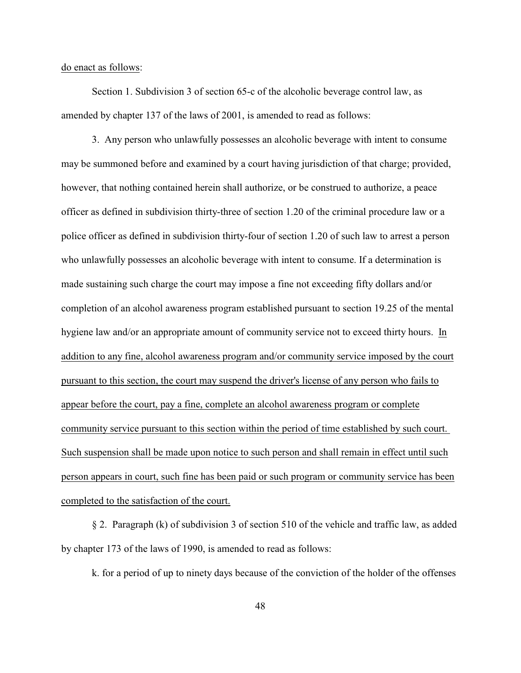### do enact as follows:

Section 1. Subdivision 3 of section 65-c of the alcoholic beverage control law, as amended by chapter 137 of the laws of 2001, is amended to read as follows:

3. Any person who unlawfully possesses an alcoholic beverage with intent to consume may be summoned before and examined by a court having jurisdiction of that charge; provided, however, that nothing contained herein shall authorize, or be construed to authorize, a peace officer as defined in subdivision thirty-three of section 1.20 of the criminal procedure law or a police officer as defined in subdivision thirty-four of section 1.20 of such law to arrest a person who unlawfully possesses an alcoholic beverage with intent to consume. If a determination is made sustaining such charge the court may impose a fine not exceeding fifty dollars and/or completion of an alcohol awareness program established pursuant to section 19.25 of the mental hygiene law and/or an appropriate amount of community service not to exceed thirty hours. In addition to any fine, alcohol awareness program and/or community service imposed by the court pursuant to this section, the court may suspend the driver's license of any person who fails to appear before the court, pay a fine, complete an alcohol awareness program or complete community service pursuant to this section within the period of time established by such court. Such suspension shall be made upon notice to such person and shall remain in effect until such person appears in court, such fine has been paid or such program or community service has been completed to the satisfaction of the court.

§ 2. Paragraph (k) of subdivision 3 of section 510 of the vehicle and traffic law, as added by chapter 173 of the laws of 1990, is amended to read as follows:

k. for a period of up to ninety days because of the conviction of the holder of the offenses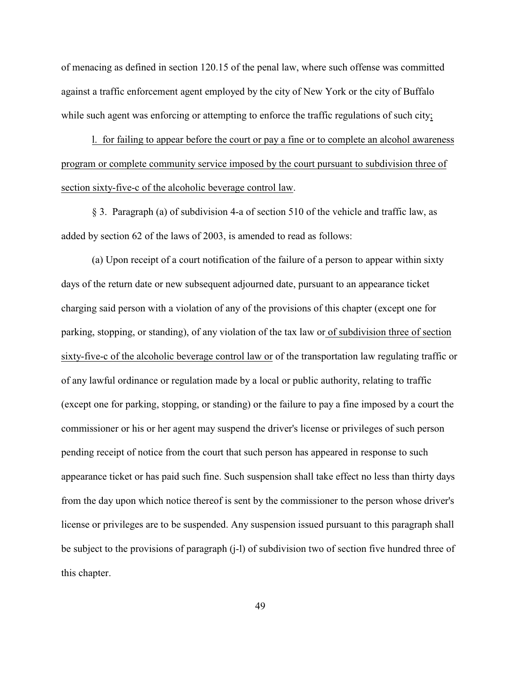of menacing as defined in section 120.15 of the penal law, where such offense was committed against a traffic enforcement agent employed by the city of New York or the city of Buffalo while such agent was enforcing or attempting to enforce the traffic regulations of such city;

l. for failing to appear before the court or pay a fine or to complete an alcohol awareness program or complete community service imposed by the court pursuant to subdivision three of section sixty-five-c of the alcoholic beverage control law.

§ 3. Paragraph (a) of subdivision 4-a of section 510 of the vehicle and traffic law, as added by section 62 of the laws of 2003, is amended to read as follows:

(a) Upon receipt of a court notification of the failure of a person to appear within sixty days of the return date or new subsequent adjourned date, pursuant to an appearance ticket charging said person with a violation of any of the provisions of this chapter (except one for parking, stopping, or standing), of any violation of the tax law or of subdivision three of section sixty-five-c of the alcoholic beverage control law or of the transportation law regulating traffic or of any lawful ordinance or regulation made by a local or public authority, relating to traffic (except one for parking, stopping, or standing) or the failure to pay a fine imposed by a court the commissioner or his or her agent may suspend the driver's license or privileges of such person pending receipt of notice from the court that such person has appeared in response to such appearance ticket or has paid such fine. Such suspension shall take effect no less than thirty days from the day upon which notice thereof is sent by the commissioner to the person whose driver's license or privileges are to be suspended. Any suspension issued pursuant to this paragraph shall be subject to the provisions of paragraph (j-l) of subdivision two of section five hundred three of this chapter.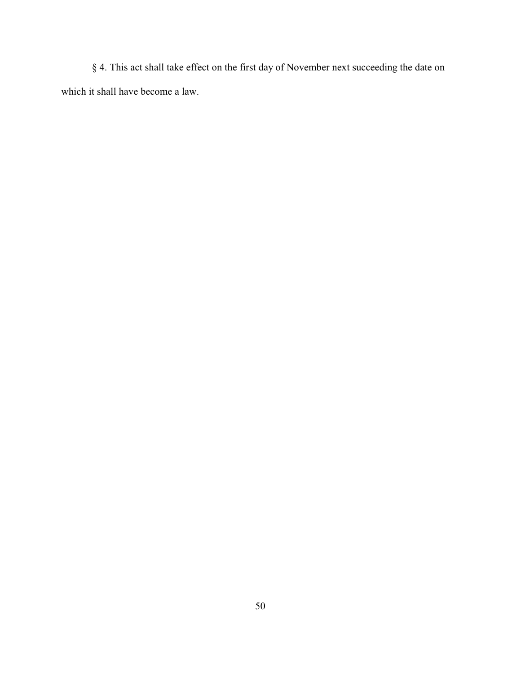§ 4. This act shall take effect on the first day of November next succeeding the date on which it shall have become a law.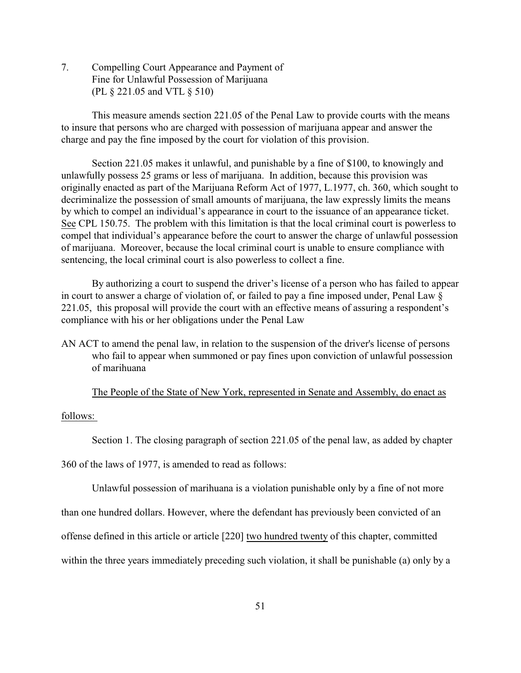7. Compelling Court Appearance and Payment of Fine for Unlawful Possession of Marijuana (PL § 221.05 and VTL § 510)

This measure amends section 221.05 of the Penal Law to provide courts with the means to insure that persons who are charged with possession of marijuana appear and answer the charge and pay the fine imposed by the court for violation of this provision.

Section 221.05 makes it unlawful, and punishable by a fine of \$100, to knowingly and unlawfully possess 25 grams or less of marijuana. In addition, because this provision was originally enacted as part of the Marijuana Reform Act of 1977, L.1977, ch. 360, which sought to decriminalize the possession of small amounts of marijuana, the law expressly limits the means by which to compel an individual's appearance in court to the issuance of an appearance ticket. See CPL 150.75. The problem with this limitation is that the local criminal court is powerless to compel that individual's appearance before the court to answer the charge of unlawful possession of marijuana. Moreover, because the local criminal court is unable to ensure compliance with sentencing, the local criminal court is also powerless to collect a fine.

By authorizing a court to suspend the driver's license of a person who has failed to appear in court to answer a charge of violation of, or failed to pay a fine imposed under, Penal Law § 221.05, this proposal will provide the court with an effective means of assuring a respondent's compliance with his or her obligations under the Penal Law

AN ACT to amend the penal law, in relation to the suspension of the driver's license of persons who fail to appear when summoned or pay fines upon conviction of unlawful possession of marihuana

The People of the State of New York, represented in Senate and Assembly, do enact as

## follows:

Section 1. The closing paragraph of section 221.05 of the penal law, as added by chapter

360 of the laws of 1977, is amended to read as follows:

Unlawful possession of marihuana is a violation punishable only by a fine of not more

than one hundred dollars. However, where the defendant has previously been convicted of an

offense defined in this article or article [220] two hundred twenty of this chapter, committed

within the three years immediately preceding such violation, it shall be punishable (a) only by a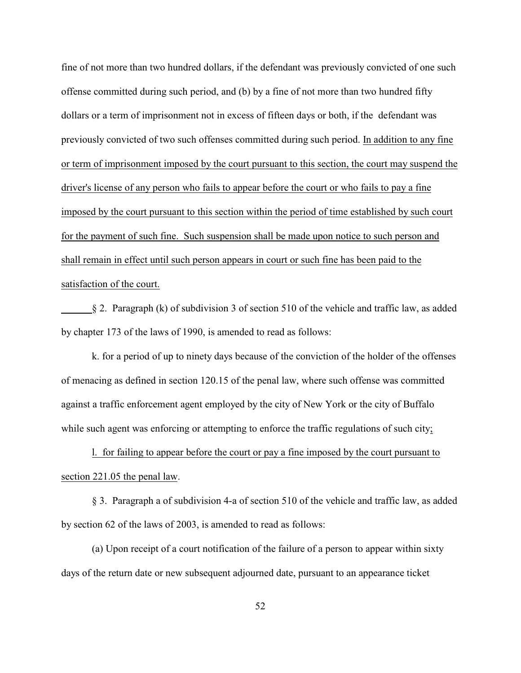fine of not more than two hundred dollars, if the defendant was previously convicted of one such offense committed during such period, and (b) by a fine of not more than two hundred fifty dollars or a term of imprisonment not in excess of fifteen days or both, if the defendant was previously convicted of two such offenses committed during such period. In addition to any fine or term of imprisonment imposed by the court pursuant to this section, the court may suspend the driver's license of any person who fails to appear before the court or who fails to pay a fine imposed by the court pursuant to this section within the period of time established by such court for the payment of such fine. Such suspension shall be made upon notice to such person and shall remain in effect until such person appears in court or such fine has been paid to the satisfaction of the court.

§ 2. Paragraph (k) of subdivision 3 of section 510 of the vehicle and traffic law, as added by chapter 173 of the laws of 1990, is amended to read as follows:

k. for a period of up to ninety days because of the conviction of the holder of the offenses of menacing as defined in section 120.15 of the penal law, where such offense was committed against a traffic enforcement agent employed by the city of New York or the city of Buffalo while such agent was enforcing or attempting to enforce the traffic regulations of such city;

l. for failing to appear before the court or pay a fine imposed by the court pursuant to section 221.05 the penal law.

§ 3. Paragraph a of subdivision 4-a of section 510 of the vehicle and traffic law, as added by section 62 of the laws of 2003, is amended to read as follows:

(a) Upon receipt of a court notification of the failure of a person to appear within sixty days of the return date or new subsequent adjourned date, pursuant to an appearance ticket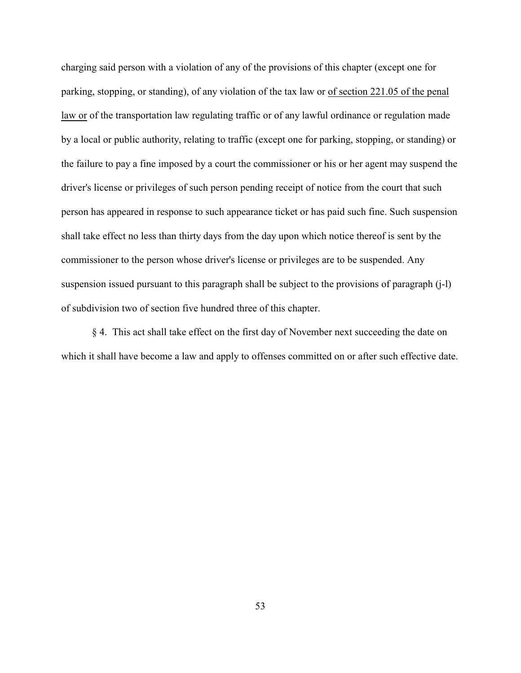charging said person with a violation of any of the provisions of this chapter (except one for parking, stopping, or standing), of any violation of the tax law or of section 221.05 of the penal law or of the transportation law regulating traffic or of any lawful ordinance or regulation made by a local or public authority, relating to traffic (except one for parking, stopping, or standing) or the failure to pay a fine imposed by a court the commissioner or his or her agent may suspend the driver's license or privileges of such person pending receipt of notice from the court that such person has appeared in response to such appearance ticket or has paid such fine. Such suspension shall take effect no less than thirty days from the day upon which notice thereof is sent by the commissioner to the person whose driver's license or privileges are to be suspended. Any suspension issued pursuant to this paragraph shall be subject to the provisions of paragraph (j-l) of subdivision two of section five hundred three of this chapter.

§ 4. This act shall take effect on the first day of November next succeeding the date on which it shall have become a law and apply to offenses committed on or after such effective date.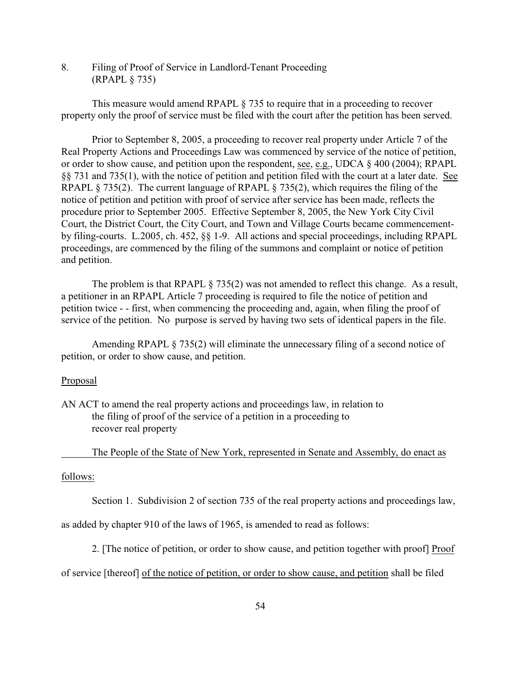8. Filing of Proof of Service in Landlord-Tenant Proceeding (RPAPL § 735)

This measure would amend RPAPL § 735 to require that in a proceeding to recover property only the proof of service must be filed with the court after the petition has been served.

Prior to September 8, 2005, a proceeding to recover real property under Article 7 of the Real Property Actions and Proceedings Law was commenced by service of the notice of petition, or order to show cause, and petition upon the respondent, see, e.g., UDCA § 400 (2004); RPAPL §§ 731 and 735(1), with the notice of petition and petition filed with the court at a later date. See RPAPL § 735(2). The current language of RPAPL § 735(2), which requires the filing of the notice of petition and petition with proof of service after service has been made, reflects the procedure prior to September 2005. Effective September 8, 2005, the New York City Civil Court, the District Court, the City Court, and Town and Village Courts became commencementby filing-courts. L.2005, ch. 452, §§ 1-9. All actions and special proceedings, including RPAPL proceedings, are commenced by the filing of the summons and complaint or notice of petition and petition.

The problem is that RPAPL § 735(2) was not amended to reflect this change. As a result, a petitioner in an RPAPL Article 7 proceeding is required to file the notice of petition and petition twice - - first, when commencing the proceeding and, again, when filing the proof of service of the petition. No purpose is served by having two sets of identical papers in the file.

Amending RPAPL § 735(2) will eliminate the unnecessary filing of a second notice of petition, or order to show cause, and petition.

## Proposal

AN ACT to amend the real property actions and proceedings law, in relation to the filing of proof of the service of a petition in a proceeding to recover real property

The People of the State of New York, represented in Senate and Assembly, do enact as

# follows:

Section 1. Subdivision 2 of section 735 of the real property actions and proceedings law,

as added by chapter 910 of the laws of 1965, is amended to read as follows:

2. [The notice of petition, or order to show cause, and petition together with proof] Proof

of service [thereof] of the notice of petition, or order to show cause, and petition shall be filed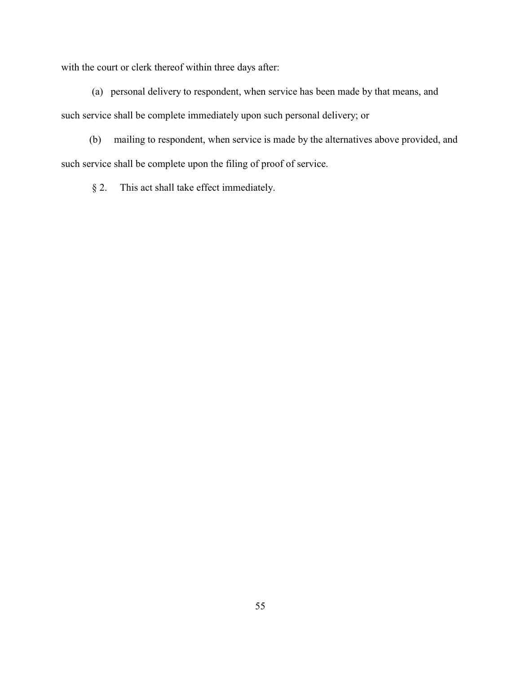with the court or clerk thereof within three days after:

 (a) personal delivery to respondent, when service has been made by that means, and such service shall be complete immediately upon such personal delivery; or

 (b) mailing to respondent, when service is made by the alternatives above provided, and such service shall be complete upon the filing of proof of service.

§ 2. This act shall take effect immediately.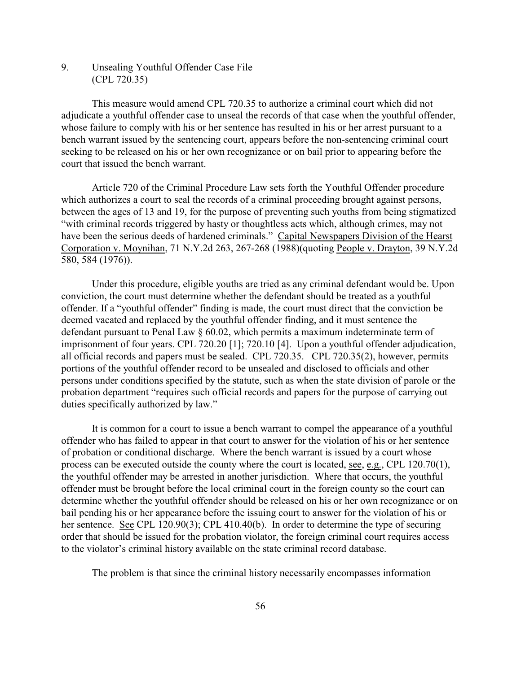9. Unsealing Youthful Offender Case File (CPL 720.35)

This measure would amend CPL 720.35 to authorize a criminal court which did not adjudicate a youthful offender case to unseal the records of that case when the youthful offender, whose failure to comply with his or her sentence has resulted in his or her arrest pursuant to a bench warrant issued by the sentencing court, appears before the non-sentencing criminal court seeking to be released on his or her own recognizance or on bail prior to appearing before the court that issued the bench warrant.

Article 720 of the Criminal Procedure Law sets forth the Youthful Offender procedure which authorizes a court to seal the records of a criminal proceeding brought against persons, between the ages of 13 and 19, for the purpose of preventing such youths from being stigmatized "with criminal records triggered by hasty or thoughtless acts which, although crimes, may not have been the serious deeds of hardened criminals." Capital Newspapers Division of the Hearst Corporation v. Moynihan, 71 N.Y.2d 263, 267-268 (1988)(quoting People v. Drayton, 39 N.Y.2d 580, 584 (1976)).

Under this procedure, eligible youths are tried as any criminal defendant would be. Upon conviction, the court must determine whether the defendant should be treated as a youthful offender. If a "youthful offender" finding is made, the court must direct that the conviction be deemed vacated and replaced by the youthful offender finding, and it must sentence the defendant pursuant to Penal Law § 60.02, which permits a maximum indeterminate term of imprisonment of four years. CPL 720.20 [1]; 720.10 [4]. Upon a youthful offender adjudication, all official records and papers must be sealed. CPL 720.35. CPL 720.35(2), however, permits portions of the youthful offender record to be unsealed and disclosed to officials and other persons under conditions specified by the statute, such as when the state division of parole or the probation department "requires such official records and papers for the purpose of carrying out duties specifically authorized by law."

It is common for a court to issue a bench warrant to compel the appearance of a youthful offender who has failed to appear in that court to answer for the violation of his or her sentence of probation or conditional discharge. Where the bench warrant is issued by a court whose process can be executed outside the county where the court is located, see, e.g., CPL 120.70(1), the youthful offender may be arrested in another jurisdiction. Where that occurs, the youthful offender must be brought before the local criminal court in the foreign county so the court can determine whether the youthful offender should be released on his or her own recognizance or on bail pending his or her appearance before the issuing court to answer for the violation of his or her sentence. See CPL 120.90(3); CPL 410.40(b). In order to determine the type of securing order that should be issued for the probation violator, the foreign criminal court requires access to the violator's criminal history available on the state criminal record database.

The problem is that since the criminal history necessarily encompasses information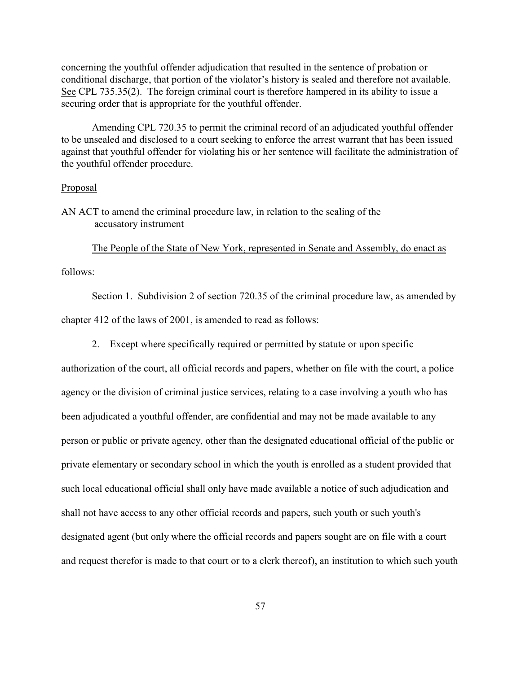concerning the youthful offender adjudication that resulted in the sentence of probation or conditional discharge, that portion of the violator's history is sealed and therefore not available. See CPL 735.35(2). The foreign criminal court is therefore hampered in its ability to issue a securing order that is appropriate for the youthful offender.

Amending CPL 720.35 to permit the criminal record of an adjudicated youthful offender to be unsealed and disclosed to a court seeking to enforce the arrest warrant that has been issued against that youthful offender for violating his or her sentence will facilitate the administration of the youthful offender procedure.

### Proposal

AN ACT to amend the criminal procedure law, in relation to the sealing of the accusatory instrument

The People of the State of New York, represented in Senate and Assembly, do enact as

# follows:

Section 1. Subdivision 2 of section 720.35 of the criminal procedure law, as amended by chapter 412 of the laws of 2001, is amended to read as follows:

2. Except where specifically required or permitted by statute or upon specific

authorization of the court, all official records and papers, whether on file with the court, a police agency or the division of criminal justice services, relating to a case involving a youth who has been adjudicated a youthful offender, are confidential and may not be made available to any person or public or private agency, other than the designated educational official of the public or private elementary or secondary school in which the youth is enrolled as a student provided that such local educational official shall only have made available a notice of such adjudication and shall not have access to any other official records and papers, such youth or such youth's designated agent (but only where the official records and papers sought are on file with a court and request therefor is made to that court or to a clerk thereof), an institution to which such youth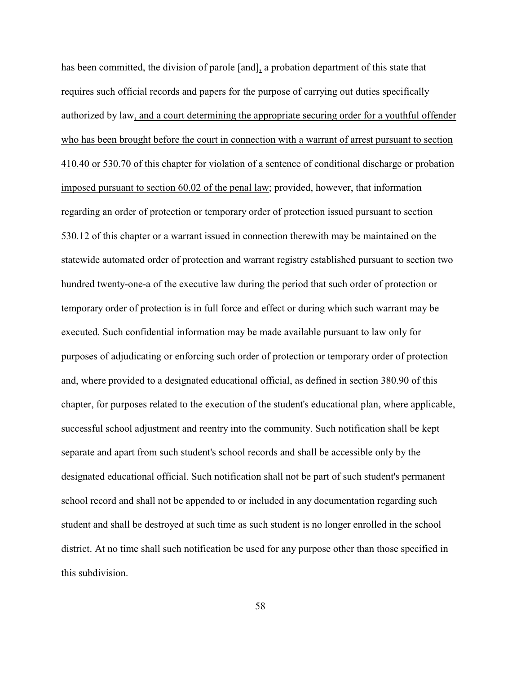has been committed, the division of parole [and], a probation department of this state that requires such official records and papers for the purpose of carrying out duties specifically authorized by law, and a court determining the appropriate securing order for a youthful offender who has been brought before the court in connection with a warrant of arrest pursuant to section 410.40 or 530.70 of this chapter for violation of a sentence of conditional discharge or probation imposed pursuant to section 60.02 of the penal law; provided, however, that information regarding an order of protection or temporary order of protection issued pursuant to section 530.12 of this chapter or a warrant issued in connection therewith may be maintained on the statewide automated order of protection and warrant registry established pursuant to section two hundred twenty-one-a of the executive law during the period that such order of protection or temporary order of protection is in full force and effect or during which such warrant may be executed. Such confidential information may be made available pursuant to law only for purposes of adjudicating or enforcing such order of protection or temporary order of protection and, where provided to a designated educational official, as defined in section 380.90 of this chapter, for purposes related to the execution of the student's educational plan, where applicable, successful school adjustment and reentry into the community. Such notification shall be kept separate and apart from such student's school records and shall be accessible only by the designated educational official. Such notification shall not be part of such student's permanent school record and shall not be appended to or included in any documentation regarding such student and shall be destroyed at such time as such student is no longer enrolled in the school district. At no time shall such notification be used for any purpose other than those specified in this subdivision.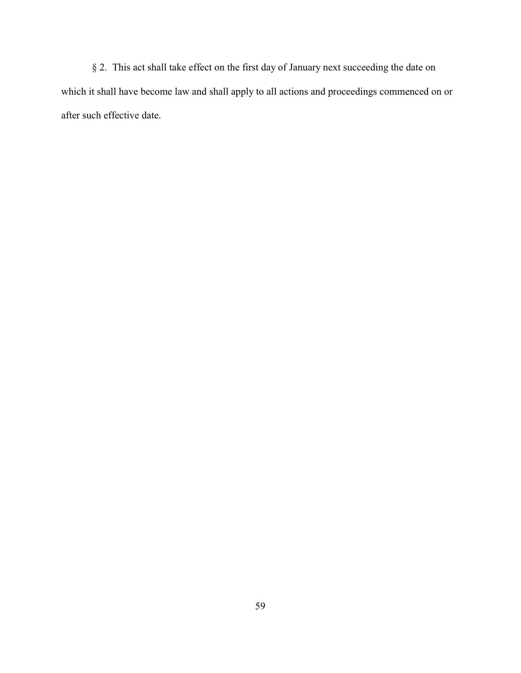§ 2. This act shall take effect on the first day of January next succeeding the date on which it shall have become law and shall apply to all actions and proceedings commenced on or after such effective date.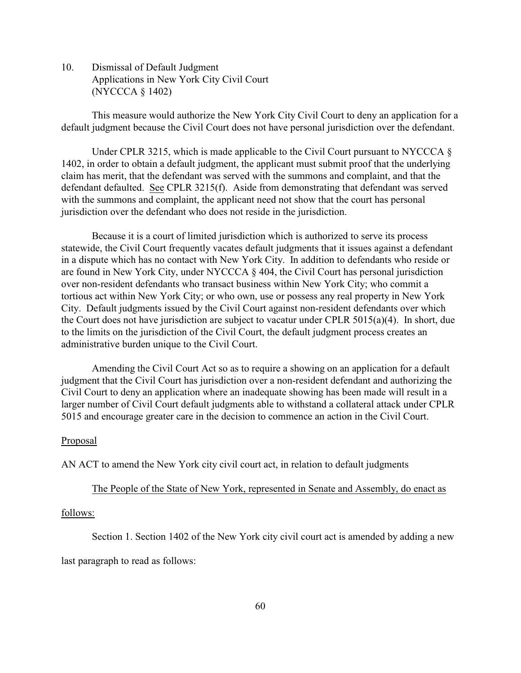10. Dismissal of Default Judgment Applications in New York City Civil Court (NYCCCA § 1402)

This measure would authorize the New York City Civil Court to deny an application for a default judgment because the Civil Court does not have personal jurisdiction over the defendant.

Under CPLR 3215, which is made applicable to the Civil Court pursuant to NYCCCA § 1402, in order to obtain a default judgment, the applicant must submit proof that the underlying claim has merit, that the defendant was served with the summons and complaint, and that the defendant defaulted. See CPLR 3215(f). Aside from demonstrating that defendant was served with the summons and complaint, the applicant need not show that the court has personal jurisdiction over the defendant who does not reside in the jurisdiction.

Because it is a court of limited jurisdiction which is authorized to serve its process statewide, the Civil Court frequently vacates default judgments that it issues against a defendant in a dispute which has no contact with New York City. In addition to defendants who reside or are found in New York City, under NYCCCA § 404, the Civil Court has personal jurisdiction over non-resident defendants who transact business within New York City; who commit a tortious act within New York City; or who own, use or possess any real property in New York City. Default judgments issued by the Civil Court against non-resident defendants over which the Court does not have jurisdiction are subject to vacatur under CPLR 5015(a)(4). In short, due to the limits on the jurisdiction of the Civil Court, the default judgment process creates an administrative burden unique to the Civil Court.

Amending the Civil Court Act so as to require a showing on an application for a default judgment that the Civil Court has jurisdiction over a non-resident defendant and authorizing the Civil Court to deny an application where an inadequate showing has been made will result in a larger number of Civil Court default judgments able to withstand a collateral attack under CPLR 5015 and encourage greater care in the decision to commence an action in the Civil Court.

# Proposal

AN ACT to amend the New York city civil court act, in relation to default judgments

# The People of the State of New York, represented in Senate and Assembly, do enact as

### follows:

Section 1. Section 1402 of the New York city civil court act is amended by adding a new

last paragraph to read as follows: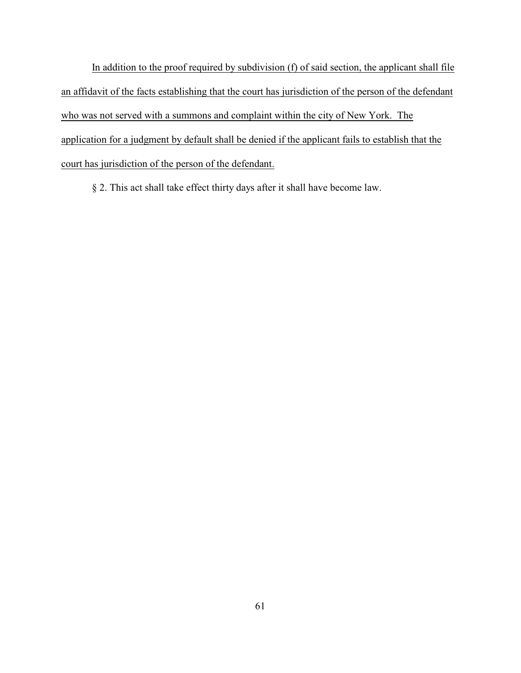In addition to the proof required by subdivision (f) of said section, the applicant shall file an affidavit of the facts establishing that the court has jurisdiction of the person of the defendant who was not served with a summons and complaint within the city of New York. The application for a judgment by default shall be denied if the applicant fails to establish that the court has jurisdiction of the person of the defendant.

§ 2. This act shall take effect thirty days after it shall have become law.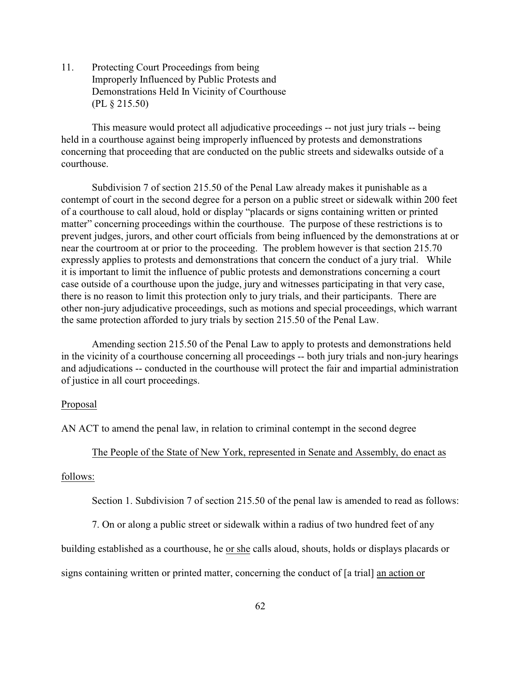11. Protecting Court Proceedings from being Improperly Influenced by Public Protests and Demonstrations Held In Vicinity of Courthouse (PL § 215.50)

This measure would protect all adjudicative proceedings -- not just jury trials -- being held in a courthouse against being improperly influenced by protests and demonstrations concerning that proceeding that are conducted on the public streets and sidewalks outside of a courthouse.

Subdivision 7 of section 215.50 of the Penal Law already makes it punishable as a contempt of court in the second degree for a person on a public street or sidewalk within 200 feet of a courthouse to call aloud, hold or display "placards or signs containing written or printed matter" concerning proceedings within the courthouse. The purpose of these restrictions is to prevent judges, jurors, and other court officials from being influenced by the demonstrations at or near the courtroom at or prior to the proceeding. The problem however is that section 215.70 expressly applies to protests and demonstrations that concern the conduct of a jury trial. While it is important to limit the influence of public protests and demonstrations concerning a court case outside of a courthouse upon the judge, jury and witnesses participating in that very case, there is no reason to limit this protection only to jury trials, and their participants. There are other non-jury adjudicative proceedings, such as motions and special proceedings, which warrant the same protection afforded to jury trials by section 215.50 of the Penal Law.

Amending section 215.50 of the Penal Law to apply to protests and demonstrations held in the vicinity of a courthouse concerning all proceedings -- both jury trials and non-jury hearings and adjudications -- conducted in the courthouse will protect the fair and impartial administration of justice in all court proceedings.

# Proposal

AN ACT to amend the penal law, in relation to criminal contempt in the second degree

#### The People of the State of New York, represented in Senate and Assembly, do enact as

## follows:

Section 1. Subdivision 7 of section 215.50 of the penal law is amended to read as follows:

7. On or along a public street or sidewalk within a radius of two hundred feet of any

building established as a courthouse, he or she calls aloud, shouts, holds or displays placards or

signs containing written or printed matter, concerning the conduct of [a trial] an action or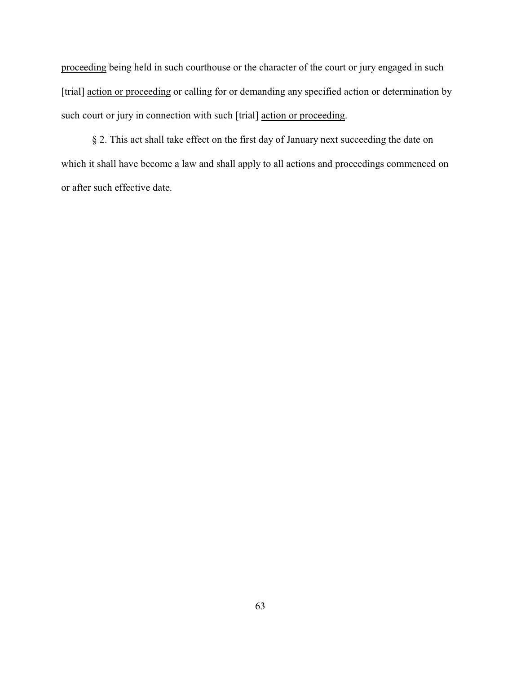proceeding being held in such courthouse or the character of the court or jury engaged in such [trial] action or proceeding or calling for or demanding any specified action or determination by such court or jury in connection with such [trial] action or proceeding.

§ 2. This act shall take effect on the first day of January next succeeding the date on which it shall have become a law and shall apply to all actions and proceedings commenced on or after such effective date.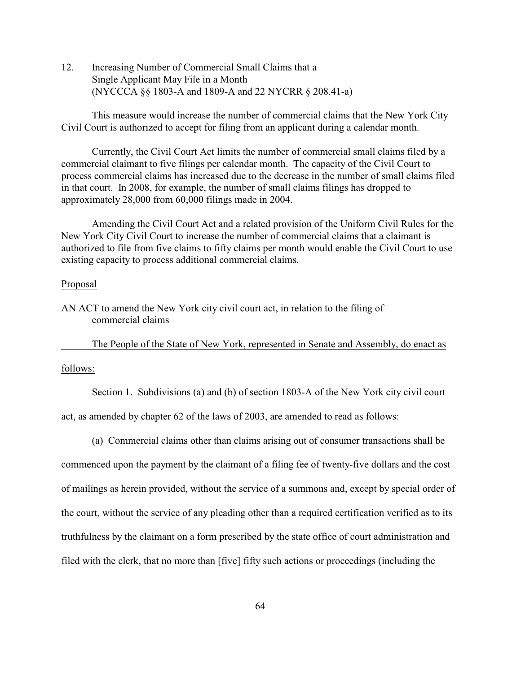12. Increasing Number of Commercial Small Claims that a Single Applicant May File in a Month (NYCCCA §§ 1803-A and 1809-A and 22 NYCRR § 208.41-a)

This measure would increase the number of commercial claims that the New York City Civil Court is authorized to accept for filing from an applicant during a calendar month.

Currently, the Civil Court Act limits the number of commercial small claims filed by a commercial claimant to five filings per calendar month. The capacity of the Civil Court to process commercial claims has increased due to the decrease in the number of small claims filed in that court. In 2008, for example, the number of small claims filings has dropped to approximately 28,000 from 60,000 filings made in 2004.

Amending the Civil Court Act and a related provision of the Uniform Civil Rules for the New York City Civil Court to increase the number of commercial claims that a claimant is authorized to file from five claims to fifty claims per month would enable the Civil Court to use existing capacity to process additional commercial claims.

### Proposal

AN ACT to amend the New York city civil court act, in relation to the filing of commercial claims

The People of the State of New York, represented in Senate and Assembly, do enact as

## follows:

Section 1. Subdivisions (a) and (b) of section 1803-A of the New York city civil court

act, as amended by chapter 62 of the laws of 2003, are amended to read as follows:

(a) Commercial claims other than claims arising out of consumer transactions shall be

commenced upon the payment by the claimant of a filing fee of twenty-five dollars and the cost of mailings as herein provided, without the service of a summons and, except by special order of the court, without the service of any pleading other than a required certification verified as to its truthfulness by the claimant on a form prescribed by the state office of court administration and filed with the clerk, that no more than [five] fifty such actions or proceedings (including the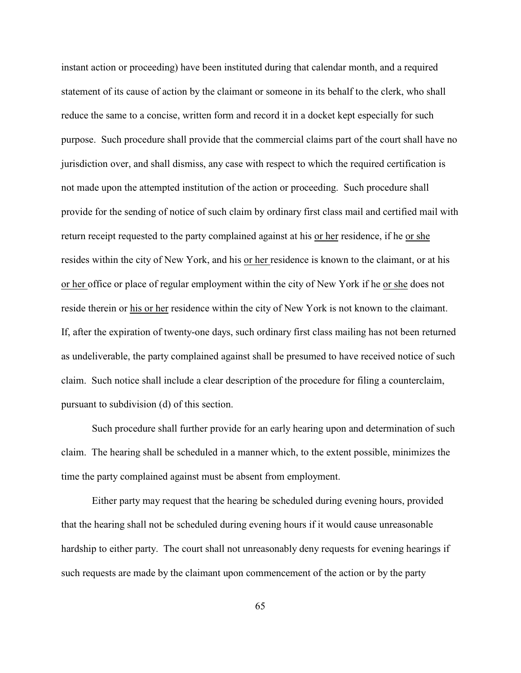instant action or proceeding) have been instituted during that calendar month, and a required statement of its cause of action by the claimant or someone in its behalf to the clerk, who shall reduce the same to a concise, written form and record it in a docket kept especially for such purpose. Such procedure shall provide that the commercial claims part of the court shall have no jurisdiction over, and shall dismiss, any case with respect to which the required certification is not made upon the attempted institution of the action or proceeding. Such procedure shall provide for the sending of notice of such claim by ordinary first class mail and certified mail with return receipt requested to the party complained against at his or her residence, if he or she resides within the city of New York, and his or her residence is known to the claimant, or at his or her office or place of regular employment within the city of New York if he or she does not reside therein or his or her residence within the city of New York is not known to the claimant. If, after the expiration of twenty-one days, such ordinary first class mailing has not been returned as undeliverable, the party complained against shall be presumed to have received notice of such claim. Such notice shall include a clear description of the procedure for filing a counterclaim, pursuant to subdivision (d) of this section.

Such procedure shall further provide for an early hearing upon and determination of such claim. The hearing shall be scheduled in a manner which, to the extent possible, minimizes the time the party complained against must be absent from employment.

Either party may request that the hearing be scheduled during evening hours, provided that the hearing shall not be scheduled during evening hours if it would cause unreasonable hardship to either party. The court shall not unreasonably deny requests for evening hearings if such requests are made by the claimant upon commencement of the action or by the party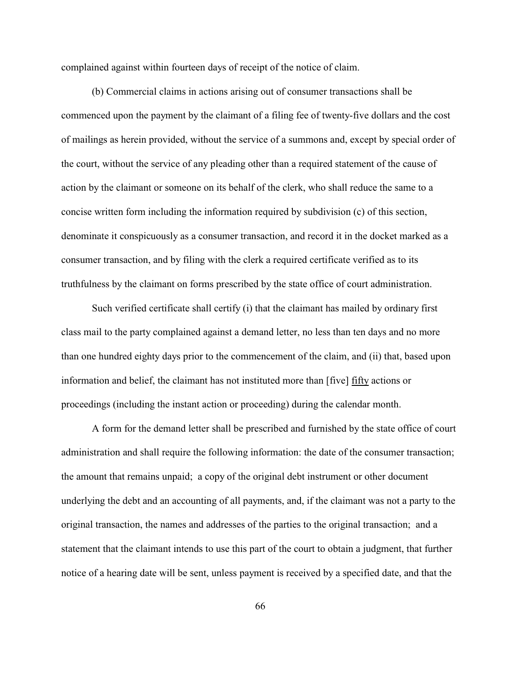complained against within fourteen days of receipt of the notice of claim.

(b) Commercial claims in actions arising out of consumer transactions shall be commenced upon the payment by the claimant of a filing fee of twenty-five dollars and the cost of mailings as herein provided, without the service of a summons and, except by special order of the court, without the service of any pleading other than a required statement of the cause of action by the claimant or someone on its behalf of the clerk, who shall reduce the same to a concise written form including the information required by subdivision (c) of this section, denominate it conspicuously as a consumer transaction, and record it in the docket marked as a consumer transaction, and by filing with the clerk a required certificate verified as to its truthfulness by the claimant on forms prescribed by the state office of court administration.

Such verified certificate shall certify (i) that the claimant has mailed by ordinary first class mail to the party complained against a demand letter, no less than ten days and no more than one hundred eighty days prior to the commencement of the claim, and (ii) that, based upon information and belief, the claimant has not instituted more than [five] fifty actions or proceedings (including the instant action or proceeding) during the calendar month.

A form for the demand letter shall be prescribed and furnished by the state office of court administration and shall require the following information: the date of the consumer transaction; the amount that remains unpaid; a copy of the original debt instrument or other document underlying the debt and an accounting of all payments, and, if the claimant was not a party to the original transaction, the names and addresses of the parties to the original transaction; and a statement that the claimant intends to use this part of the court to obtain a judgment, that further notice of a hearing date will be sent, unless payment is received by a specified date, and that the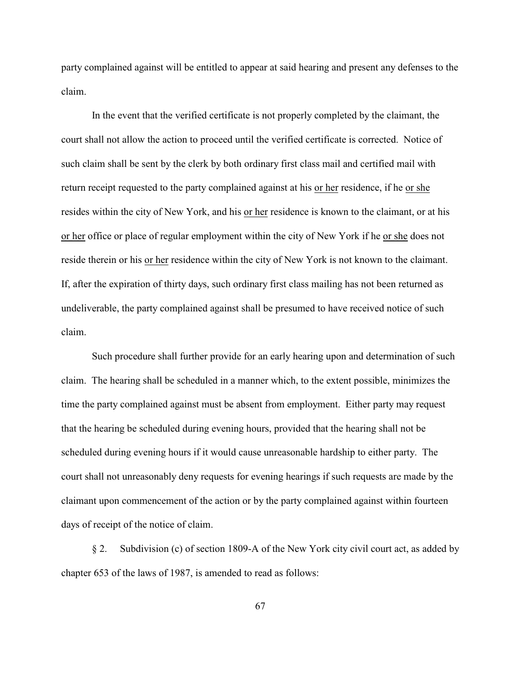party complained against will be entitled to appear at said hearing and present any defenses to the claim.

In the event that the verified certificate is not properly completed by the claimant, the court shall not allow the action to proceed until the verified certificate is corrected. Notice of such claim shall be sent by the clerk by both ordinary first class mail and certified mail with return receipt requested to the party complained against at his or her residence, if he or she resides within the city of New York, and his or her residence is known to the claimant, or at his or her office or place of regular employment within the city of New York if he or she does not reside therein or his or her residence within the city of New York is not known to the claimant. If, after the expiration of thirty days, such ordinary first class mailing has not been returned as undeliverable, the party complained against shall be presumed to have received notice of such claim.

Such procedure shall further provide for an early hearing upon and determination of such claim. The hearing shall be scheduled in a manner which, to the extent possible, minimizes the time the party complained against must be absent from employment. Either party may request that the hearing be scheduled during evening hours, provided that the hearing shall not be scheduled during evening hours if it would cause unreasonable hardship to either party. The court shall not unreasonably deny requests for evening hearings if such requests are made by the claimant upon commencement of the action or by the party complained against within fourteen days of receipt of the notice of claim.

§ 2. Subdivision (c) of section 1809-A of the New York city civil court act, as added by chapter 653 of the laws of 1987, is amended to read as follows:

67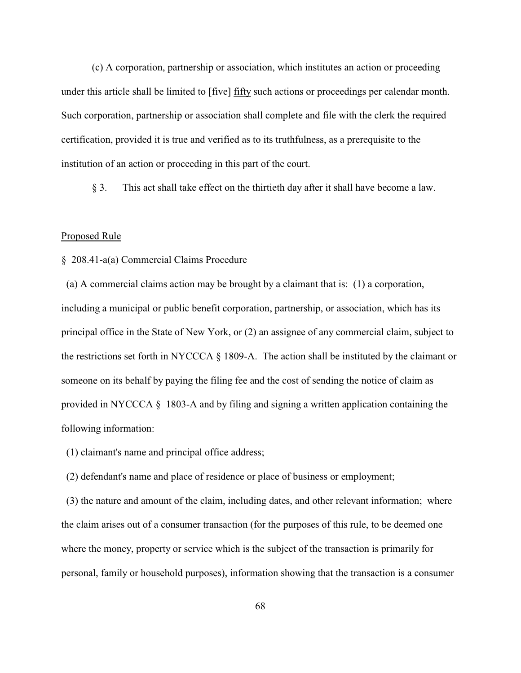(c) A corporation, partnership or association, which institutes an action or proceeding under this article shall be limited to [five] fifty such actions or proceedings per calendar month. Such corporation, partnership or association shall complete and file with the clerk the required certification, provided it is true and verified as to its truthfulness, as a prerequisite to the institution of an action or proceeding in this part of the court.

§ 3. This act shall take effect on the thirtieth day after it shall have become a law.

#### Proposed Rule

§ 208.41-a(a) Commercial Claims Procedure

 (a) A commercial claims action may be brought by a claimant that is: (1) a corporation, including a municipal or public benefit corporation, partnership, or association, which has its principal office in the State of New York, or (2) an assignee of any commercial claim, subject to the restrictions set forth in NYCCCA § 1809-A. The action shall be instituted by the claimant or someone on its behalf by paying the filing fee and the cost of sending the notice of claim as provided in NYCCCA  $\S$  1803-A and by filing and signing a written application containing the following information:

(1) claimant's name and principal office address;

(2) defendant's name and place of residence or place of business or employment;

 (3) the nature and amount of the claim, including dates, and other relevant information; where the claim arises out of a consumer transaction (for the purposes of this rule, to be deemed one where the money, property or service which is the subject of the transaction is primarily for personal, family or household purposes), information showing that the transaction is a consumer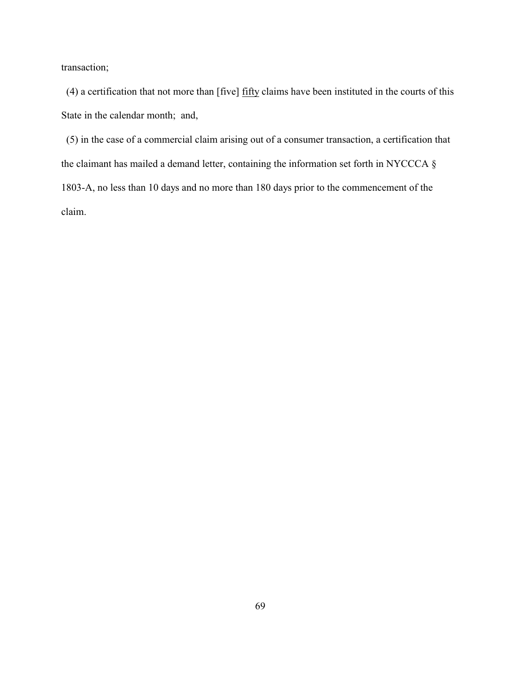transaction;

(4) a certification that not more than [five]  $\frac{fifty}{f}$  claims have been instituted in the courts of this State in the calendar month; and,

 (5) in the case of a commercial claim arising out of a consumer transaction, a certification that the claimant has mailed a demand letter, containing the information set forth in NYCCCA § 1803-A, no less than 10 days and no more than 180 days prior to the commencement of the claim.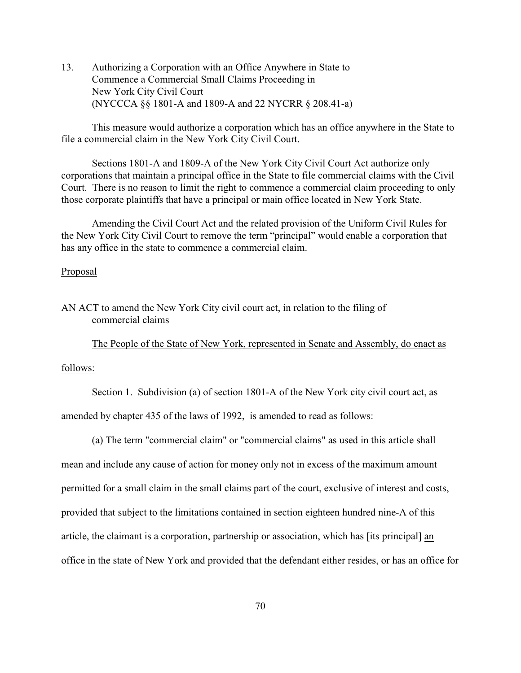13. Authorizing a Corporation with an Office Anywhere in State to Commence a Commercial Small Claims Proceeding in New York City Civil Court (NYCCCA §§ 1801-A and 1809-A and 22 NYCRR § 208.41-a)

This measure would authorize a corporation which has an office anywhere in the State to file a commercial claim in the New York City Civil Court.

Sections 1801-A and 1809-A of the New York City Civil Court Act authorize only corporations that maintain a principal office in the State to file commercial claims with the Civil Court. There is no reason to limit the right to commence a commercial claim proceeding to only those corporate plaintiffs that have a principal or main office located in New York State.

Amending the Civil Court Act and the related provision of the Uniform Civil Rules for the New York City Civil Court to remove the term "principal" would enable a corporation that has any office in the state to commence a commercial claim.

## Proposal

AN ACT to amend the New York City civil court act, in relation to the filing of commercial claims

The People of the State of New York, represented in Senate and Assembly, do enact as

#### follows:

Section 1. Subdivision (a) of section 1801-A of the New York city civil court act, as

amended by chapter 435 of the laws of 1992, is amended to read as follows:

(a) The term "commercial claim" or "commercial claims" as used in this article shall

mean and include any cause of action for money only not in excess of the maximum amount

permitted for a small claim in the small claims part of the court, exclusive of interest and costs,

provided that subject to the limitations contained in section eighteen hundred nine-A of this

article, the claimant is a corporation, partnership or association, which has [its principal] an

office in the state of New York and provided that the defendant either resides, or has an office for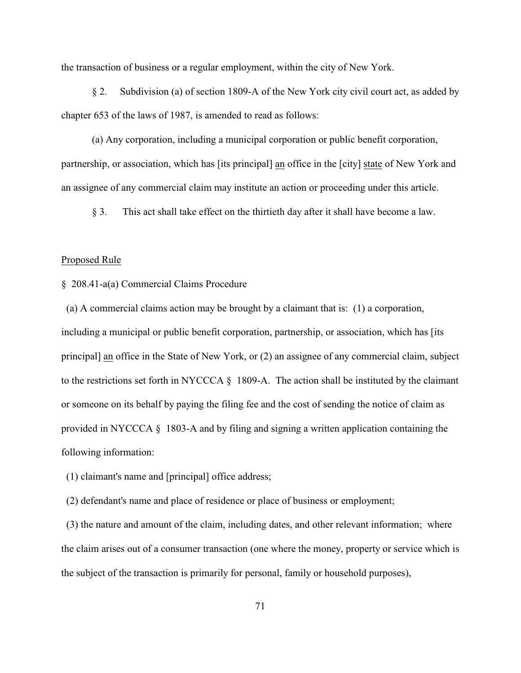the transaction of business or a regular employment, within the city of New York.

§ 2. Subdivision (a) of section 1809-A of the New York city civil court act, as added by chapter 653 of the laws of 1987, is amended to read as follows:

(a) Any corporation, including a municipal corporation or public benefit corporation, partnership, or association, which has [its principal] an office in the [city] state of New York and an assignee of any commercial claim may institute an action or proceeding under this article.

§ 3. This act shall take effect on the thirtieth day after it shall have become a law.

#### Proposed Rule

## § 208.41-a(a) Commercial Claims Procedure

 (a) A commercial claims action may be brought by a claimant that is: (1) a corporation, including a municipal or public benefit corporation, partnership, or association, which has [its principal] an office in the State of New York, or (2) an assignee of any commercial claim, subject to the restrictions set forth in NYCCCA  $\S$  1809-A. The action shall be instituted by the claimant or someone on its behalf by paying the filing fee and the cost of sending the notice of claim as provided in NYCCCA § 1803-A and by filing and signing a written application containing the following information:

(1) claimant's name and [principal] office address;

(2) defendant's name and place of residence or place of business or employment;

 (3) the nature and amount of the claim, including dates, and other relevant information; where the claim arises out of a consumer transaction (one where the money, property or service which is the subject of the transaction is primarily for personal, family or household purposes),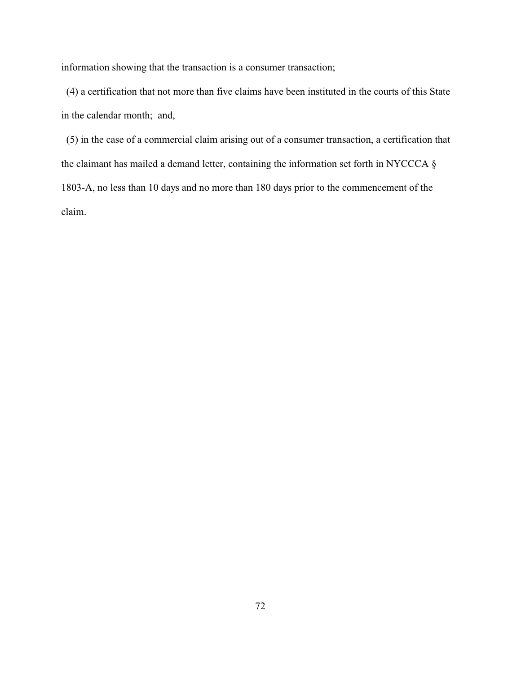information showing that the transaction is a consumer transaction;

 (4) a certification that not more than five claims have been instituted in the courts of this State in the calendar month; and,

 (5) in the case of a commercial claim arising out of a consumer transaction, a certification that the claimant has mailed a demand letter, containing the information set forth in NYCCCA § 1803-A, no less than 10 days and no more than 180 days prior to the commencement of the claim.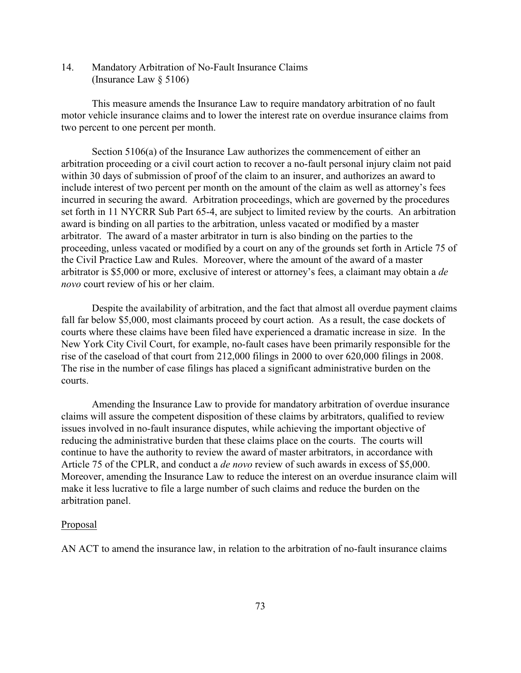14. Mandatory Arbitration of No-Fault Insurance Claims (Insurance Law § 5106)

This measure amends the Insurance Law to require mandatory arbitration of no fault motor vehicle insurance claims and to lower the interest rate on overdue insurance claims from two percent to one percent per month.

Section 5106(a) of the Insurance Law authorizes the commencement of either an arbitration proceeding or a civil court action to recover a no-fault personal injury claim not paid within 30 days of submission of proof of the claim to an insurer, and authorizes an award to include interest of two percent per month on the amount of the claim as well as attorney's fees incurred in securing the award. Arbitration proceedings, which are governed by the procedures set forth in 11 NYCRR Sub Part 65-4, are subject to limited review by the courts. An arbitration award is binding on all parties to the arbitration, unless vacated or modified by a master arbitrator. The award of a master arbitrator in turn is also binding on the parties to the proceeding, unless vacated or modified by a court on any of the grounds set forth in Article 75 of the Civil Practice Law and Rules. Moreover, where the amount of the award of a master arbitrator is \$5,000 or more, exclusive of interest or attorney's fees, a claimant may obtain a *de novo* court review of his or her claim.

Despite the availability of arbitration, and the fact that almost all overdue payment claims fall far below \$5,000, most claimants proceed by court action. As a result, the case dockets of courts where these claims have been filed have experienced a dramatic increase in size. In the New York City Civil Court, for example, no-fault cases have been primarily responsible for the rise of the caseload of that court from 212,000 filings in 2000 to over 620,000 filings in 2008. The rise in the number of case filings has placed a significant administrative burden on the courts.

Amending the Insurance Law to provide for mandatory arbitration of overdue insurance claims will assure the competent disposition of these claims by arbitrators, qualified to review issues involved in no-fault insurance disputes, while achieving the important objective of reducing the administrative burden that these claims place on the courts. The courts will continue to have the authority to review the award of master arbitrators, in accordance with Article 75 of the CPLR, and conduct a *de novo* review of such awards in excess of \$5,000. Moreover, amending the Insurance Law to reduce the interest on an overdue insurance claim will make it less lucrative to file a large number of such claims and reduce the burden on the arbitration panel.

## Proposal

AN ACT to amend the insurance law, in relation to the arbitration of no-fault insurance claims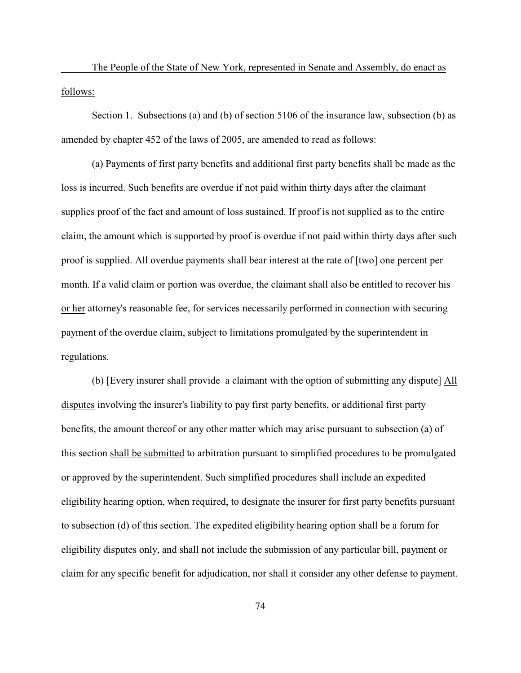The People of the State of New York, represented in Senate and Assembly, do enact as follows:

Section 1. Subsections (a) and (b) of section 5106 of the insurance law, subsection (b) as amended by chapter 452 of the laws of 2005, are amended to read as follows:

(a) Payments of first party benefits and additional first party benefits shall be made as the loss is incurred. Such benefits are overdue if not paid within thirty days after the claimant supplies proof of the fact and amount of loss sustained. If proof is not supplied as to the entire claim, the amount which is supported by proof is overdue if not paid within thirty days after such proof is supplied. All overdue payments shall bear interest at the rate of [two] one percent per month. If a valid claim or portion was overdue, the claimant shall also be entitled to recover his or her attorney's reasonable fee, for services necessarily performed in connection with securing payment of the overdue claim, subject to limitations promulgated by the superintendent in regulations.

(b) [Every insurer shall provide a claimant with the option of submitting any dispute] All disputes involving the insurer's liability to pay first party benefits, or additional first party benefits, the amount thereof or any other matter which may arise pursuant to subsection (a) of this section shall be submitted to arbitration pursuant to simplified procedures to be promulgated or approved by the superintendent. Such simplified procedures shall include an expedited eligibility hearing option, when required, to designate the insurer for first party benefits pursuant to subsection (d) of this section. The expedited eligibility hearing option shall be a forum for eligibility disputes only, and shall not include the submission of any particular bill, payment or claim for any specific benefit for adjudication, nor shall it consider any other defense to payment.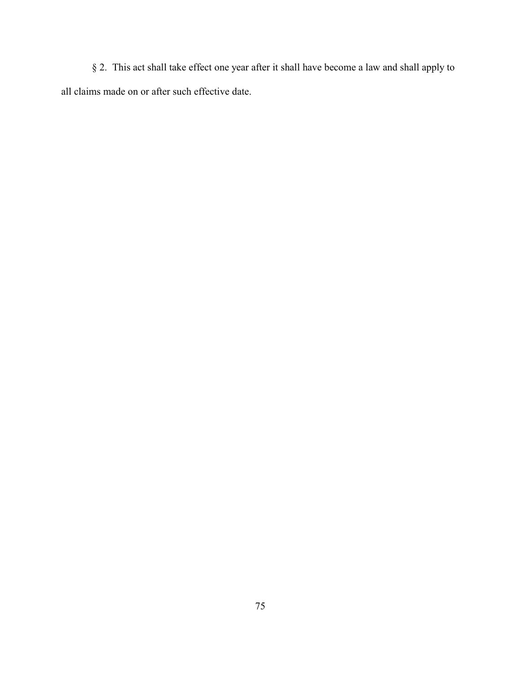§ 2. This act shall take effect one year after it shall have become a law and shall apply to all claims made on or after such effective date.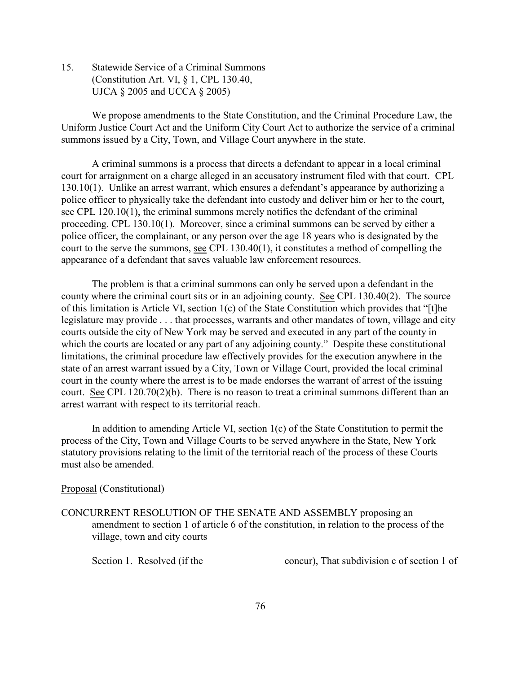15. Statewide Service of a Criminal Summons (Constitution Art. VI, § 1, CPL 130.40, UJCA § 2005 and UCCA § 2005)

We propose amendments to the State Constitution, and the Criminal Procedure Law, the Uniform Justice Court Act and the Uniform City Court Act to authorize the service of a criminal summons issued by a City, Town, and Village Court anywhere in the state.

A criminal summons is a process that directs a defendant to appear in a local criminal court for arraignment on a charge alleged in an accusatory instrument filed with that court. CPL 130.10(1). Unlike an arrest warrant, which ensures a defendant's appearance by authorizing a police officer to physically take the defendant into custody and deliver him or her to the court, see CPL 120.10(1), the criminal summons merely notifies the defendant of the criminal proceeding. CPL 130.10(1). Moreover, since a criminal summons can be served by either a police officer, the complainant, or any person over the age 18 years who is designated by the court to the serve the summons, see CPL 130.40(1), it constitutes a method of compelling the appearance of a defendant that saves valuable law enforcement resources.

The problem is that a criminal summons can only be served upon a defendant in the county where the criminal court sits or in an adjoining county. See CPL 130.40(2). The source of this limitation is Article VI, section 1(c) of the State Constitution which provides that "[t]he legislature may provide . . . that processes, warrants and other mandates of town, village and city courts outside the city of New York may be served and executed in any part of the county in which the courts are located or any part of any adjoining county." Despite these constitutional limitations, the criminal procedure law effectively provides for the execution anywhere in the state of an arrest warrant issued by a City, Town or Village Court, provided the local criminal court in the county where the arrest is to be made endorses the warrant of arrest of the issuing court. See CPL 120.70(2)(b). There is no reason to treat a criminal summons different than an arrest warrant with respect to its territorial reach.

In addition to amending Article VI, section 1(c) of the State Constitution to permit the process of the City, Town and Village Courts to be served anywhere in the State, New York statutory provisions relating to the limit of the territorial reach of the process of these Courts must also be amended.

Proposal (Constitutional)

CONCURRENT RESOLUTION OF THE SENATE AND ASSEMBLY proposing an amendment to section 1 of article 6 of the constitution, in relation to the process of the village, town and city courts

Section 1. Resolved (if the concur), That subdivision c of section 1 of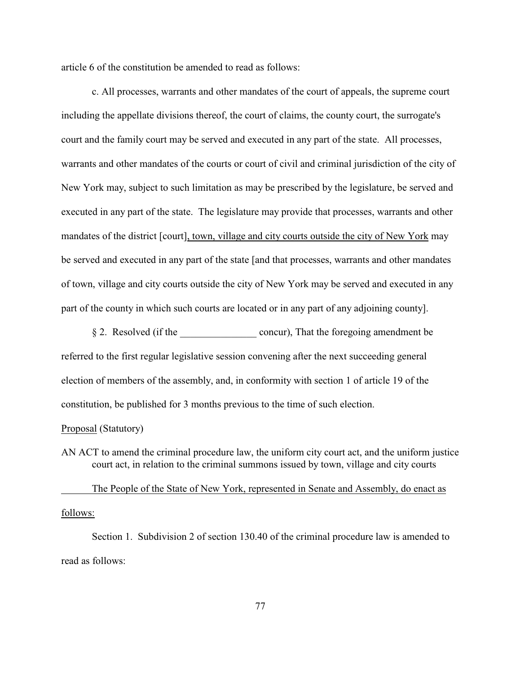article 6 of the constitution be amended to read as follows:

c. All processes, warrants and other mandates of the court of appeals, the supreme court including the appellate divisions thereof, the court of claims, the county court, the surrogate's court and the family court may be served and executed in any part of the state. All processes, warrants and other mandates of the courts or court of civil and criminal jurisdiction of the city of New York may, subject to such limitation as may be prescribed by the legislature, be served and executed in any part of the state. The legislature may provide that processes, warrants and other mandates of the district [court], town, village and city courts outside the city of New York may be served and executed in any part of the state [and that processes, warrants and other mandates of town, village and city courts outside the city of New York may be served and executed in any part of the county in which such courts are located or in any part of any adjoining county].

 $§$  2. Resolved (if the concur), That the foregoing amendment be referred to the first regular legislative session convening after the next succeeding general election of members of the assembly, and, in conformity with section 1 of article 19 of the constitution, be published for 3 months previous to the time of such election.

#### Proposal (Statutory)

AN ACT to amend the criminal procedure law, the uniform city court act, and the uniform justice court act, in relation to the criminal summons issued by town, village and city courts

The People of the State of New York, represented in Senate and Assembly, do enact as follows:

Section 1. Subdivision 2 of section 130.40 of the criminal procedure law is amended to read as follows: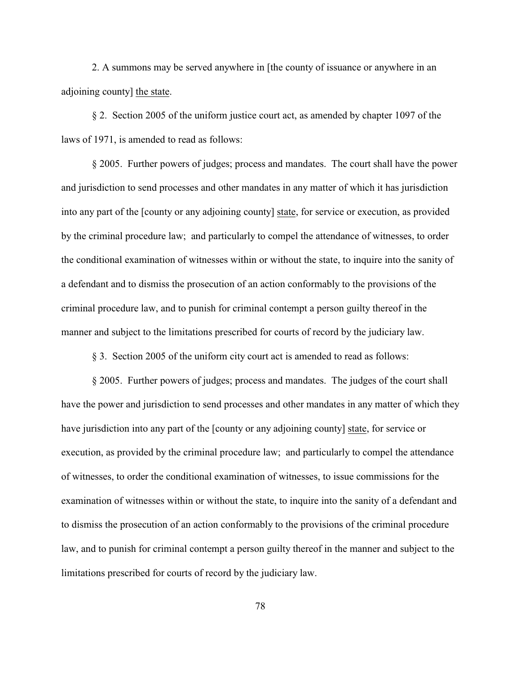2. A summons may be served anywhere in [the county of issuance or anywhere in an adjoining county] the state.

§ 2. Section 2005 of the uniform justice court act, as amended by chapter 1097 of the laws of 1971, is amended to read as follows:

§ 2005. Further powers of judges; process and mandates. The court shall have the power and jurisdiction to send processes and other mandates in any matter of which it has jurisdiction into any part of the [county or any adjoining county] state, for service or execution, as provided by the criminal procedure law; and particularly to compel the attendance of witnesses, to order the conditional examination of witnesses within or without the state, to inquire into the sanity of a defendant and to dismiss the prosecution of an action conformably to the provisions of the criminal procedure law, and to punish for criminal contempt a person guilty thereof in the manner and subject to the limitations prescribed for courts of record by the judiciary law.

§ 3. Section 2005 of the uniform city court act is amended to read as follows:

§ 2005. Further powers of judges; process and mandates. The judges of the court shall have the power and jurisdiction to send processes and other mandates in any matter of which they have jurisdiction into any part of the [county or any adjoining county] state, for service or execution, as provided by the criminal procedure law; and particularly to compel the attendance of witnesses, to order the conditional examination of witnesses, to issue commissions for the examination of witnesses within or without the state, to inquire into the sanity of a defendant and to dismiss the prosecution of an action conformably to the provisions of the criminal procedure law, and to punish for criminal contempt a person guilty thereof in the manner and subject to the limitations prescribed for courts of record by the judiciary law.

78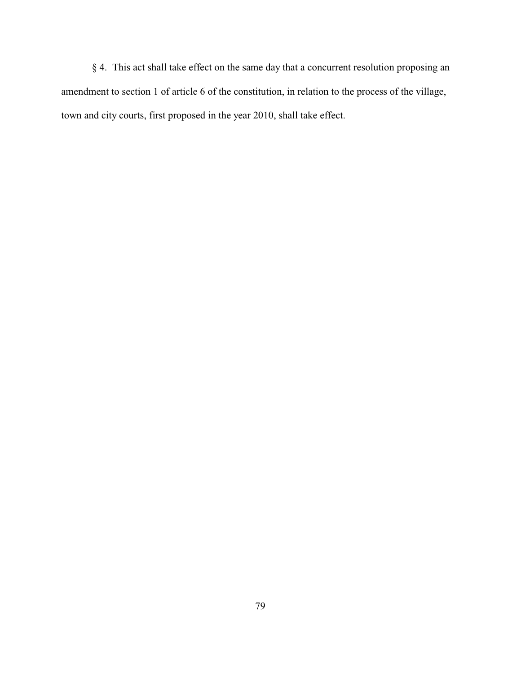§ 4. This act shall take effect on the same day that a concurrent resolution proposing an amendment to section 1 of article 6 of the constitution, in relation to the process of the village, town and city courts, first proposed in the year 2010, shall take effect.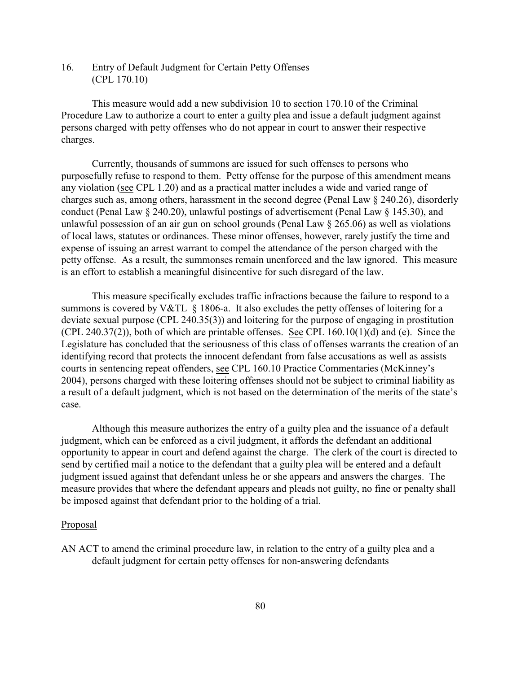16. Entry of Default Judgment for Certain Petty Offenses (CPL 170.10)

This measure would add a new subdivision 10 to section 170.10 of the Criminal Procedure Law to authorize a court to enter a guilty plea and issue a default judgment against persons charged with petty offenses who do not appear in court to answer their respective charges.

Currently, thousands of summons are issued for such offenses to persons who purposefully refuse to respond to them. Petty offense for the purpose of this amendment means any violation (see CPL 1.20) and as a practical matter includes a wide and varied range of charges such as, among others, harassment in the second degree (Penal Law § 240.26), disorderly conduct (Penal Law § 240.20), unlawful postings of advertisement (Penal Law § 145.30), and unlawful possession of an air gun on school grounds (Penal Law § 265.06) as well as violations of local laws, statutes or ordinances. These minor offenses, however, rarely justify the time and expense of issuing an arrest warrant to compel the attendance of the person charged with the petty offense. As a result, the summonses remain unenforced and the law ignored. This measure is an effort to establish a meaningful disincentive for such disregard of the law.

This measure specifically excludes traffic infractions because the failure to respond to a summons is covered by V&TL § 1806-a. It also excludes the petty offenses of loitering for a deviate sexual purpose (CPL 240.35(3)) and loitering for the purpose of engaging in prostitution (CPL 240.37(2)), both of which are printable offenses. See CPL  $160.10(1)(d)$  and (e). Since the Legislature has concluded that the seriousness of this class of offenses warrants the creation of an identifying record that protects the innocent defendant from false accusations as well as assists courts in sentencing repeat offenders, see CPL 160.10 Practice Commentaries (McKinney's 2004), persons charged with these loitering offenses should not be subject to criminal liability as a result of a default judgment, which is not based on the determination of the merits of the state's case.

Although this measure authorizes the entry of a guilty plea and the issuance of a default judgment, which can be enforced as a civil judgment, it affords the defendant an additional opportunity to appear in court and defend against the charge. The clerk of the court is directed to send by certified mail a notice to the defendant that a guilty plea will be entered and a default judgment issued against that defendant unless he or she appears and answers the charges. The measure provides that where the defendant appears and pleads not guilty, no fine or penalty shall be imposed against that defendant prior to the holding of a trial.

#### Proposal

AN ACT to amend the criminal procedure law, in relation to the entry of a guilty plea and a default judgment for certain petty offenses for non-answering defendants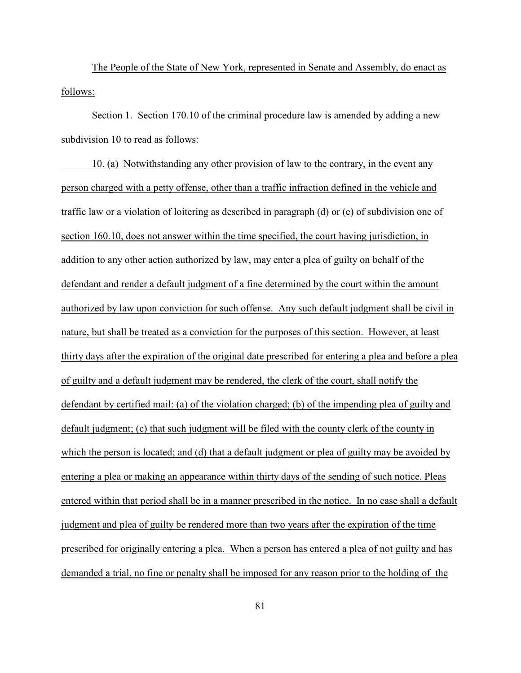The People of the State of New York, represented in Senate and Assembly, do enact as follows:

Section 1. Section 170.10 of the criminal procedure law is amended by adding a new subdivision 10 to read as follows:

10. (a) Notwithstanding any other provision of law to the contrary, in the event any person charged with a petty offense, other than a traffic infraction defined in the vehicle and traffic law or a violation of loitering as described in paragraph (d) or (e) of subdivision one of section 160.10, does not answer within the time specified, the court having jurisdiction, in addition to any other action authorized by law, may enter a plea of guilty on behalf of the defendant and render a default judgment of a fine determined by the court within the amount authorized by law upon conviction for such offense. Any such default judgment shall be civil in nature, but shall be treated as a conviction for the purposes of this section. However, at least thirty days after the expiration of the original date prescribed for entering a plea and before a plea of guilty and a default judgment may be rendered, the clerk of the court, shall notify the defendant by certified mail: (a) of the violation charged; (b) of the impending plea of guilty and default judgment; (c) that such judgment will be filed with the county clerk of the county in which the person is located; and (d) that a default judgment or plea of guilty may be avoided by entering a plea or making an appearance within thirty days of the sending of such notice. Pleas entered within that period shall be in a manner prescribed in the notice. In no case shall a default judgment and plea of guilty be rendered more than two years after the expiration of the time prescribed for originally entering a plea. When a person has entered a plea of not guilty and has demanded a trial, no fine or penalty shall be imposed for any reason prior to the holding of the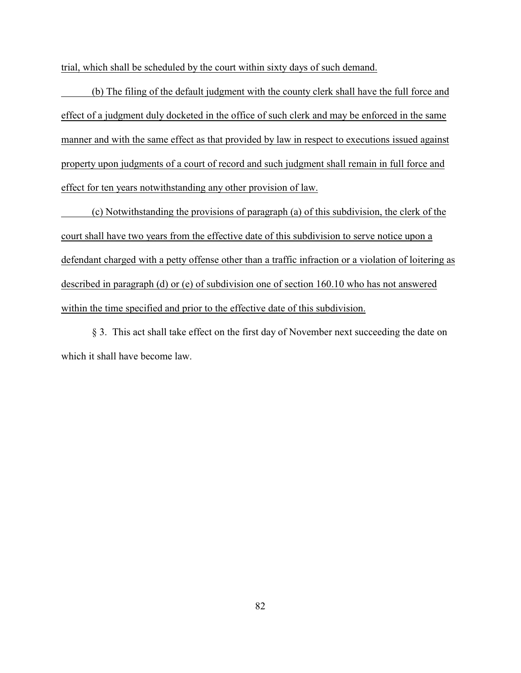trial, which shall be scheduled by the court within sixty days of such demand.

(b) The filing of the default judgment with the county clerk shall have the full force and effect of a judgment duly docketed in the office of such clerk and may be enforced in the same manner and with the same effect as that provided by law in respect to executions issued against property upon judgments of a court of record and such judgment shall remain in full force and effect for ten years notwithstanding any other provision of law.

(c) Notwithstanding the provisions of paragraph (a) of this subdivision, the clerk of the court shall have two years from the effective date of this subdivision to serve notice upon a defendant charged with a petty offense other than a traffic infraction or a violation of loitering as described in paragraph (d) or (e) of subdivision one of section 160.10 who has not answered within the time specified and prior to the effective date of this subdivision.

§ 3. This act shall take effect on the first day of November next succeeding the date on which it shall have become law.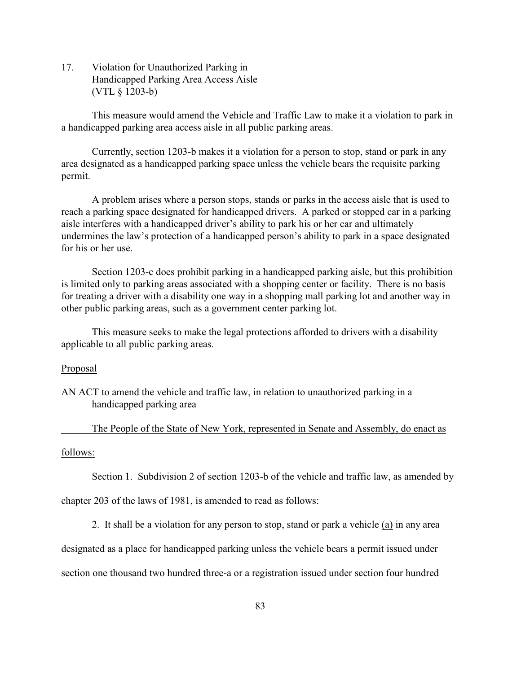17. Violation for Unauthorized Parking in Handicapped Parking Area Access Aisle (VTL § 1203-b)

This measure would amend the Vehicle and Traffic Law to make it a violation to park in a handicapped parking area access aisle in all public parking areas.

Currently, section 1203-b makes it a violation for a person to stop, stand or park in any area designated as a handicapped parking space unless the vehicle bears the requisite parking permit.

A problem arises where a person stops, stands or parks in the access aisle that is used to reach a parking space designated for handicapped drivers. A parked or stopped car in a parking aisle interferes with a handicapped driver's ability to park his or her car and ultimately undermines the law's protection of a handicapped person's ability to park in a space designated for his or her use.

Section 1203-c does prohibit parking in a handicapped parking aisle, but this prohibition is limited only to parking areas associated with a shopping center or facility. There is no basis for treating a driver with a disability one way in a shopping mall parking lot and another way in other public parking areas, such as a government center parking lot.

This measure seeks to make the legal protections afforded to drivers with a disability applicable to all public parking areas.

#### Proposal

AN ACT to amend the vehicle and traffic law, in relation to unauthorized parking in a handicapped parking area

#### The People of the State of New York, represented in Senate and Assembly, do enact as

#### follows:

Section 1. Subdivision 2 of section 1203-b of the vehicle and traffic law, as amended by

chapter 203 of the laws of 1981, is amended to read as follows:

2. It shall be a violation for any person to stop, stand or park a vehicle (a) in any area

designated as a place for handicapped parking unless the vehicle bears a permit issued under

section one thousand two hundred three-a or a registration issued under section four hundred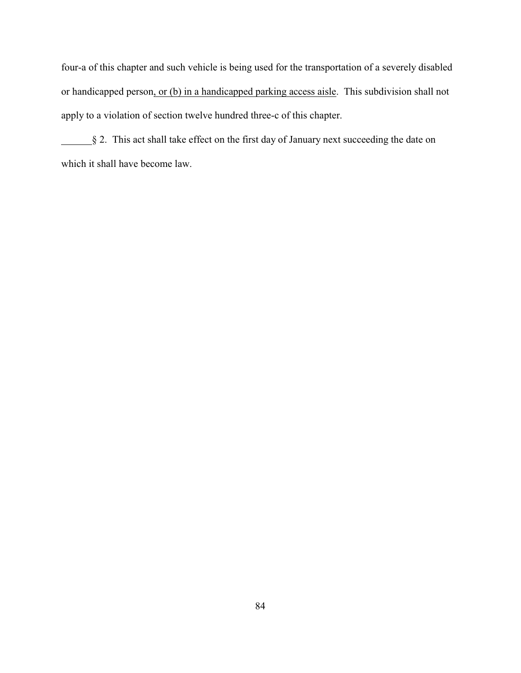four-a of this chapter and such vehicle is being used for the transportation of a severely disabled or handicapped person, or (b) in a handicapped parking access aisle. This subdivision shall not apply to a violation of section twelve hundred three-c of this chapter.

§ 2. This act shall take effect on the first day of January next succeeding the date on which it shall have become law.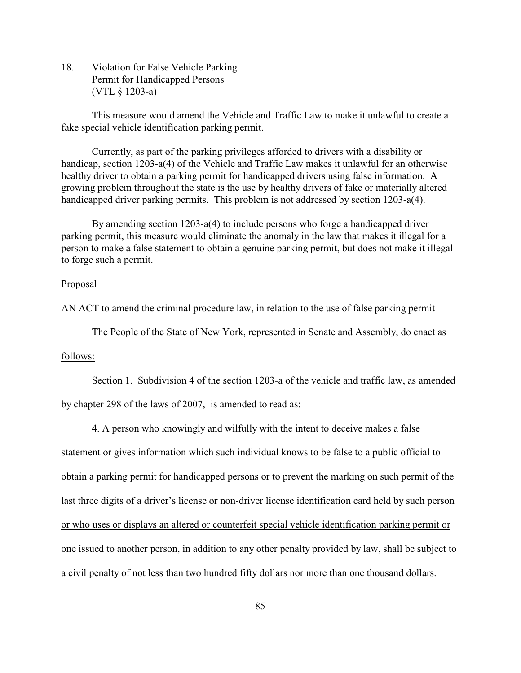18. Violation for False Vehicle Parking Permit for Handicapped Persons (VTL § 1203-a)

This measure would amend the Vehicle and Traffic Law to make it unlawful to create a fake special vehicle identification parking permit.

Currently, as part of the parking privileges afforded to drivers with a disability or handicap, section 1203-a(4) of the Vehicle and Traffic Law makes it unlawful for an otherwise healthy driver to obtain a parking permit for handicapped drivers using false information. A growing problem throughout the state is the use by healthy drivers of fake or materially altered handicapped driver parking permits. This problem is not addressed by section 1203-a(4).

By amending section 1203-a(4) to include persons who forge a handicapped driver parking permit, this measure would eliminate the anomaly in the law that makes it illegal for a person to make a false statement to obtain a genuine parking permit, but does not make it illegal to forge such a permit.

#### Proposal

AN ACT to amend the criminal procedure law, in relation to the use of false parking permit

The People of the State of New York, represented in Senate and Assembly, do enact as

follows:

Section 1. Subdivision 4 of the section 1203-a of the vehicle and traffic law, as amended by chapter 298 of the laws of 2007, is amended to read as:

4. A person who knowingly and wilfully with the intent to deceive makes a false

statement or gives information which such individual knows to be false to a public official to obtain a parking permit for handicapped persons or to prevent the marking on such permit of the last three digits of a driver's license or non-driver license identification card held by such person or who uses or displays an altered or counterfeit special vehicle identification parking permit or one issued to another person, in addition to any other penalty provided by law, shall be subject to a civil penalty of not less than two hundred fifty dollars nor more than one thousand dollars.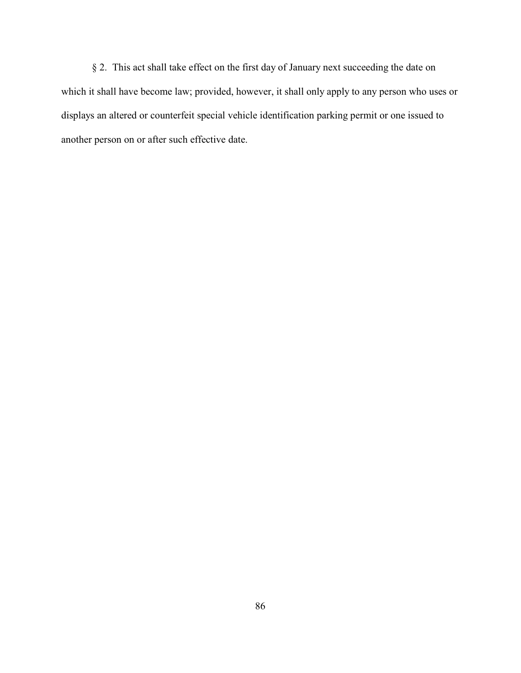§ 2. This act shall take effect on the first day of January next succeeding the date on which it shall have become law; provided, however, it shall only apply to any person who uses or displays an altered or counterfeit special vehicle identification parking permit or one issued to another person on or after such effective date.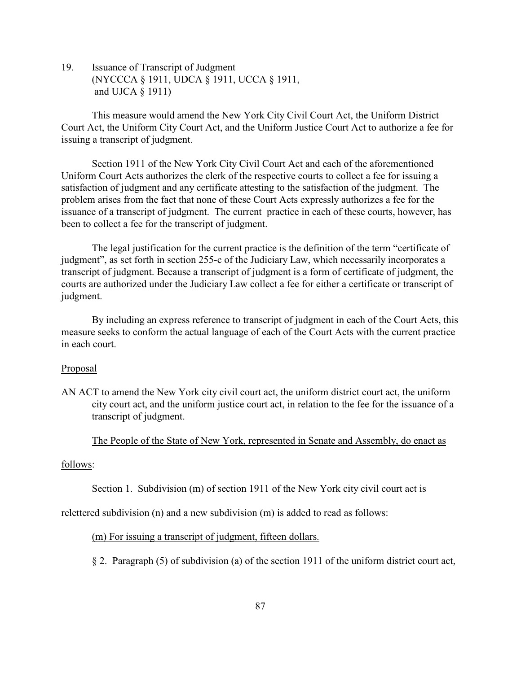19. Issuance of Transcript of Judgment (NYCCCA § 1911, UDCA § 1911, UCCA § 1911, and UJCA § 1911)

This measure would amend the New York City Civil Court Act, the Uniform District Court Act, the Uniform City Court Act, and the Uniform Justice Court Act to authorize a fee for issuing a transcript of judgment.

Section 1911 of the New York City Civil Court Act and each of the aforementioned Uniform Court Acts authorizes the clerk of the respective courts to collect a fee for issuing a satisfaction of judgment and any certificate attesting to the satisfaction of the judgment. The problem arises from the fact that none of these Court Acts expressly authorizes a fee for the issuance of a transcript of judgment. The current practice in each of these courts, however, has been to collect a fee for the transcript of judgment.

The legal justification for the current practice is the definition of the term "certificate of judgment", as set forth in section 255-c of the Judiciary Law, which necessarily incorporates a transcript of judgment. Because a transcript of judgment is a form of certificate of judgment, the courts are authorized under the Judiciary Law collect a fee for either a certificate or transcript of judgment.

By including an express reference to transcript of judgment in each of the Court Acts, this measure seeks to conform the actual language of each of the Court Acts with the current practice in each court.

## Proposal

AN ACT to amend the New York city civil court act, the uniform district court act, the uniform city court act, and the uniform justice court act, in relation to the fee for the issuance of a transcript of judgment.

## The People of the State of New York, represented in Senate and Assembly, do enact as

## follows:

Section 1. Subdivision (m) of section 1911 of the New York city civil court act is

relettered subdivision (n) and a new subdivision (m) is added to read as follows:

## (m) For issuing a transcript of judgment, fifteen dollars.

§ 2. Paragraph (5) of subdivision (a) of the section 1911 of the uniform district court act,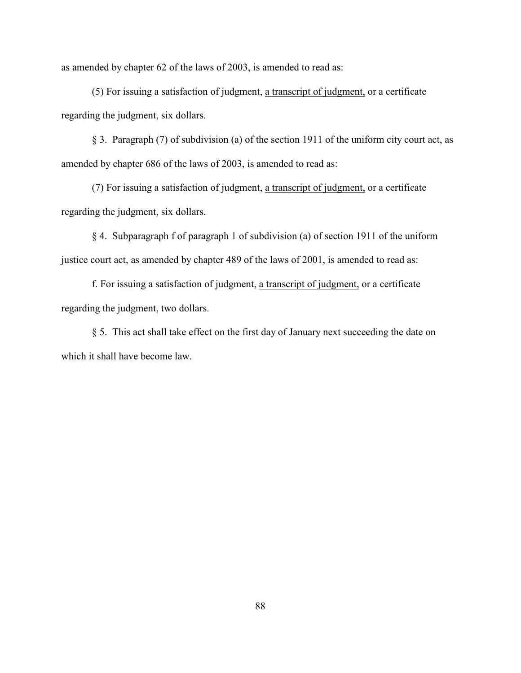as amended by chapter 62 of the laws of 2003, is amended to read as:

(5) For issuing a satisfaction of judgment, a transcript of judgment, or a certificate regarding the judgment, six dollars.

§ 3. Paragraph (7) of subdivision (a) of the section 1911 of the uniform city court act, as amended by chapter 686 of the laws of 2003, is amended to read as:

(7) For issuing a satisfaction of judgment, a transcript of judgment, or a certificate regarding the judgment, six dollars.

§ 4. Subparagraph f of paragraph 1 of subdivision (a) of section 1911 of the uniform justice court act, as amended by chapter 489 of the laws of 2001, is amended to read as:

f. For issuing a satisfaction of judgment, a transcript of judgment, or a certificate regarding the judgment, two dollars.

§ 5. This act shall take effect on the first day of January next succeeding the date on which it shall have become law.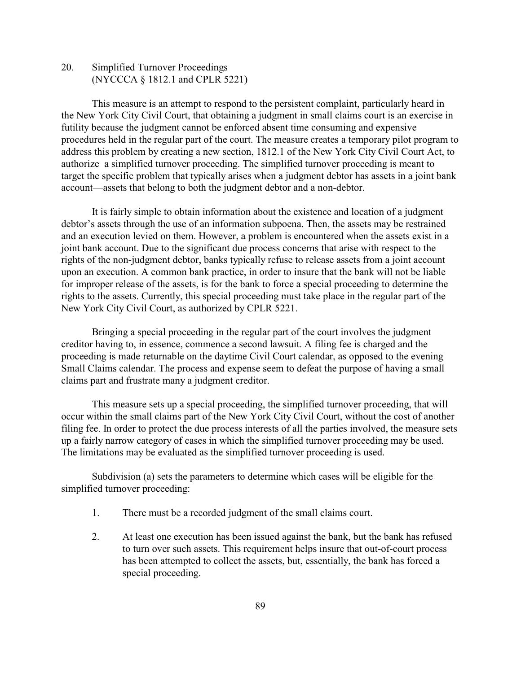20. Simplified Turnover Proceedings (NYCCCA § 1812.1 and CPLR 5221)

This measure is an attempt to respond to the persistent complaint, particularly heard in the New York City Civil Court, that obtaining a judgment in small claims court is an exercise in futility because the judgment cannot be enforced absent time consuming and expensive procedures held in the regular part of the court. The measure creates a temporary pilot program to address this problem by creating a new section, 1812.1 of the New York City Civil Court Act, to authorize a simplified turnover proceeding. The simplified turnover proceeding is meant to target the specific problem that typically arises when a judgment debtor has assets in a joint bank account—assets that belong to both the judgment debtor and a non-debtor.

It is fairly simple to obtain information about the existence and location of a judgment debtor's assets through the use of an information subpoena. Then, the assets may be restrained and an execution levied on them. However, a problem is encountered when the assets exist in a joint bank account. Due to the significant due process concerns that arise with respect to the rights of the non-judgment debtor, banks typically refuse to release assets from a joint account upon an execution. A common bank practice, in order to insure that the bank will not be liable for improper release of the assets, is for the bank to force a special proceeding to determine the rights to the assets. Currently, this special proceeding must take place in the regular part of the New York City Civil Court, as authorized by CPLR 5221.

Bringing a special proceeding in the regular part of the court involves the judgment creditor having to, in essence, commence a second lawsuit. A filing fee is charged and the proceeding is made returnable on the daytime Civil Court calendar, as opposed to the evening Small Claims calendar. The process and expense seem to defeat the purpose of having a small claims part and frustrate many a judgment creditor.

This measure sets up a special proceeding, the simplified turnover proceeding, that will occur within the small claims part of the New York City Civil Court, without the cost of another filing fee. In order to protect the due process interests of all the parties involved, the measure sets up a fairly narrow category of cases in which the simplified turnover proceeding may be used. The limitations may be evaluated as the simplified turnover proceeding is used.

Subdivision (a) sets the parameters to determine which cases will be eligible for the simplified turnover proceeding:

- 1. There must be a recorded judgment of the small claims court.
- 2. At least one execution has been issued against the bank, but the bank has refused to turn over such assets. This requirement helps insure that out-of-court process has been attempted to collect the assets, but, essentially, the bank has forced a special proceeding.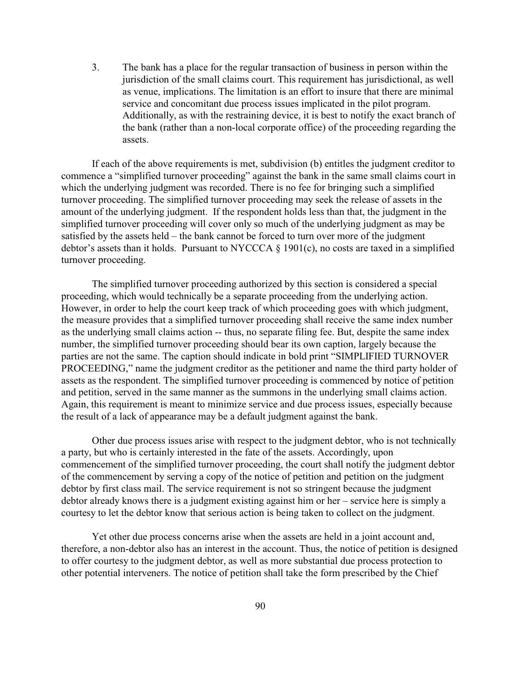3. The bank has a place for the regular transaction of business in person within the jurisdiction of the small claims court. This requirement has jurisdictional, as well as venue, implications. The limitation is an effort to insure that there are minimal service and concomitant due process issues implicated in the pilot program. Additionally, as with the restraining device, it is best to notify the exact branch of the bank (rather than a non-local corporate office) of the proceeding regarding the assets.

If each of the above requirements is met, subdivision (b) entitles the judgment creditor to commence a "simplified turnover proceeding" against the bank in the same small claims court in which the underlying judgment was recorded. There is no fee for bringing such a simplified turnover proceeding. The simplified turnover proceeding may seek the release of assets in the amount of the underlying judgment. If the respondent holds less than that, the judgment in the simplified turnover proceeding will cover only so much of the underlying judgment as may be satisfied by the assets held – the bank cannot be forced to turn over more of the judgment debtor's assets than it holds. Pursuant to NYCCCA § 1901(c), no costs are taxed in a simplified turnover proceeding.

The simplified turnover proceeding authorized by this section is considered a special proceeding, which would technically be a separate proceeding from the underlying action. However, in order to help the court keep track of which proceeding goes with which judgment, the measure provides that a simplified turnover proceeding shall receive the same index number as the underlying small claims action -- thus, no separate filing fee. But, despite the same index number, the simplified turnover proceeding should bear its own caption, largely because the parties are not the same. The caption should indicate in bold print "SIMPLIFIED TURNOVER PROCEEDING," name the judgment creditor as the petitioner and name the third party holder of assets as the respondent. The simplified turnover proceeding is commenced by notice of petition and petition, served in the same manner as the summons in the underlying small claims action. Again, this requirement is meant to minimize service and due process issues, especially because the result of a lack of appearance may be a default judgment against the bank.

Other due process issues arise with respect to the judgment debtor, who is not technically a party, but who is certainly interested in the fate of the assets. Accordingly, upon commencement of the simplified turnover proceeding, the court shall notify the judgment debtor of the commencement by serving a copy of the notice of petition and petition on the judgment debtor by first class mail. The service requirement is not so stringent because the judgment debtor already knows there is a judgment existing against him or her – service here is simply a courtesy to let the debtor know that serious action is being taken to collect on the judgment.

Yet other due process concerns arise when the assets are held in a joint account and, therefore, a non-debtor also has an interest in the account. Thus, the notice of petition is designed to offer courtesy to the judgment debtor, as well as more substantial due process protection to other potential interveners. The notice of petition shall take the form prescribed by the Chief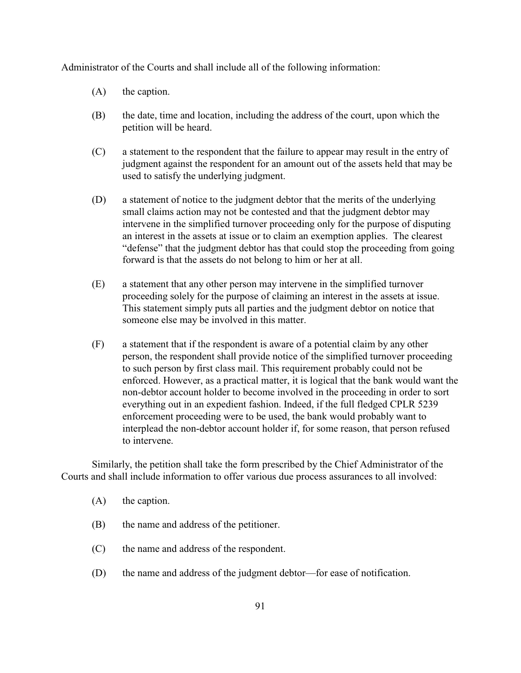Administrator of the Courts and shall include all of the following information:

- (A) the caption.
- (B) the date, time and location, including the address of the court, upon which the petition will be heard.
- (C) a statement to the respondent that the failure to appear may result in the entry of judgment against the respondent for an amount out of the assets held that may be used to satisfy the underlying judgment.
- (D) a statement of notice to the judgment debtor that the merits of the underlying small claims action may not be contested and that the judgment debtor may intervene in the simplified turnover proceeding only for the purpose of disputing an interest in the assets at issue or to claim an exemption applies. The clearest "defense" that the judgment debtor has that could stop the proceeding from going forward is that the assets do not belong to him or her at all.
- (E) a statement that any other person may intervene in the simplified turnover proceeding solely for the purpose of claiming an interest in the assets at issue. This statement simply puts all parties and the judgment debtor on notice that someone else may be involved in this matter.
- (F) a statement that if the respondent is aware of a potential claim by any other person, the respondent shall provide notice of the simplified turnover proceeding to such person by first class mail. This requirement probably could not be enforced. However, as a practical matter, it is logical that the bank would want the non-debtor account holder to become involved in the proceeding in order to sort everything out in an expedient fashion. Indeed, if the full fledged CPLR 5239 enforcement proceeding were to be used, the bank would probably want to interplead the non-debtor account holder if, for some reason, that person refused to intervene.

Similarly, the petition shall take the form prescribed by the Chief Administrator of the Courts and shall include information to offer various due process assurances to all involved:

- (A) the caption.
- (B) the name and address of the petitioner.
- (C) the name and address of the respondent.
- (D) the name and address of the judgment debtor—for ease of notification.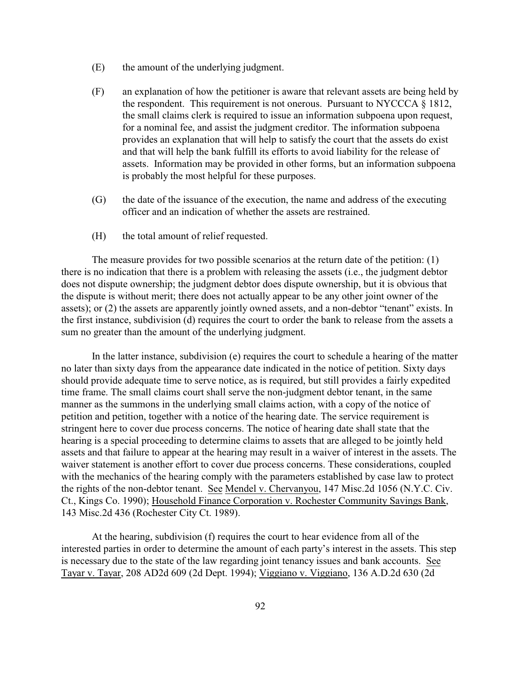- (E) the amount of the underlying judgment.
- (F) an explanation of how the petitioner is aware that relevant assets are being held by the respondent. This requirement is not onerous. Pursuant to NYCCCA § 1812, the small claims clerk is required to issue an information subpoena upon request, for a nominal fee, and assist the judgment creditor. The information subpoena provides an explanation that will help to satisfy the court that the assets do exist and that will help the bank fulfill its efforts to avoid liability for the release of assets. Information may be provided in other forms, but an information subpoena is probably the most helpful for these purposes.
- (G) the date of the issuance of the execution, the name and address of the executing officer and an indication of whether the assets are restrained.
- (H) the total amount of relief requested.

The measure provides for two possible scenarios at the return date of the petition: (1) there is no indication that there is a problem with releasing the assets (i.e., the judgment debtor does not dispute ownership; the judgment debtor does dispute ownership, but it is obvious that the dispute is without merit; there does not actually appear to be any other joint owner of the assets); or (2) the assets are apparently jointly owned assets, and a non-debtor "tenant" exists. In the first instance, subdivision (d) requires the court to order the bank to release from the assets a sum no greater than the amount of the underlying judgment.

In the latter instance, subdivision (e) requires the court to schedule a hearing of the matter no later than sixty days from the appearance date indicated in the notice of petition. Sixty days should provide adequate time to serve notice, as is required, but still provides a fairly expedited time frame. The small claims court shall serve the non-judgment debtor tenant, in the same manner as the summons in the underlying small claims action, with a copy of the notice of petition and petition, together with a notice of the hearing date. The service requirement is stringent here to cover due process concerns. The notice of hearing date shall state that the hearing is a special proceeding to determine claims to assets that are alleged to be jointly held assets and that failure to appear at the hearing may result in a waiver of interest in the assets. The waiver statement is another effort to cover due process concerns. These considerations, coupled with the mechanics of the hearing comply with the parameters established by case law to protect the rights of the non-debtor tenant. See Mendel v. Chervanyou, 147 Misc.2d 1056 (N.Y.C. Civ. Ct., Kings Co. 1990); Household Finance Corporation v. Rochester Community Savings Bank, 143 Misc.2d 436 (Rochester City Ct. 1989).

At the hearing, subdivision (f) requires the court to hear evidence from all of the interested parties in order to determine the amount of each party's interest in the assets. This step is necessary due to the state of the law regarding joint tenancy issues and bank accounts. See Tayar v. Tayar, 208 AD2d 609 (2d Dept. 1994); Viggiano v. Viggiano, 136 A.D.2d 630 (2d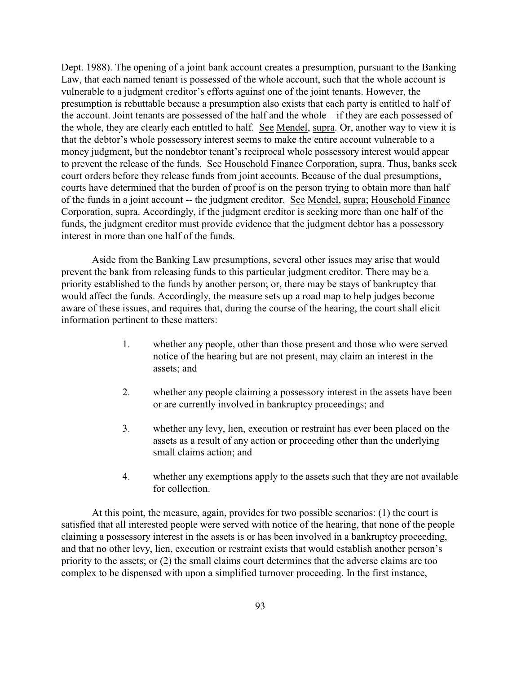Dept. 1988). The opening of a joint bank account creates a presumption, pursuant to the Banking Law, that each named tenant is possessed of the whole account, such that the whole account is vulnerable to a judgment creditor's efforts against one of the joint tenants. However, the presumption is rebuttable because a presumption also exists that each party is entitled to half of the account. Joint tenants are possessed of the half and the whole – if they are each possessed of the whole, they are clearly each entitled to half. See Mendel, supra. Or, another way to view it is that the debtor's whole possessory interest seems to make the entire account vulnerable to a money judgment, but the nondebtor tenant's reciprocal whole possessory interest would appear to prevent the release of the funds. See Household Finance Corporation, supra. Thus, banks seek court orders before they release funds from joint accounts. Because of the dual presumptions, courts have determined that the burden of proof is on the person trying to obtain more than half of the funds in a joint account -- the judgment creditor. See Mendel, supra; Household Finance Corporation, supra. Accordingly, if the judgment creditor is seeking more than one half of the funds, the judgment creditor must provide evidence that the judgment debtor has a possessory interest in more than one half of the funds.

Aside from the Banking Law presumptions, several other issues may arise that would prevent the bank from releasing funds to this particular judgment creditor. There may be a priority established to the funds by another person; or, there may be stays of bankruptcy that would affect the funds. Accordingly, the measure sets up a road map to help judges become aware of these issues, and requires that, during the course of the hearing, the court shall elicit information pertinent to these matters:

- 1. whether any people, other than those present and those who were served notice of the hearing but are not present, may claim an interest in the assets; and
- 2. whether any people claiming a possessory interest in the assets have been or are currently involved in bankruptcy proceedings; and
- 3. whether any levy, lien, execution or restraint has ever been placed on the assets as a result of any action or proceeding other than the underlying small claims action; and
- 4. whether any exemptions apply to the assets such that they are not available for collection.

At this point, the measure, again, provides for two possible scenarios: (1) the court is satisfied that all interested people were served with notice of the hearing, that none of the people claiming a possessory interest in the assets is or has been involved in a bankruptcy proceeding, and that no other levy, lien, execution or restraint exists that would establish another person's priority to the assets; or (2) the small claims court determines that the adverse claims are too complex to be dispensed with upon a simplified turnover proceeding. In the first instance,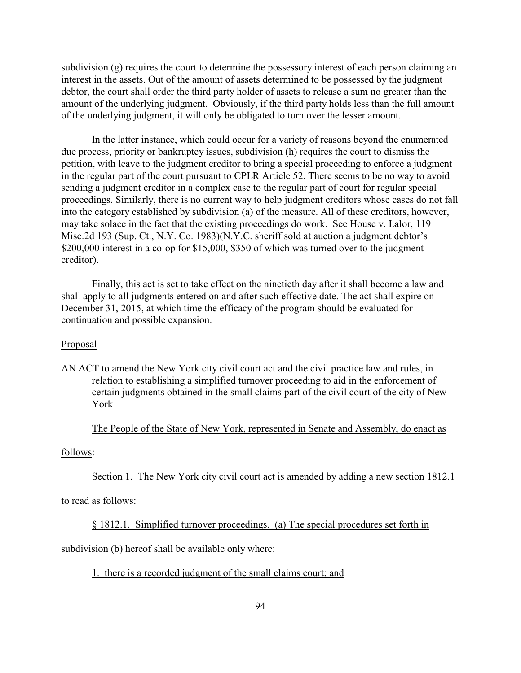subdivision (g) requires the court to determine the possessory interest of each person claiming an interest in the assets. Out of the amount of assets determined to be possessed by the judgment debtor, the court shall order the third party holder of assets to release a sum no greater than the amount of the underlying judgment. Obviously, if the third party holds less than the full amount of the underlying judgment, it will only be obligated to turn over the lesser amount.

In the latter instance, which could occur for a variety of reasons beyond the enumerated due process, priority or bankruptcy issues, subdivision (h) requires the court to dismiss the petition, with leave to the judgment creditor to bring a special proceeding to enforce a judgment in the regular part of the court pursuant to CPLR Article 52. There seems to be no way to avoid sending a judgment creditor in a complex case to the regular part of court for regular special proceedings. Similarly, there is no current way to help judgment creditors whose cases do not fall into the category established by subdivision (a) of the measure. All of these creditors, however, may take solace in the fact that the existing proceedings do work. See House v. Lalor, 119 Misc.2d 193 (Sup. Ct., N.Y. Co. 1983)(N.Y.C. sheriff sold at auction a judgment debtor's \$200,000 interest in a co-op for \$15,000, \$350 of which was turned over to the judgment creditor).

Finally, this act is set to take effect on the ninetieth day after it shall become a law and shall apply to all judgments entered on and after such effective date. The act shall expire on December 31, 2015, at which time the efficacy of the program should be evaluated for continuation and possible expansion.

#### Proposal

AN ACT to amend the New York city civil court act and the civil practice law and rules, in relation to establishing a simplified turnover proceeding to aid in the enforcement of certain judgments obtained in the small claims part of the civil court of the city of New York

The People of the State of New York, represented in Senate and Assembly, do enact as

#### follows:

Section 1. The New York city civil court act is amended by adding a new section 1812.1

to read as follows:

§ 1812.1. Simplified turnover proceedings. (a) The special procedures set forth in

## subdivision (b) hereof shall be available only where:

### 1. there is a recorded judgment of the small claims court; and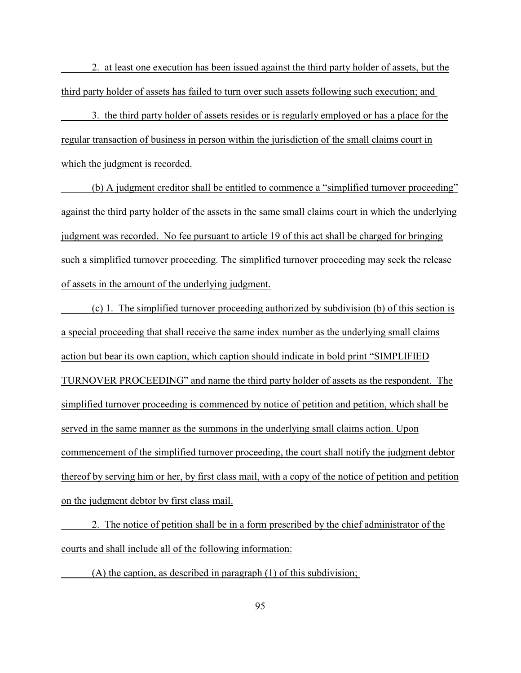2. at least one execution has been issued against the third party holder of assets, but the third party holder of assets has failed to turn over such assets following such execution; and

3. the third party holder of assets resides or is regularly employed or has a place for the regular transaction of business in person within the jurisdiction of the small claims court in which the judgment is recorded.

(b) A judgment creditor shall be entitled to commence a "simplified turnover proceeding" against the third party holder of the assets in the same small claims court in which the underlying judgment was recorded. No fee pursuant to article 19 of this act shall be charged for bringing such a simplified turnover proceeding. The simplified turnover proceeding may seek the release of assets in the amount of the underlying judgment.

(c) 1. The simplified turnover proceeding authorized by subdivision (b) of this section is a special proceeding that shall receive the same index number as the underlying small claims action but bear its own caption, which caption should indicate in bold print "SIMPLIFIED TURNOVER PROCEEDING" and name the third party holder of assets as the respondent. The simplified turnover proceeding is commenced by notice of petition and petition, which shall be served in the same manner as the summons in the underlying small claims action. Upon commencement of the simplified turnover proceeding, the court shall notify the judgment debtor thereof by serving him or her, by first class mail, with a copy of the notice of petition and petition on the judgment debtor by first class mail.

2. The notice of petition shall be in a form prescribed by the chief administrator of the courts and shall include all of the following information:

(A) the caption, as described in paragraph (1) of this subdivision;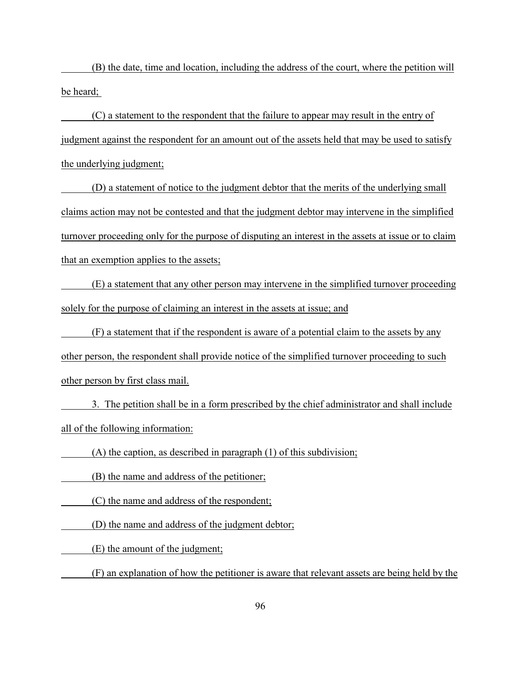(B) the date, time and location, including the address of the court, where the petition will be heard;

(C) a statement to the respondent that the failure to appear may result in the entry of judgment against the respondent for an amount out of the assets held that may be used to satisfy the underlying judgment;

(D) a statement of notice to the judgment debtor that the merits of the underlying small claims action may not be contested and that the judgment debtor may intervene in the simplified turnover proceeding only for the purpose of disputing an interest in the assets at issue or to claim that an exemption applies to the assets;

(E) a statement that any other person may intervene in the simplified turnover proceeding solely for the purpose of claiming an interest in the assets at issue; and

(F) a statement that if the respondent is aware of a potential claim to the assets by any other person, the respondent shall provide notice of the simplified turnover proceeding to such other person by first class mail.

3. The petition shall be in a form prescribed by the chief administrator and shall include all of the following information:

(A) the caption, as described in paragraph (1) of this subdivision;

(B) the name and address of the petitioner;

(C) the name and address of the respondent;

(D) the name and address of the judgment debtor;

(E) the amount of the judgment;

(F) an explanation of how the petitioner is aware that relevant assets are being held by the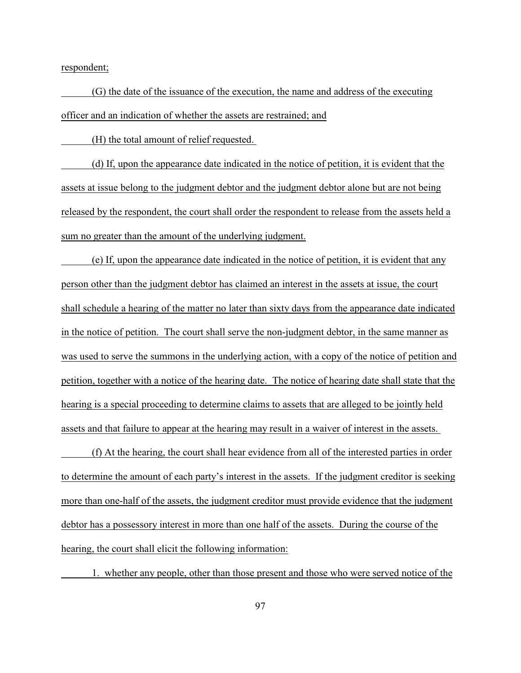respondent;

(G) the date of the issuance of the execution, the name and address of the executing officer and an indication of whether the assets are restrained; and

(H) the total amount of relief requested.

(d) If, upon the appearance date indicated in the notice of petition, it is evident that the assets at issue belong to the judgment debtor and the judgment debtor alone but are not being released by the respondent, the court shall order the respondent to release from the assets held a sum no greater than the amount of the underlying judgment.

(e) If, upon the appearance date indicated in the notice of petition, it is evident that any person other than the judgment debtor has claimed an interest in the assets at issue, the court shall schedule a hearing of the matter no later than sixty days from the appearance date indicated in the notice of petition. The court shall serve the non-judgment debtor, in the same manner as was used to serve the summons in the underlying action, with a copy of the notice of petition and petition, together with a notice of the hearing date. The notice of hearing date shall state that the hearing is a special proceeding to determine claims to assets that are alleged to be jointly held assets and that failure to appear at the hearing may result in a waiver of interest in the assets.

(f) At the hearing, the court shall hear evidence from all of the interested parties in order to determine the amount of each party's interest in the assets. If the judgment creditor is seeking more than one-half of the assets, the judgment creditor must provide evidence that the judgment debtor has a possessory interest in more than one half of the assets. During the course of the hearing, the court shall elicit the following information:

1. whether any people, other than those present and those who were served notice of the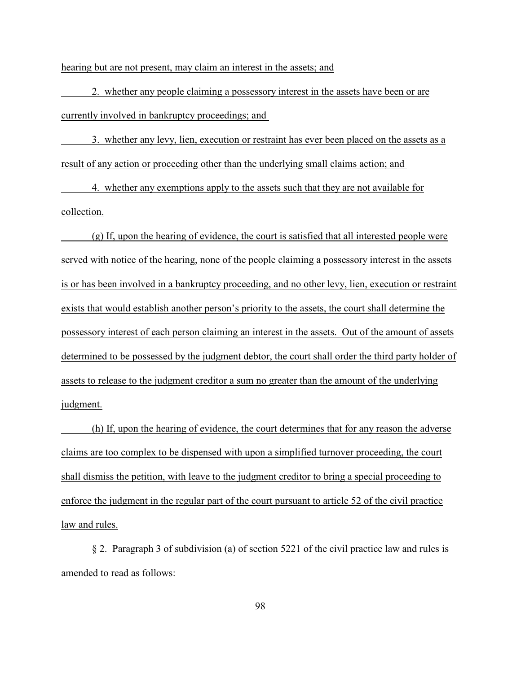hearing but are not present, may claim an interest in the assets; and

2. whether any people claiming a possessory interest in the assets have been or are currently involved in bankruptcy proceedings; and

3. whether any levy, lien, execution or restraint has ever been placed on the assets as a result of any action or proceeding other than the underlying small claims action; and

4. whether any exemptions apply to the assets such that they are not available for collection.

(g) If, upon the hearing of evidence, the court is satisfied that all interested people were served with notice of the hearing, none of the people claiming a possessory interest in the assets is or has been involved in a bankruptcy proceeding, and no other levy, lien, execution or restraint exists that would establish another person's priority to the assets, the court shall determine the possessory interest of each person claiming an interest in the assets. Out of the amount of assets determined to be possessed by the judgment debtor, the court shall order the third party holder of assets to release to the judgment creditor a sum no greater than the amount of the underlying judgment.

(h) If, upon the hearing of evidence, the court determines that for any reason the adverse claims are too complex to be dispensed with upon a simplified turnover proceeding, the court shall dismiss the petition, with leave to the judgment creditor to bring a special proceeding to enforce the judgment in the regular part of the court pursuant to article 52 of the civil practice law and rules.

§ 2. Paragraph 3 of subdivision (a) of section 5221 of the civil practice law and rules is amended to read as follows: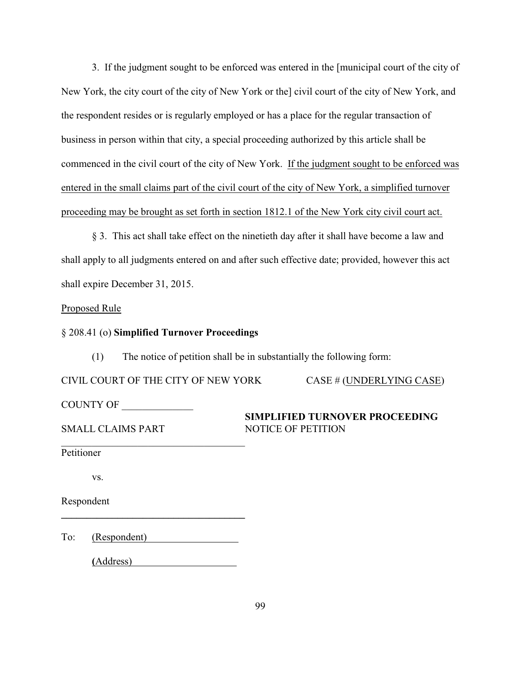3. If the judgment sought to be enforced was entered in the [municipal court of the city of New York, the city court of the city of New York or the] civil court of the city of New York, and the respondent resides or is regularly employed or has a place for the regular transaction of business in person within that city, a special proceeding authorized by this article shall be commenced in the civil court of the city of New York. If the judgment sought to be enforced was entered in the small claims part of the civil court of the city of New York, a simplified turnover proceeding may be brought as set forth in section 1812.1 of the New York city civil court act.

§ 3. This act shall take effect on the ninetieth day after it shall have become a law and shall apply to all judgments entered on and after such effective date; provided, however this act shall expire December 31, 2015.

## Proposed Rule

## § 208.41 (o) **Simplified Turnover Proceedings**

(1) The notice of petition shall be in substantially the following form:

CIVIL COURT OF THE CITY OF NEW YORK CASE # (UNDERLYING CASE)

\_\_\_\_\_\_\_\_\_\_\_\_\_\_\_\_\_\_\_\_\_\_\_\_\_\_\_\_\_\_\_\_\_\_\_\_

COUNTY OF \_\_\_\_\_\_\_\_\_\_\_\_\_\_

SMALL CLAIMS PART NOTICE OF PETITION

# **SIMPLIFIED TURNOVER PROCEEDING**

Petitioner

vs.

## Respondent

To: (Respondent)

**\_\_\_\_\_\_\_\_\_\_\_\_\_\_\_\_\_\_\_\_\_\_\_\_\_\_\_\_\_\_\_\_\_\_\_\_**

**(**Address)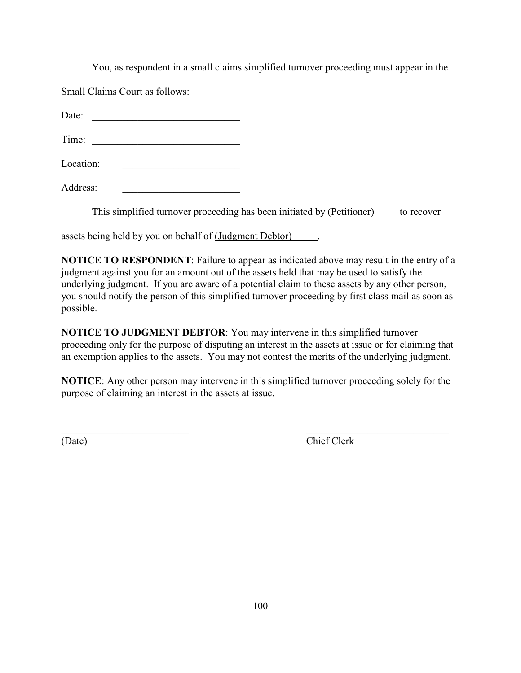|                                                                                                                                                                                                                                               | You, as respondent in a small claims simplified turnover proceeding must appear in the |
|-----------------------------------------------------------------------------------------------------------------------------------------------------------------------------------------------------------------------------------------------|----------------------------------------------------------------------------------------|
| <b>Small Claims Court as follows:</b>                                                                                                                                                                                                         |                                                                                        |
| Date:<br><u> 1989 - Johann John Harry Harry Harry Harry Harry Harry Harry Harry Harry Harry Harry Harry Harry Harry Harry</u>                                                                                                                 |                                                                                        |
| Time:<br><u> 1988 - Johann Stoff, deutscher Stoffen und der Stoffen und der Stoffen und der Stoffen und der Stoffen und der Stoffen und der Stoffen und der Stoffen und der Stoffen und der Stoffen und der Stoffen und der Stoffen und d</u> |                                                                                        |
| Location:                                                                                                                                                                                                                                     |                                                                                        |
| Address:                                                                                                                                                                                                                                      |                                                                                        |

This simplified turnover proceeding has been initiated by (Petitioner) to recover

assets being held by you on behalf of (Judgment Debtor) .

**NOTICE TO RESPONDENT**: Failure to appear as indicated above may result in the entry of a judgment against you for an amount out of the assets held that may be used to satisfy the underlying judgment. If you are aware of a potential claim to these assets by any other person, you should notify the person of this simplified turnover proceeding by first class mail as soon as possible.

**NOTICE TO JUDGMENT DEBTOR**: You may intervene in this simplified turnover proceeding only for the purpose of disputing an interest in the assets at issue or for claiming that an exemption applies to the assets. You may not contest the merits of the underlying judgment.

**NOTICE**: Any other person may intervene in this simplified turnover proceeding solely for the purpose of claiming an interest in the assets at issue.

 $\overline{\phantom{a}}$  ,  $\overline{\phantom{a}}$  ,  $\overline{\phantom{a}}$  ,  $\overline{\phantom{a}}$  ,  $\overline{\phantom{a}}$  ,  $\overline{\phantom{a}}$  ,  $\overline{\phantom{a}}$  ,  $\overline{\phantom{a}}$  ,  $\overline{\phantom{a}}$  ,  $\overline{\phantom{a}}$  ,  $\overline{\phantom{a}}$  ,  $\overline{\phantom{a}}$  ,  $\overline{\phantom{a}}$  ,  $\overline{\phantom{a}}$  ,  $\overline{\phantom{a}}$  ,  $\overline{\phantom{a}}$ (Date) Chief Clerk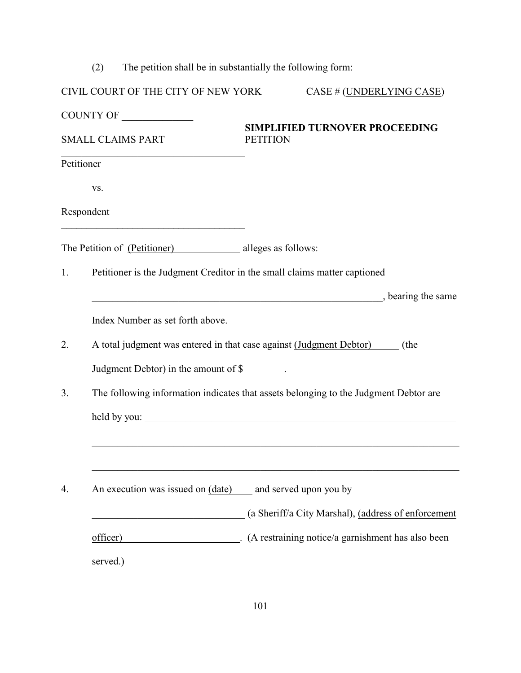| The petition shall be in substantially the following form:<br>(2) |                                                                                      |                 |                                                     |  |  |
|-------------------------------------------------------------------|--------------------------------------------------------------------------------------|-----------------|-----------------------------------------------------|--|--|
|                                                                   | CIVIL COURT OF THE CITY OF NEW YORK                                                  |                 | CASE # (UNDERLYING CASE)                            |  |  |
|                                                                   |                                                                                      |                 |                                                     |  |  |
|                                                                   | <b>SMALL CLAIMS PART</b>                                                             | <b>PETITION</b> | <b>SIMPLIFIED TURNOVER PROCEEDING</b>               |  |  |
| Petitioner                                                        |                                                                                      |                 |                                                     |  |  |
|                                                                   | VS.                                                                                  |                 |                                                     |  |  |
|                                                                   | Respondent<br><u> 1989 - Johann Barnett, fransk politiker (d. 1989)</u>              |                 |                                                     |  |  |
|                                                                   | The Petition of (Petitioner) alleges as follows:                                     |                 |                                                     |  |  |
| 1.                                                                | Petitioner is the Judgment Creditor in the small claims matter captioned             |                 |                                                     |  |  |
|                                                                   | $\frac{1}{2}$ , bearing the same                                                     |                 |                                                     |  |  |
|                                                                   | Index Number as set forth above.                                                     |                 |                                                     |  |  |
| 2.                                                                | A total judgment was entered in that case against (Judgment Debtor) (the             |                 |                                                     |  |  |
|                                                                   | Judgment Debtor) in the amount of \$                                                 |                 |                                                     |  |  |
| 3.                                                                | The following information indicates that assets belonging to the Judgment Debtor are |                 |                                                     |  |  |
|                                                                   |                                                                                      |                 |                                                     |  |  |
|                                                                   |                                                                                      |                 |                                                     |  |  |
|                                                                   |                                                                                      |                 |                                                     |  |  |
| 4.                                                                | An execution was issued on (date) and served upon you by                             |                 |                                                     |  |  |
|                                                                   |                                                                                      |                 | (a Sheriff/a City Marshal), (address of enforcement |  |  |
|                                                                   | officer)                                                                             |                 | (A restraining notice/a garnishment has also been   |  |  |
|                                                                   | served.)                                                                             |                 |                                                     |  |  |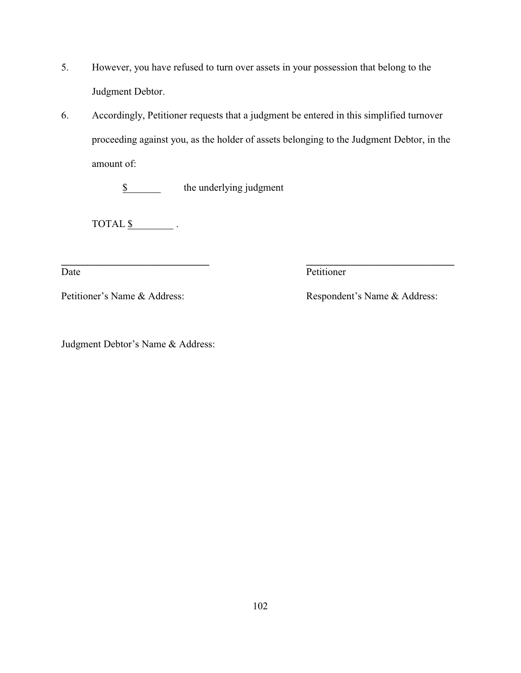- 5. However, you have refused to turn over assets in your possession that belong to the Judgment Debtor.
- 6. Accordingly, Petitioner requests that a judgment be entered in this simplified turnover proceeding against you, as the holder of assets belonging to the Judgment Debtor, in the amount of:
	- \$ the underlying judgment

TOTAL  $\underline{\$}$ .

**\_\_\_\_\_\_\_\_\_\_\_\_\_\_\_\_\_\_\_\_\_\_\_\_\_\_\_\_\_ \_\_\_\_\_\_\_\_\_\_\_\_\_\_\_\_\_\_\_\_\_\_\_\_\_\_\_\_\_** Date Petitioner

Petitioner's Name & Address: Respondent's Name & Address:

Judgment Debtor's Name & Address: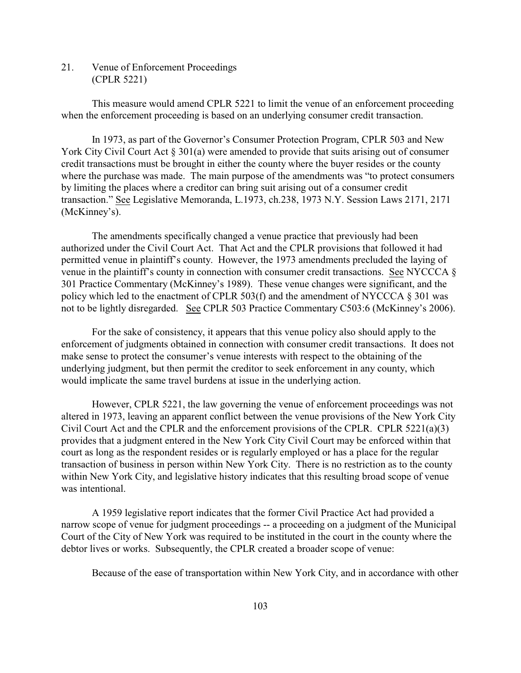21. Venue of Enforcement Proceedings (CPLR 5221)

This measure would amend CPLR 5221 to limit the venue of an enforcement proceeding when the enforcement proceeding is based on an underlying consumer credit transaction.

In 1973, as part of the Governor's Consumer Protection Program, CPLR 503 and New York City Civil Court Act § 301(a) were amended to provide that suits arising out of consumer credit transactions must be brought in either the county where the buyer resides or the county where the purchase was made. The main purpose of the amendments was "to protect consumers by limiting the places where a creditor can bring suit arising out of a consumer credit transaction." See Legislative Memoranda, L.1973, ch.238, 1973 N.Y. Session Laws 2171, 2171 (McKinney's).

The amendments specifically changed a venue practice that previously had been authorized under the Civil Court Act. That Act and the CPLR provisions that followed it had permitted venue in plaintiff's county. However, the 1973 amendments precluded the laying of venue in the plaintiff's county in connection with consumer credit transactions. See NYCCCA § 301 Practice Commentary (McKinney's 1989). These venue changes were significant, and the policy which led to the enactment of CPLR 503(f) and the amendment of NYCCCA § 301 was not to be lightly disregarded. See CPLR 503 Practice Commentary C503:6 (McKinney's 2006).

For the sake of consistency, it appears that this venue policy also should apply to the enforcement of judgments obtained in connection with consumer credit transactions. It does not make sense to protect the consumer's venue interests with respect to the obtaining of the underlying judgment, but then permit the creditor to seek enforcement in any county, which would implicate the same travel burdens at issue in the underlying action.

However, CPLR 5221, the law governing the venue of enforcement proceedings was not altered in 1973, leaving an apparent conflict between the venue provisions of the New York City Civil Court Act and the CPLR and the enforcement provisions of the CPLR. CPLR 5221(a)(3) provides that a judgment entered in the New York City Civil Court may be enforced within that court as long as the respondent resides or is regularly employed or has a place for the regular transaction of business in person within New York City. There is no restriction as to the county within New York City, and legislative history indicates that this resulting broad scope of venue was intentional.

A 1959 legislative report indicates that the former Civil Practice Act had provided a narrow scope of venue for judgment proceedings -- a proceeding on a judgment of the Municipal Court of the City of New York was required to be instituted in the court in the county where the debtor lives or works. Subsequently, the CPLR created a broader scope of venue:

Because of the ease of transportation within New York City, and in accordance with other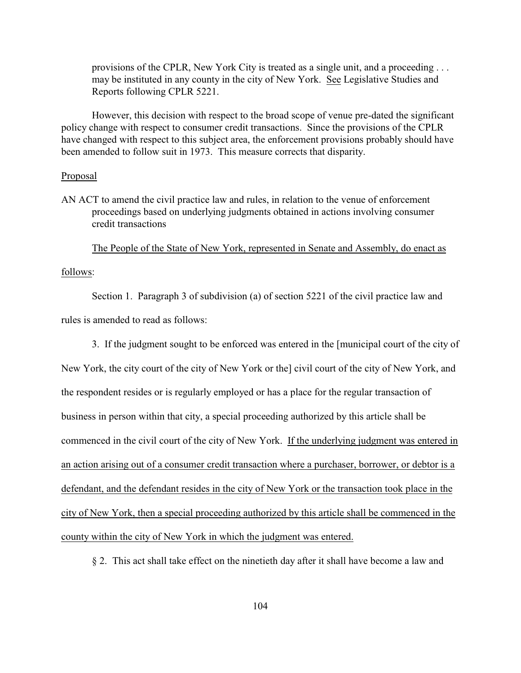provisions of the CPLR, New York City is treated as a single unit, and a proceeding . . . may be instituted in any county in the city of New York. See Legislative Studies and Reports following CPLR 5221.

However, this decision with respect to the broad scope of venue pre-dated the significant policy change with respect to consumer credit transactions. Since the provisions of the CPLR have changed with respect to this subject area, the enforcement provisions probably should have been amended to follow suit in 1973. This measure corrects that disparity.

#### Proposal

AN ACT to amend the civil practice law and rules, in relation to the venue of enforcement proceedings based on underlying judgments obtained in actions involving consumer credit transactions

The People of the State of New York, represented in Senate and Assembly, do enact as

# follows:

Section 1. Paragraph 3 of subdivision (a) of section 5221 of the civil practice law and rules is amended to read as follows:

3. If the judgment sought to be enforced was entered in the [municipal court of the city of

New York, the city court of the city of New York or the] civil court of the city of New York, and the respondent resides or is regularly employed or has a place for the regular transaction of business in person within that city, a special proceeding authorized by this article shall be commenced in the civil court of the city of New York. If the underlying judgment was entered in an action arising out of a consumer credit transaction where a purchaser, borrower, or debtor is a defendant, and the defendant resides in the city of New York or the transaction took place in the city of New York, then a special proceeding authorized by this article shall be commenced in the county within the city of New York in which the judgment was entered.

§ 2. This act shall take effect on the ninetieth day after it shall have become a law and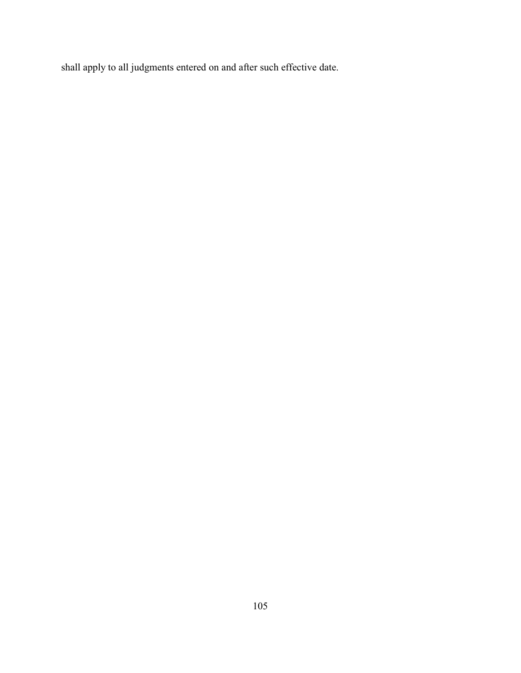shall apply to all judgments entered on and after such effective date.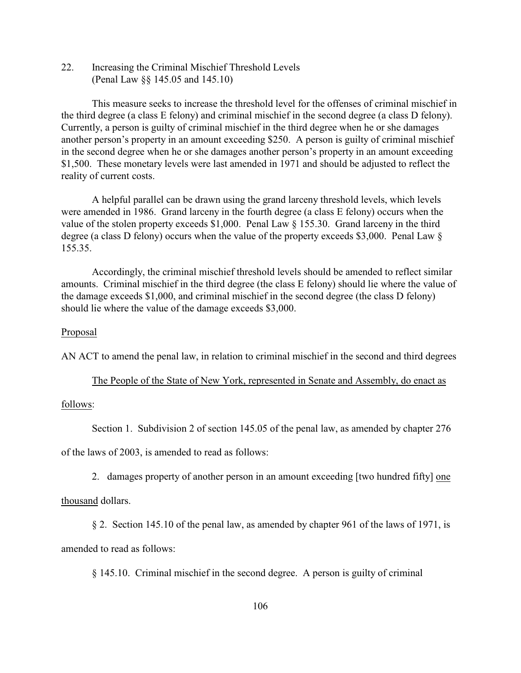22. Increasing the Criminal Mischief Threshold Levels (Penal Law §§ 145.05 and 145.10)

This measure seeks to increase the threshold level for the offenses of criminal mischief in the third degree (a class E felony) and criminal mischief in the second degree (a class D felony). Currently, a person is guilty of criminal mischief in the third degree when he or she damages another person's property in an amount exceeding \$250. A person is guilty of criminal mischief in the second degree when he or she damages another person's property in an amount exceeding \$1,500. These monetary levels were last amended in 1971 and should be adjusted to reflect the reality of current costs.

A helpful parallel can be drawn using the grand larceny threshold levels, which levels were amended in 1986. Grand larceny in the fourth degree (a class E felony) occurs when the value of the stolen property exceeds \$1,000. Penal Law § 155.30. Grand larceny in the third degree (a class D felony) occurs when the value of the property exceeds \$3,000. Penal Law § 155.35.

Accordingly, the criminal mischief threshold levels should be amended to reflect similar amounts. Criminal mischief in the third degree (the class E felony) should lie where the value of the damage exceeds \$1,000, and criminal mischief in the second degree (the class D felony) should lie where the value of the damage exceeds \$3,000.

### Proposal

AN ACT to amend the penal law, in relation to criminal mischief in the second and third degrees

## The People of the State of New York, represented in Senate and Assembly, do enact as

## follows:

Section 1. Subdivision 2 of section 145.05 of the penal law, as amended by chapter 276

of the laws of 2003, is amended to read as follows:

2. damages property of another person in an amount exceeding [two hundred fifty] one

thousand dollars.

§ 2. Section 145.10 of the penal law, as amended by chapter 961 of the laws of 1971, is

amended to read as follows:

§ 145.10. Criminal mischief in the second degree. A person is guilty of criminal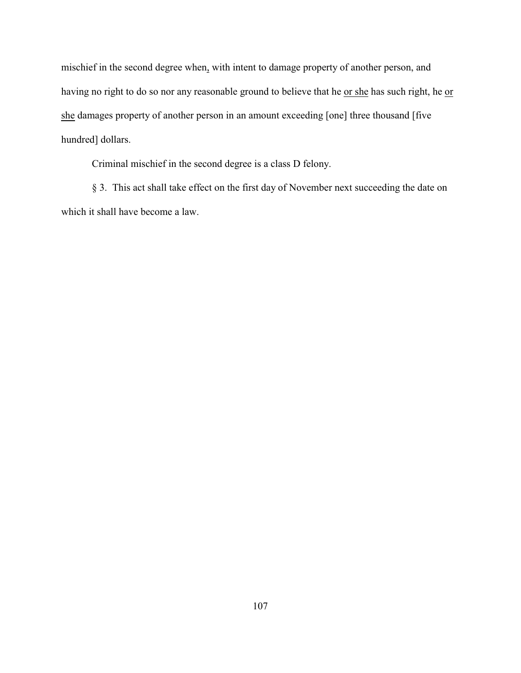mischief in the second degree when, with intent to damage property of another person, and having no right to do so nor any reasonable ground to believe that he or she has such right, he or she damages property of another person in an amount exceeding [one] three thousand [five hundred] dollars.

Criminal mischief in the second degree is a class D felony.

§ 3. This act shall take effect on the first day of November next succeeding the date on which it shall have become a law.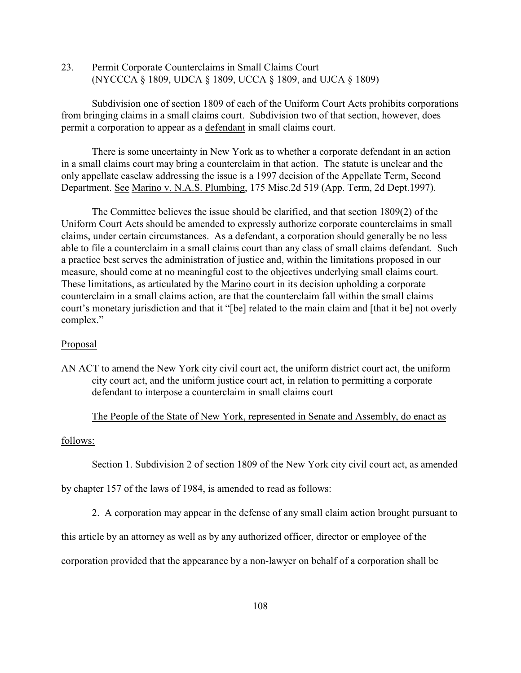23. Permit Corporate Counterclaims in Small Claims Court (NYCCCA § 1809, UDCA § 1809, UCCA § 1809, and UJCA § 1809)

Subdivision one of section 1809 of each of the Uniform Court Acts prohibits corporations from bringing claims in a small claims court. Subdivision two of that section, however, does permit a corporation to appear as a defendant in small claims court.

There is some uncertainty in New York as to whether a corporate defendant in an action in a small claims court may bring a counterclaim in that action. The statute is unclear and the only appellate caselaw addressing the issue is a 1997 decision of the Appellate Term, Second Department. See Marino v. N.A.S. Plumbing, 175 Misc.2d 519 (App. Term, 2d Dept.1997).

The Committee believes the issue should be clarified, and that section 1809(2) of the Uniform Court Acts should be amended to expressly authorize corporate counterclaims in small claims, under certain circumstances. As a defendant, a corporation should generally be no less able to file a counterclaim in a small claims court than any class of small claims defendant. Such a practice best serves the administration of justice and, within the limitations proposed in our measure, should come at no meaningful cost to the objectives underlying small claims court. These limitations, as articulated by the Marino court in its decision upholding a corporate counterclaim in a small claims action, are that the counterclaim fall within the small claims court's monetary jurisdiction and that it "[be] related to the main claim and [that it be] not overly complex."

## Proposal

AN ACT to amend the New York city civil court act, the uniform district court act, the uniform city court act, and the uniform justice court act, in relation to permitting a corporate defendant to interpose a counterclaim in small claims court

# The People of the State of New York, represented in Senate and Assembly, do enact as

## follows:

Section 1. Subdivision 2 of section 1809 of the New York city civil court act, as amended

by chapter 157 of the laws of 1984, is amended to read as follows:

2. A corporation may appear in the defense of any small claim action brought pursuant to

this article by an attorney as well as by any authorized officer, director or employee of the

corporation provided that the appearance by a non-lawyer on behalf of a corporation shall be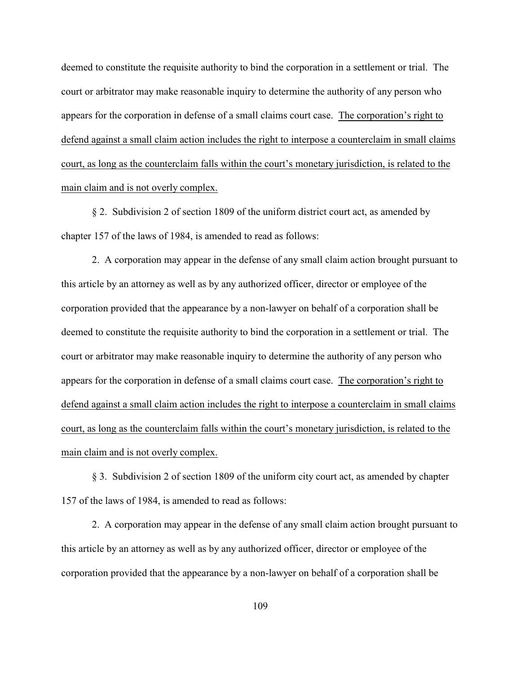deemed to constitute the requisite authority to bind the corporation in a settlement or trial. The court or arbitrator may make reasonable inquiry to determine the authority of any person who appears for the corporation in defense of a small claims court case. The corporation's right to defend against a small claim action includes the right to interpose a counterclaim in small claims court, as long as the counterclaim falls within the court's monetary jurisdiction, is related to the main claim and is not overly complex.

§ 2. Subdivision 2 of section 1809 of the uniform district court act, as amended by chapter 157 of the laws of 1984, is amended to read as follows:

2. A corporation may appear in the defense of any small claim action brought pursuant to this article by an attorney as well as by any authorized officer, director or employee of the corporation provided that the appearance by a non-lawyer on behalf of a corporation shall be deemed to constitute the requisite authority to bind the corporation in a settlement or trial. The court or arbitrator may make reasonable inquiry to determine the authority of any person who appears for the corporation in defense of a small claims court case. The corporation's right to defend against a small claim action includes the right to interpose a counterclaim in small claims court, as long as the counterclaim falls within the court's monetary jurisdiction, is related to the main claim and is not overly complex.

§ 3. Subdivision 2 of section 1809 of the uniform city court act, as amended by chapter 157 of the laws of 1984, is amended to read as follows:

2. A corporation may appear in the defense of any small claim action brought pursuant to this article by an attorney as well as by any authorized officer, director or employee of the corporation provided that the appearance by a non-lawyer on behalf of a corporation shall be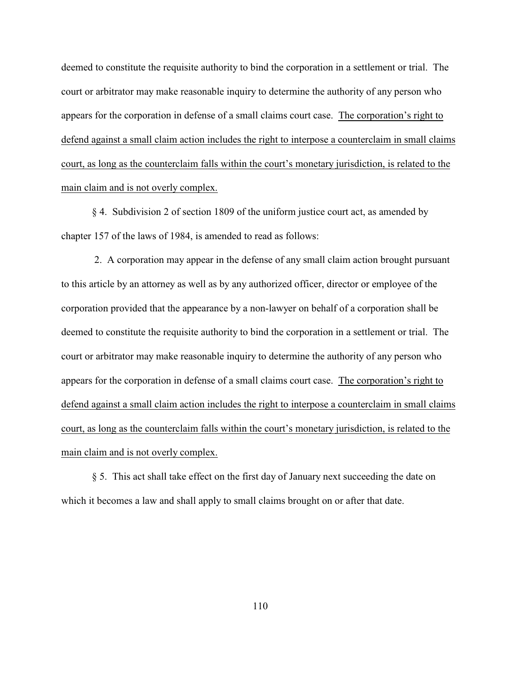deemed to constitute the requisite authority to bind the corporation in a settlement or trial. The court or arbitrator may make reasonable inquiry to determine the authority of any person who appears for the corporation in defense of a small claims court case. The corporation's right to defend against a small claim action includes the right to interpose a counterclaim in small claims court, as long as the counterclaim falls within the court's monetary jurisdiction, is related to the main claim and is not overly complex.

§ 4. Subdivision 2 of section 1809 of the uniform justice court act, as amended by chapter 157 of the laws of 1984, is amended to read as follows:

 2. A corporation may appear in the defense of any small claim action brought pursuant to this article by an attorney as well as by any authorized officer, director or employee of the corporation provided that the appearance by a non-lawyer on behalf of a corporation shall be deemed to constitute the requisite authority to bind the corporation in a settlement or trial. The court or arbitrator may make reasonable inquiry to determine the authority of any person who appears for the corporation in defense of a small claims court case. The corporation's right to defend against a small claim action includes the right to interpose a counterclaim in small claims court, as long as the counterclaim falls within the court's monetary jurisdiction, is related to the main claim and is not overly complex.

§ 5. This act shall take effect on the first day of January next succeeding the date on which it becomes a law and shall apply to small claims brought on or after that date.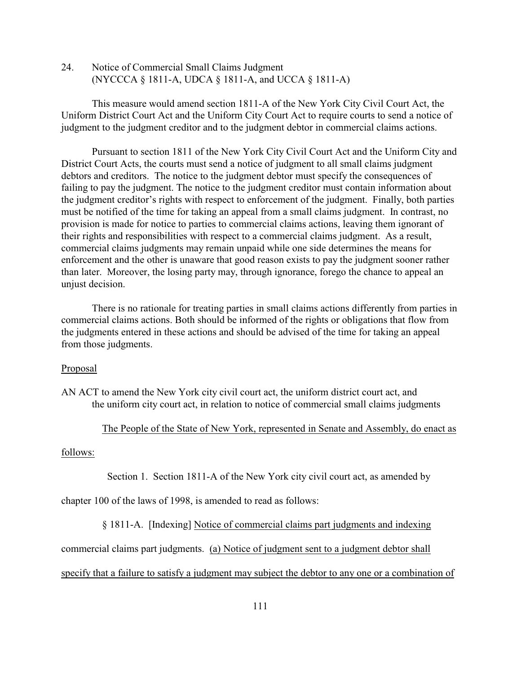24. Notice of Commercial Small Claims Judgment (NYCCCA § 1811-A, UDCA § 1811-A, and UCCA § 1811-A)

This measure would amend section 1811-A of the New York City Civil Court Act, the Uniform District Court Act and the Uniform City Court Act to require courts to send a notice of judgment to the judgment creditor and to the judgment debtor in commercial claims actions.

Pursuant to section 1811 of the New York City Civil Court Act and the Uniform City and District Court Acts, the courts must send a notice of judgment to all small claims judgment debtors and creditors. The notice to the judgment debtor must specify the consequences of failing to pay the judgment. The notice to the judgment creditor must contain information about the judgment creditor's rights with respect to enforcement of the judgment. Finally, both parties must be notified of the time for taking an appeal from a small claims judgment. In contrast, no provision is made for notice to parties to commercial claims actions, leaving them ignorant of their rights and responsibilities with respect to a commercial claims judgment. As a result, commercial claims judgments may remain unpaid while one side determines the means for enforcement and the other is unaware that good reason exists to pay the judgment sooner rather than later. Moreover, the losing party may, through ignorance, forego the chance to appeal an unjust decision.

There is no rationale for treating parties in small claims actions differently from parties in commercial claims actions. Both should be informed of the rights or obligations that flow from the judgments entered in these actions and should be advised of the time for taking an appeal from those judgments.

## Proposal

AN ACT to amend the New York city civil court act, the uniform district court act, and the uniform city court act, in relation to notice of commercial small claims judgments

#### The People of the State of New York, represented in Senate and Assembly, do enact as

#### follows:

Section 1. Section 1811-A of the New York city civil court act, as amended by

chapter 100 of the laws of 1998, is amended to read as follows:

§ 1811-A. [Indexing] Notice of commercial claims part judgments and indexing

commercial claims part judgments. (a) Notice of judgment sent to a judgment debtor shall

specify that a failure to satisfy a judgment may subject the debtor to any one or a combination of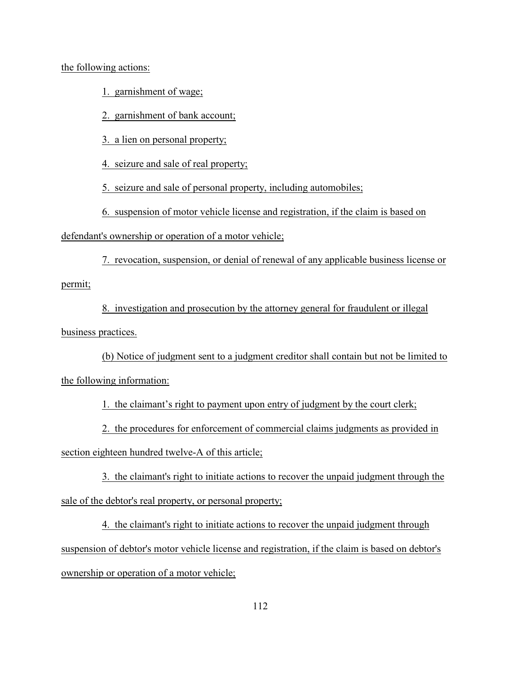the following actions:

1. garnishment of wage;

2. garnishment of bank account;

3. a lien on personal property;

4. seizure and sale of real property;

5. seizure and sale of personal property, including automobiles;

6. suspension of motor vehicle license and registration, if the claim is based on

defendant's ownership or operation of a motor vehicle;

7. revocation, suspension, or denial of renewal of any applicable business license or

permit;

 8. investigation and prosecution by the attorney general for fraudulent or illegal business practices.

 (b) Notice of judgment sent to a judgment creditor shall contain but not be limited to the following information:

1. the claimant's right to payment upon entry of judgment by the court clerk;

2. the procedures for enforcement of commercial claims judgments as provided in

section eighteen hundred twelve-A of this article;

 3. the claimant's right to initiate actions to recover the unpaid judgment through the sale of the debtor's real property, or personal property;

 4. the claimant's right to initiate actions to recover the unpaid judgment through suspension of debtor's motor vehicle license and registration, if the claim is based on debtor's ownership or operation of a motor vehicle;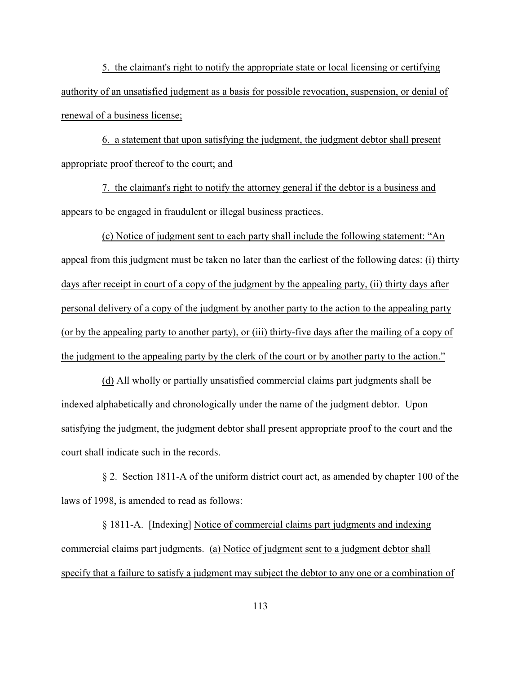5. the claimant's right to notify the appropriate state or local licensing or certifying authority of an unsatisfied judgment as a basis for possible revocation, suspension, or denial of renewal of a business license;

 6. a statement that upon satisfying the judgment, the judgment debtor shall present appropriate proof thereof to the court; and

 7. the claimant's right to notify the attorney general if the debtor is a business and appears to be engaged in fraudulent or illegal business practices.

 (c) Notice of judgment sent to each party shall include the following statement: "An appeal from this judgment must be taken no later than the earliest of the following dates: (i) thirty days after receipt in court of a copy of the judgment by the appealing party, (ii) thirty days after personal delivery of a copy of the judgment by another party to the action to the appealing party (or by the appealing party to another party), or (iii) thirty-five days after the mailing of a copy of the judgment to the appealing party by the clerk of the court or by another party to the action."

 (d) All wholly or partially unsatisfied commercial claims part judgments shall be indexed alphabetically and chronologically under the name of the judgment debtor. Upon satisfying the judgment, the judgment debtor shall present appropriate proof to the court and the court shall indicate such in the records.

 § 2. Section 1811-A of the uniform district court act, as amended by chapter 100 of the laws of 1998, is amended to read as follows:

 § 1811-A. [Indexing] Notice of commercial claims part judgments and indexing commercial claims part judgments. (a) Notice of judgment sent to a judgment debtor shall specify that a failure to satisfy a judgment may subject the debtor to any one or a combination of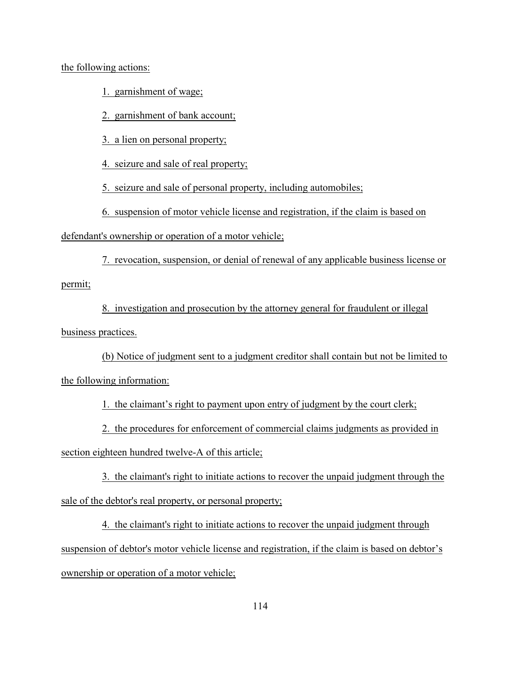the following actions:

1. garnishment of wage;

2. garnishment of bank account;

3. a lien on personal property;

4. seizure and sale of real property;

5. seizure and sale of personal property, including automobiles;

6. suspension of motor vehicle license and registration, if the claim is based on

defendant's ownership or operation of a motor vehicle;

7. revocation, suspension, or denial of renewal of any applicable business license or

permit;

 8. investigation and prosecution by the attorney general for fraudulent or illegal business practices.

 (b) Notice of judgment sent to a judgment creditor shall contain but not be limited to the following information:

1. the claimant's right to payment upon entry of judgment by the court clerk;

2. the procedures for enforcement of commercial claims judgments as provided in

section eighteen hundred twelve-A of this article;

 3. the claimant's right to initiate actions to recover the unpaid judgment through the sale of the debtor's real property, or personal property;

 4. the claimant's right to initiate actions to recover the unpaid judgment through suspension of debtor's motor vehicle license and registration, if the claim is based on debtor's ownership or operation of a motor vehicle;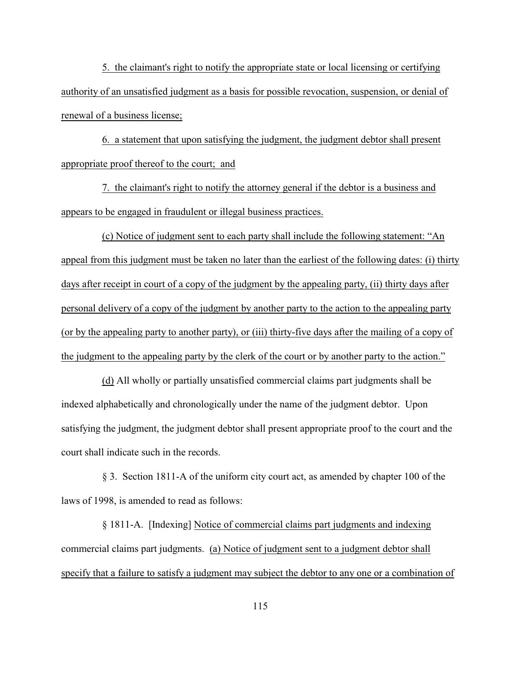5. the claimant's right to notify the appropriate state or local licensing or certifying authority of an unsatisfied judgment as a basis for possible revocation, suspension, or denial of renewal of a business license;

 6. a statement that upon satisfying the judgment, the judgment debtor shall present appropriate proof thereof to the court; and

 7. the claimant's right to notify the attorney general if the debtor is a business and appears to be engaged in fraudulent or illegal business practices.

 (c) Notice of judgment sent to each party shall include the following statement: "An appeal from this judgment must be taken no later than the earliest of the following dates: (i) thirty days after receipt in court of a copy of the judgment by the appealing party, (ii) thirty days after personal delivery of a copy of the judgment by another party to the action to the appealing party (or by the appealing party to another party), or (iii) thirty-five days after the mailing of a copy of the judgment to the appealing party by the clerk of the court or by another party to the action."

 (d) All wholly or partially unsatisfied commercial claims part judgments shall be indexed alphabetically and chronologically under the name of the judgment debtor. Upon satisfying the judgment, the judgment debtor shall present appropriate proof to the court and the court shall indicate such in the records.

 § 3. Section 1811-A of the uniform city court act, as amended by chapter 100 of the laws of 1998, is amended to read as follows:

 § 1811-A. [Indexing] Notice of commercial claims part judgments and indexing commercial claims part judgments. (a) Notice of judgment sent to a judgment debtor shall specify that a failure to satisfy a judgment may subject the debtor to any one or a combination of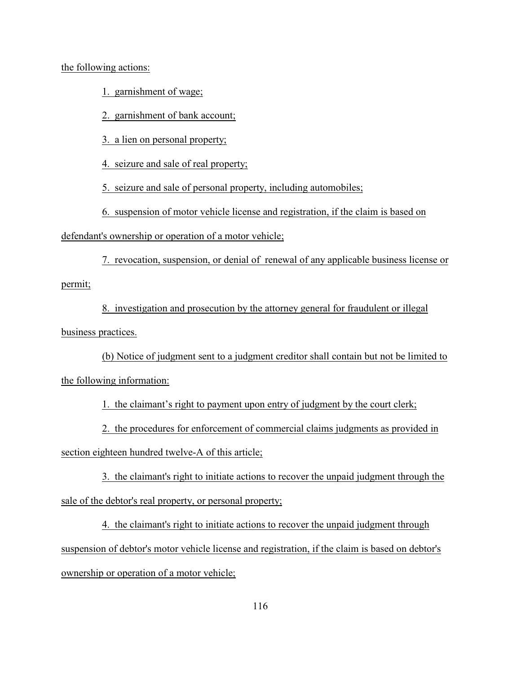the following actions:

1. garnishment of wage;

2. garnishment of bank account;

3. a lien on personal property;

4. seizure and sale of real property;

5. seizure and sale of personal property, including automobiles;

6. suspension of motor vehicle license and registration, if the claim is based on

defendant's ownership or operation of a motor vehicle;

7. revocation, suspension, or denial of renewal of any applicable business license or

permit;

 8. investigation and prosecution by the attorney general for fraudulent or illegal business practices.

 (b) Notice of judgment sent to a judgment creditor shall contain but not be limited to the following information:

1. the claimant's right to payment upon entry of judgment by the court clerk;

2. the procedures for enforcement of commercial claims judgments as provided in

section eighteen hundred twelve-A of this article;

 3. the claimant's right to initiate actions to recover the unpaid judgment through the sale of the debtor's real property, or personal property;

 4. the claimant's right to initiate actions to recover the unpaid judgment through suspension of debtor's motor vehicle license and registration, if the claim is based on debtor's ownership or operation of a motor vehicle;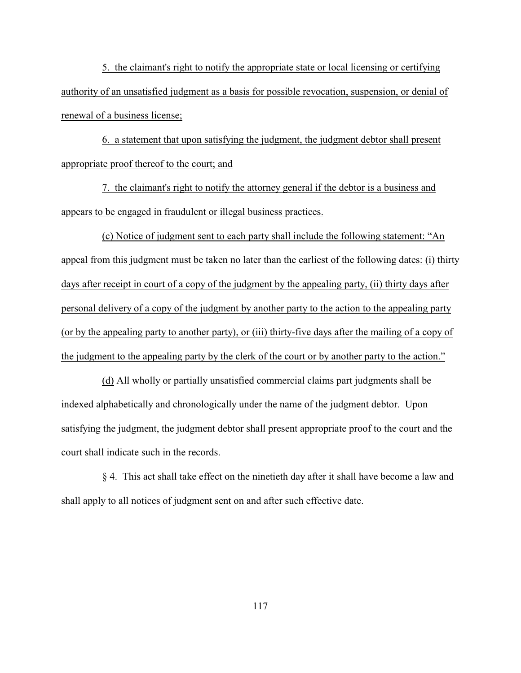5. the claimant's right to notify the appropriate state or local licensing or certifying authority of an unsatisfied judgment as a basis for possible revocation, suspension, or denial of renewal of a business license;

 6. a statement that upon satisfying the judgment, the judgment debtor shall present appropriate proof thereof to the court; and

 7. the claimant's right to notify the attorney general if the debtor is a business and appears to be engaged in fraudulent or illegal business practices.

 (c) Notice of judgment sent to each party shall include the following statement: "An appeal from this judgment must be taken no later than the earliest of the following dates: (i) thirty days after receipt in court of a copy of the judgment by the appealing party, (ii) thirty days after personal delivery of a copy of the judgment by another party to the action to the appealing party (or by the appealing party to another party), or (iii) thirty-five days after the mailing of a copy of the judgment to the appealing party by the clerk of the court or by another party to the action."

 (d) All wholly or partially unsatisfied commercial claims part judgments shall be indexed alphabetically and chronologically under the name of the judgment debtor. Upon satisfying the judgment, the judgment debtor shall present appropriate proof to the court and the court shall indicate such in the records.

 § 4. This act shall take effect on the ninetieth day after it shall have become a law and shall apply to all notices of judgment sent on and after such effective date.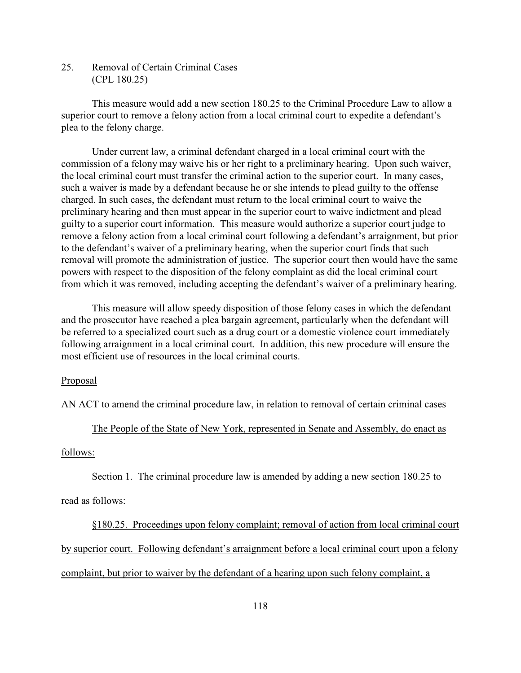25. Removal of Certain Criminal Cases (CPL 180.25)

This measure would add a new section 180.25 to the Criminal Procedure Law to allow a superior court to remove a felony action from a local criminal court to expedite a defendant's plea to the felony charge.

Under current law, a criminal defendant charged in a local criminal court with the commission of a felony may waive his or her right to a preliminary hearing. Upon such waiver, the local criminal court must transfer the criminal action to the superior court. In many cases, such a waiver is made by a defendant because he or she intends to plead guilty to the offense charged. In such cases, the defendant must return to the local criminal court to waive the preliminary hearing and then must appear in the superior court to waive indictment and plead guilty to a superior court information. This measure would authorize a superior court judge to remove a felony action from a local criminal court following a defendant's arraignment, but prior to the defendant's waiver of a preliminary hearing, when the superior court finds that such removal will promote the administration of justice. The superior court then would have the same powers with respect to the disposition of the felony complaint as did the local criminal court from which it was removed, including accepting the defendant's waiver of a preliminary hearing.

This measure will allow speedy disposition of those felony cases in which the defendant and the prosecutor have reached a plea bargain agreement, particularly when the defendant will be referred to a specialized court such as a drug court or a domestic violence court immediately following arraignment in a local criminal court. In addition, this new procedure will ensure the most efficient use of resources in the local criminal courts.

## Proposal

AN ACT to amend the criminal procedure law, in relation to removal of certain criminal cases

### The People of the State of New York, represented in Senate and Assembly, do enact as

#### follows:

Section 1. The criminal procedure law is amended by adding a new section 180.25 to

read as follows:

§180.25. Proceedings upon felony complaint; removal of action from local criminal court

by superior court. Following defendant's arraignment before a local criminal court upon a felony

complaint, but prior to waiver by the defendant of a hearing upon such felony complaint, a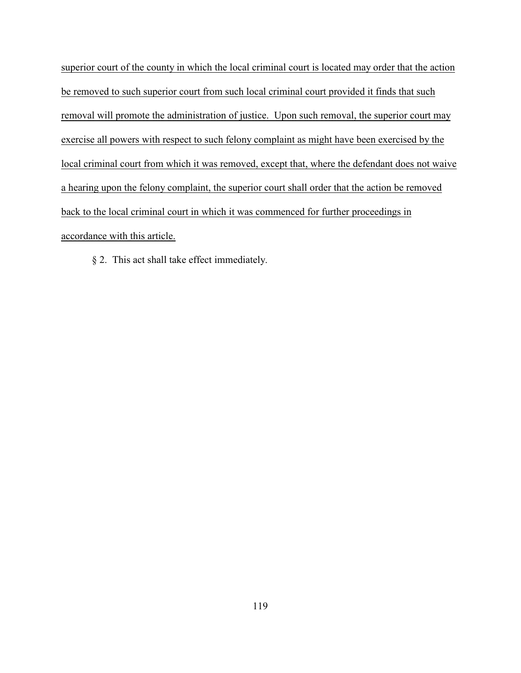superior court of the county in which the local criminal court is located may order that the action be removed to such superior court from such local criminal court provided it finds that such removal will promote the administration of justice. Upon such removal, the superior court may exercise all powers with respect to such felony complaint as might have been exercised by the local criminal court from which it was removed, except that, where the defendant does not waive a hearing upon the felony complaint, the superior court shall order that the action be removed back to the local criminal court in which it was commenced for further proceedings in accordance with this article.

§ 2. This act shall take effect immediately.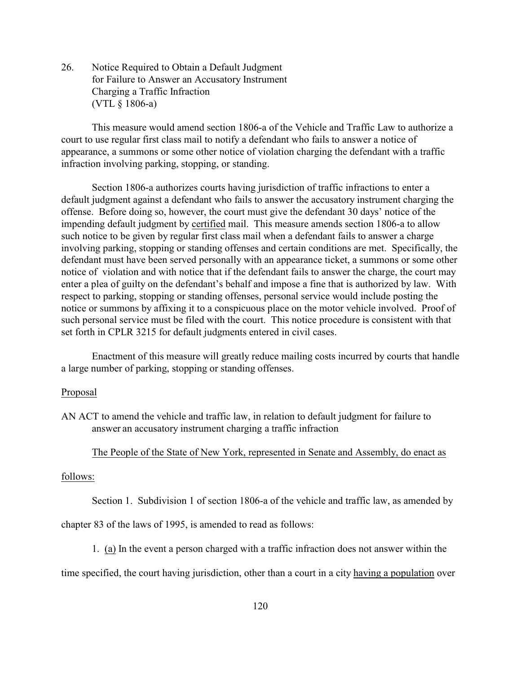26. Notice Required to Obtain a Default Judgment for Failure to Answer an Accusatory Instrument Charging a Traffic Infraction (VTL § 1806-a)

This measure would amend section 1806-a of the Vehicle and Traffic Law to authorize a court to use regular first class mail to notify a defendant who fails to answer a notice of appearance, a summons or some other notice of violation charging the defendant with a traffic infraction involving parking, stopping, or standing.

Section 1806-a authorizes courts having jurisdiction of traffic infractions to enter a default judgment against a defendant who fails to answer the accusatory instrument charging the offense. Before doing so, however, the court must give the defendant 30 days' notice of the impending default judgment by certified mail. This measure amends section 1806-a to allow such notice to be given by regular first class mail when a defendant fails to answer a charge involving parking, stopping or standing offenses and certain conditions are met. Specifically, the defendant must have been served personally with an appearance ticket, a summons or some other notice of violation and with notice that if the defendant fails to answer the charge, the court may enter a plea of guilty on the defendant's behalf and impose a fine that is authorized by law. With respect to parking, stopping or standing offenses, personal service would include posting the notice or summons by affixing it to a conspicuous place on the motor vehicle involved. Proof of such personal service must be filed with the court. This notice procedure is consistent with that set forth in CPLR 3215 for default judgments entered in civil cases.

Enactment of this measure will greatly reduce mailing costs incurred by courts that handle a large number of parking, stopping or standing offenses.

#### Proposal

AN ACT to amend the vehicle and traffic law, in relation to default judgment for failure to answer an accusatory instrument charging a traffic infraction

#### The People of the State of New York, represented in Senate and Assembly, do enact as

## follows:

Section 1. Subdivision 1 of section 1806-a of the vehicle and traffic law, as amended by

chapter 83 of the laws of 1995, is amended to read as follows:

1. (a) In the event a person charged with a traffic infraction does not answer within the

time specified, the court having jurisdiction, other than a court in a city having a population over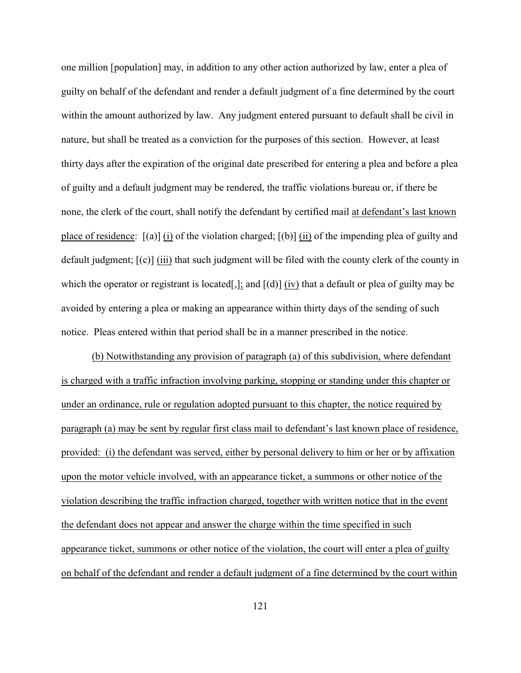one million [population] may, in addition to any other action authorized by law, enter a plea of guilty on behalf of the defendant and render a default judgment of a fine determined by the court within the amount authorized by law. Any judgment entered pursuant to default shall be civil in nature, but shall be treated as a conviction for the purposes of this section. However, at least thirty days after the expiration of the original date prescribed for entering a plea and before a plea of guilty and a default judgment may be rendered, the traffic violations bureau or, if there be none, the clerk of the court, shall notify the defendant by certified mail at defendant's last known place of residence: [(a)] (i) of the violation charged; [(b)] (ii) of the impending plea of guilty and default judgment; [(c)] (iii) that such judgment will be filed with the county clerk of the county in which the operator or registrant is located[,]; and  $[(d)]$  (iv) that a default or plea of guilty may be avoided by entering a plea or making an appearance within thirty days of the sending of such notice. Pleas entered within that period shall be in a manner prescribed in the notice.

(b) Notwithstanding any provision of paragraph (a) of this subdivision, where defendant is charged with a traffic infraction involving parking, stopping or standing under this chapter or under an ordinance, rule or regulation adopted pursuant to this chapter, the notice required by paragraph (a) may be sent by regular first class mail to defendant's last known place of residence, provided: (i) the defendant was served, either by personal delivery to him or her or by affixation upon the motor vehicle involved, with an appearance ticket, a summons or other notice of the violation describing the traffic infraction charged, together with written notice that in the event the defendant does not appear and answer the charge within the time specified in such appearance ticket, summons or other notice of the violation, the court will enter a plea of guilty on behalf of the defendant and render a default judgment of a fine determined by the court within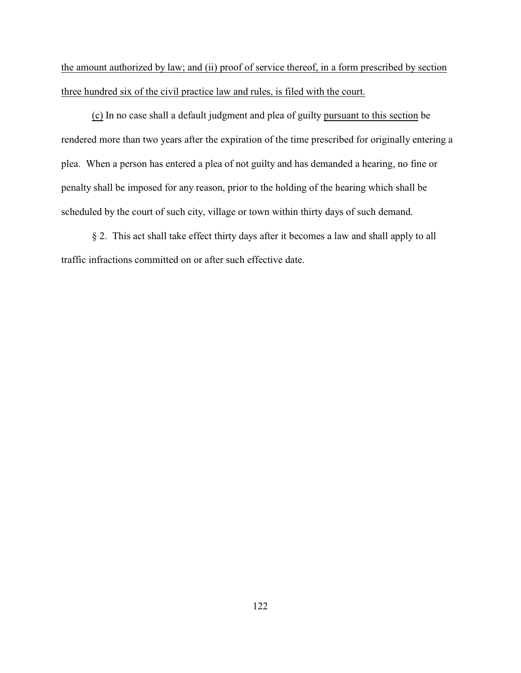the amount authorized by law; and (ii) proof of service thereof, in a form prescribed by section three hundred six of the civil practice law and rules, is filed with the court.

(c) In no case shall a default judgment and plea of guilty pursuant to this section be rendered more than two years after the expiration of the time prescribed for originally entering a plea. When a person has entered a plea of not guilty and has demanded a hearing, no fine or penalty shall be imposed for any reason, prior to the holding of the hearing which shall be scheduled by the court of such city, village or town within thirty days of such demand.

§ 2. This act shall take effect thirty days after it becomes a law and shall apply to all traffic infractions committed on or after such effective date.